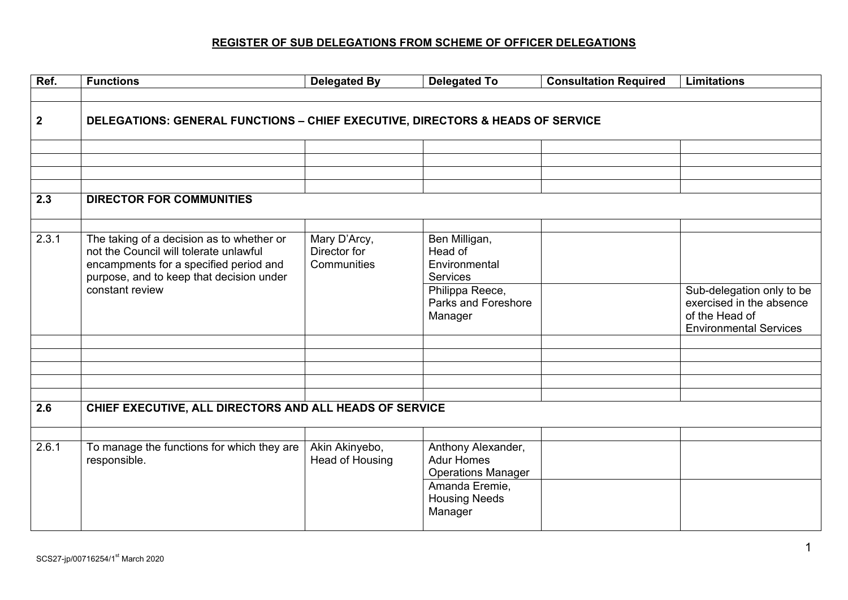## **REGISTER OF SUB DELEGATIONS FROM SCHEME OF OFFICER DELEGATIONS**

| Ref.         | <b>Functions</b>                                                                                                                                                          | <b>Delegated By</b>                         | <b>Delegated To</b>                                                  | <b>Consultation Required</b> | <b>Limitations</b>                                                                                       |  |  |
|--------------|---------------------------------------------------------------------------------------------------------------------------------------------------------------------------|---------------------------------------------|----------------------------------------------------------------------|------------------------------|----------------------------------------------------------------------------------------------------------|--|--|
|              |                                                                                                                                                                           |                                             |                                                                      |                              |                                                                                                          |  |  |
| $\mathbf{2}$ | DELEGATIONS: GENERAL FUNCTIONS - CHIEF EXECUTIVE, DIRECTORS & HEADS OF SERVICE                                                                                            |                                             |                                                                      |                              |                                                                                                          |  |  |
|              |                                                                                                                                                                           |                                             |                                                                      |                              |                                                                                                          |  |  |
|              |                                                                                                                                                                           |                                             |                                                                      |                              |                                                                                                          |  |  |
|              |                                                                                                                                                                           |                                             |                                                                      |                              |                                                                                                          |  |  |
|              |                                                                                                                                                                           |                                             |                                                                      |                              |                                                                                                          |  |  |
| 2.3          | <b>DIRECTOR FOR COMMUNITIES</b>                                                                                                                                           |                                             |                                                                      |                              |                                                                                                          |  |  |
|              |                                                                                                                                                                           |                                             |                                                                      |                              |                                                                                                          |  |  |
| 2.3.1        | The taking of a decision as to whether or<br>not the Council will tolerate unlawful<br>encampments for a specified period and<br>purpose, and to keep that decision under | Mary D'Arcy,<br>Director for<br>Communities | Ben Milligan,<br>Head of<br>Environmental<br><b>Services</b>         |                              |                                                                                                          |  |  |
|              | constant review                                                                                                                                                           |                                             | Philippa Reece,<br>Parks and Foreshore<br>Manager                    |                              | Sub-delegation only to be<br>exercised in the absence<br>of the Head of<br><b>Environmental Services</b> |  |  |
|              |                                                                                                                                                                           |                                             |                                                                      |                              |                                                                                                          |  |  |
|              |                                                                                                                                                                           |                                             |                                                                      |                              |                                                                                                          |  |  |
|              |                                                                                                                                                                           |                                             |                                                                      |                              |                                                                                                          |  |  |
|              |                                                                                                                                                                           |                                             |                                                                      |                              |                                                                                                          |  |  |
|              |                                                                                                                                                                           |                                             |                                                                      |                              |                                                                                                          |  |  |
| 2.6          | CHIEF EXECUTIVE, ALL DIRECTORS AND ALL HEADS OF SERVICE                                                                                                                   |                                             |                                                                      |                              |                                                                                                          |  |  |
|              |                                                                                                                                                                           |                                             |                                                                      |                              |                                                                                                          |  |  |
| 2.6.1        | To manage the functions for which they are<br>responsible.                                                                                                                | Akin Akinyebo,<br><b>Head of Housing</b>    | Anthony Alexander,<br><b>Adur Homes</b><br><b>Operations Manager</b> |                              |                                                                                                          |  |  |
|              |                                                                                                                                                                           |                                             | Amanda Eremie,<br><b>Housing Needs</b><br>Manager                    |                              |                                                                                                          |  |  |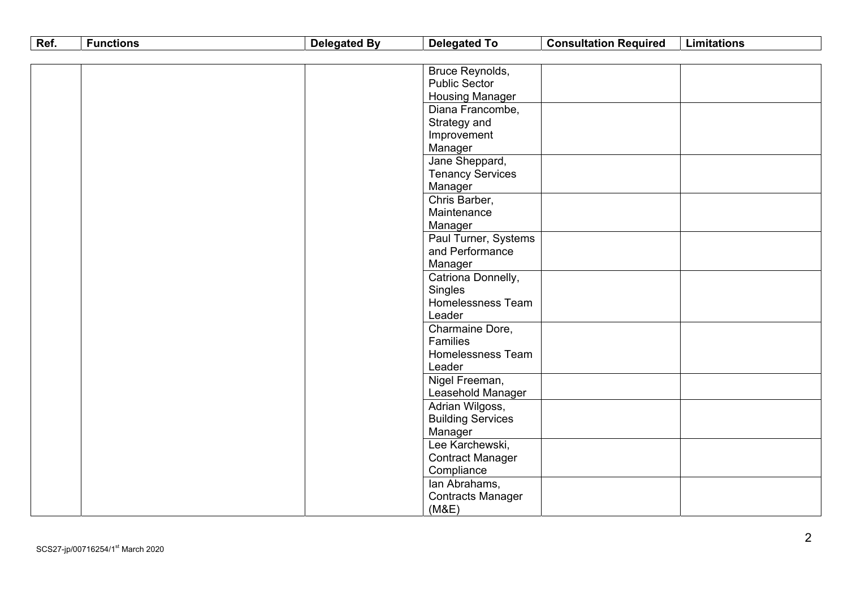| Ref. | <b>Functions</b> | <b>Delegated By</b> | <b>Delegated To</b>      | <b>Consultation Required</b> | <b>Limitations</b> |
|------|------------------|---------------------|--------------------------|------------------------------|--------------------|
|      |                  |                     |                          |                              |                    |
|      |                  |                     | Bruce Reynolds,          |                              |                    |
|      |                  |                     | <b>Public Sector</b>     |                              |                    |
|      |                  |                     | <b>Housing Manager</b>   |                              |                    |
|      |                  |                     | Diana Francombe,         |                              |                    |
|      |                  |                     | Strategy and             |                              |                    |
|      |                  |                     | Improvement              |                              |                    |
|      |                  |                     | Manager                  |                              |                    |
|      |                  |                     | Jane Sheppard,           |                              |                    |
|      |                  |                     | <b>Tenancy Services</b>  |                              |                    |
|      |                  |                     | Manager                  |                              |                    |
|      |                  |                     | Chris Barber,            |                              |                    |
|      |                  |                     | Maintenance              |                              |                    |
|      |                  |                     | Manager                  |                              |                    |
|      |                  |                     | Paul Turner, Systems     |                              |                    |
|      |                  |                     | and Performance          |                              |                    |
|      |                  |                     | Manager                  |                              |                    |
|      |                  |                     | Catriona Donnelly,       |                              |                    |
|      |                  |                     | Singles                  |                              |                    |
|      |                  |                     | Homelessness Team        |                              |                    |
|      |                  |                     | Leader                   |                              |                    |
|      |                  |                     | Charmaine Dore,          |                              |                    |
|      |                  |                     | Families                 |                              |                    |
|      |                  |                     | Homelessness Team        |                              |                    |
|      |                  |                     | Leader                   |                              |                    |
|      |                  |                     | Nigel Freeman,           |                              |                    |
|      |                  |                     | Leasehold Manager        |                              |                    |
|      |                  |                     | Adrian Wilgoss,          |                              |                    |
|      |                  |                     | <b>Building Services</b> |                              |                    |
|      |                  |                     | Manager                  |                              |                    |
|      |                  |                     | Lee Karchewski,          |                              |                    |
|      |                  |                     | <b>Contract Manager</b>  |                              |                    |
|      |                  |                     | Compliance               |                              |                    |
|      |                  |                     | lan Abrahams,            |                              |                    |
|      |                  |                     | <b>Contracts Manager</b> |                              |                    |
|      |                  |                     | (M&E)                    |                              |                    |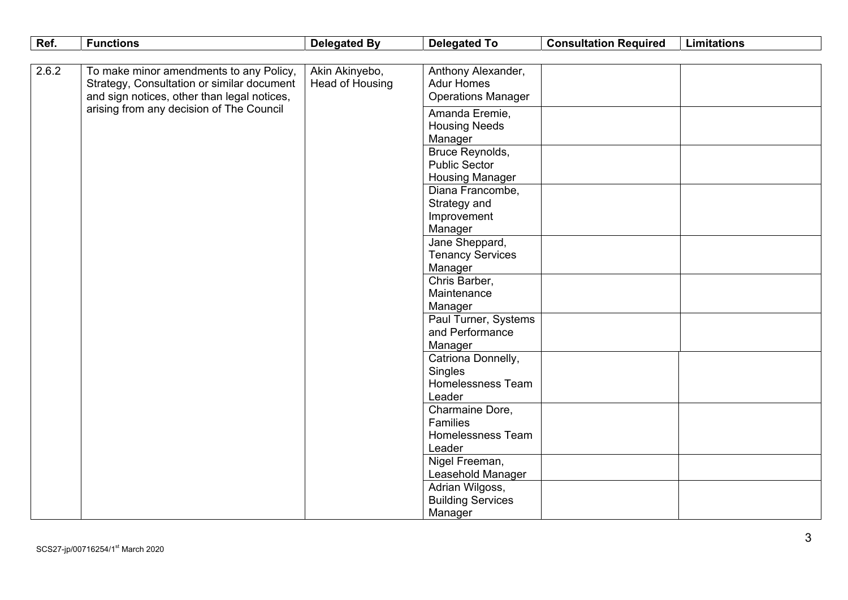| Ref.  | <b>Functions</b>                                                                                                                     | <b>Delegated By</b>               | <b>Delegated To</b>                                                                   | <b>Consultation Required</b> | <b>Limitations</b> |
|-------|--------------------------------------------------------------------------------------------------------------------------------------|-----------------------------------|---------------------------------------------------------------------------------------|------------------------------|--------------------|
|       |                                                                                                                                      |                                   |                                                                                       |                              |                    |
| 2.6.2 | To make minor amendments to any Policy,<br>Strategy, Consultation or similar document<br>and sign notices, other than legal notices, | Akin Akinyebo,<br>Head of Housing | Anthony Alexander,<br><b>Adur Homes</b><br><b>Operations Manager</b>                  |                              |                    |
|       | arising from any decision of The Council                                                                                             |                                   | Amanda Eremie,<br><b>Housing Needs</b><br>Manager                                     |                              |                    |
|       |                                                                                                                                      |                                   | Bruce Reynolds,<br><b>Public Sector</b><br><b>Housing Manager</b><br>Diana Francombe, |                              |                    |
|       |                                                                                                                                      |                                   | Strategy and<br>Improvement<br>Manager                                                |                              |                    |
|       |                                                                                                                                      |                                   | Jane Sheppard,<br><b>Tenancy Services</b><br>Manager                                  |                              |                    |
|       |                                                                                                                                      |                                   | Chris Barber,<br>Maintenance<br>Manager                                               |                              |                    |
|       |                                                                                                                                      |                                   | Paul Turner, Systems<br>and Performance<br>Manager                                    |                              |                    |
|       |                                                                                                                                      |                                   | Catriona Donnelly,<br>Singles<br>Homelessness Team<br>Leader                          |                              |                    |
|       |                                                                                                                                      |                                   | Charmaine Dore,<br>Families<br>Homelessness Team<br>Leader                            |                              |                    |
|       |                                                                                                                                      |                                   | Nigel Freeman,<br>Leasehold Manager                                                   |                              |                    |
|       |                                                                                                                                      |                                   | Adrian Wilgoss,<br><b>Building Services</b><br>Manager                                |                              |                    |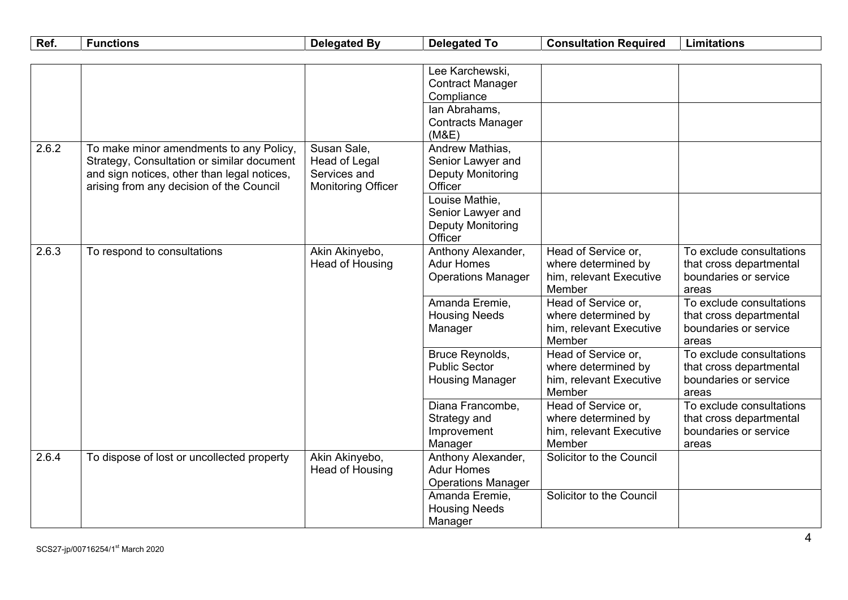| Ref.  | <b>Functions</b>                                                                                                                                                                 | <b>Delegated By</b>                                                              | <b>Delegated To</b>                                                         | <b>Consultation Required</b>                                                    | <b>Limitations</b>                                                                    |
|-------|----------------------------------------------------------------------------------------------------------------------------------------------------------------------------------|----------------------------------------------------------------------------------|-----------------------------------------------------------------------------|---------------------------------------------------------------------------------|---------------------------------------------------------------------------------------|
|       |                                                                                                                                                                                  |                                                                                  |                                                                             |                                                                                 |                                                                                       |
|       |                                                                                                                                                                                  |                                                                                  | Lee Karchewski,<br><b>Contract Manager</b><br>Compliance                    |                                                                                 |                                                                                       |
|       |                                                                                                                                                                                  |                                                                                  | lan Abrahams,<br><b>Contracts Manager</b><br>(M&E)                          |                                                                                 |                                                                                       |
| 2.6.2 | To make minor amendments to any Policy,<br>Strategy, Consultation or similar document<br>and sign notices, other than legal notices,<br>arising from any decision of the Council | Susan Sale,<br><b>Head of Legal</b><br>Services and<br><b>Monitoring Officer</b> | Andrew Mathias,<br>Senior Lawyer and<br><b>Deputy Monitoring</b><br>Officer |                                                                                 |                                                                                       |
|       |                                                                                                                                                                                  |                                                                                  | Louise Mathie,<br>Senior Lawyer and<br><b>Deputy Monitoring</b><br>Officer  |                                                                                 |                                                                                       |
| 2.6.3 | To respond to consultations                                                                                                                                                      | Akin Akinyebo,<br>Head of Housing                                                | Anthony Alexander,<br><b>Adur Homes</b><br><b>Operations Manager</b>        | Head of Service or,<br>where determined by<br>him, relevant Executive<br>Member | To exclude consultations<br>that cross departmental<br>boundaries or service<br>areas |
|       |                                                                                                                                                                                  |                                                                                  | Amanda Eremie,<br><b>Housing Needs</b><br>Manager                           | Head of Service or,<br>where determined by<br>him, relevant Executive<br>Member | To exclude consultations<br>that cross departmental<br>boundaries or service<br>areas |
|       |                                                                                                                                                                                  |                                                                                  | Bruce Reynolds,<br><b>Public Sector</b><br><b>Housing Manager</b>           | Head of Service or,<br>where determined by<br>him, relevant Executive<br>Member | To exclude consultations<br>that cross departmental<br>boundaries or service<br>areas |
|       |                                                                                                                                                                                  |                                                                                  | Diana Francombe,<br>Strategy and<br>Improvement<br>Manager                  | Head of Service or,<br>where determined by<br>him, relevant Executive<br>Member | To exclude consultations<br>that cross departmental<br>boundaries or service<br>areas |
| 2.6.4 | To dispose of lost or uncollected property                                                                                                                                       | Akin Akinyebo,<br>Head of Housing                                                | Anthony Alexander,<br><b>Adur Homes</b><br><b>Operations Manager</b>        | Solicitor to the Council                                                        |                                                                                       |
|       |                                                                                                                                                                                  |                                                                                  | Amanda Eremie,<br><b>Housing Needs</b><br>Manager                           | Solicitor to the Council                                                        |                                                                                       |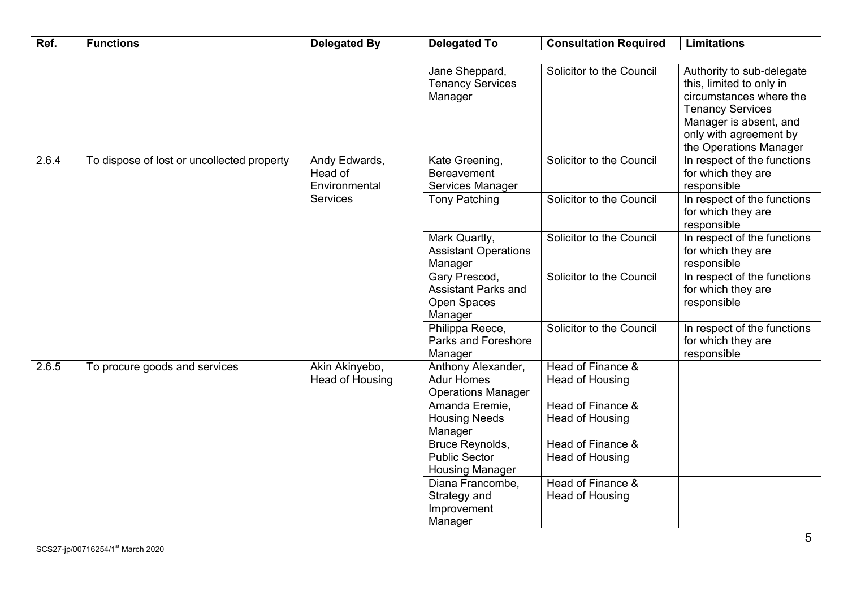| Ref.  | <b>Functions</b>                           | <b>Delegated By</b>                       | <b>Delegated To</b>                                                   | <b>Consultation Required</b>         | <b>Limitations</b>                                                                                                                                                                        |
|-------|--------------------------------------------|-------------------------------------------|-----------------------------------------------------------------------|--------------------------------------|-------------------------------------------------------------------------------------------------------------------------------------------------------------------------------------------|
|       |                                            |                                           |                                                                       |                                      |                                                                                                                                                                                           |
|       |                                            |                                           | Jane Sheppard,<br><b>Tenancy Services</b><br>Manager                  | Solicitor to the Council             | Authority to sub-delegate<br>this, limited to only in<br>circumstances where the<br><b>Tenancy Services</b><br>Manager is absent, and<br>only with agreement by<br>the Operations Manager |
| 2.6.4 | To dispose of lost or uncollected property | Andy Edwards,<br>Head of<br>Environmental | Kate Greening,<br><b>Bereavement</b><br>Services Manager              | Solicitor to the Council             | In respect of the functions<br>for which they are<br>responsible                                                                                                                          |
|       |                                            | Services                                  | <b>Tony Patching</b>                                                  | Solicitor to the Council             | In respect of the functions<br>for which they are<br>responsible                                                                                                                          |
|       |                                            |                                           | Mark Quartly,<br><b>Assistant Operations</b><br>Manager               | Solicitor to the Council             | In respect of the functions<br>for which they are<br>responsible                                                                                                                          |
|       |                                            |                                           | Gary Prescod,<br><b>Assistant Parks and</b><br>Open Spaces<br>Manager | Solicitor to the Council             | In respect of the functions<br>for which they are<br>responsible                                                                                                                          |
|       |                                            |                                           | Philippa Reece,<br>Parks and Foreshore<br>Manager                     | Solicitor to the Council             | In respect of the functions<br>for which they are<br>responsible                                                                                                                          |
| 2.6.5 | To procure goods and services              | Akin Akinyebo,<br>Head of Housing         | Anthony Alexander,<br><b>Adur Homes</b><br><b>Operations Manager</b>  | Head of Finance &<br>Head of Housing |                                                                                                                                                                                           |
|       |                                            |                                           | Amanda Eremie,<br><b>Housing Needs</b><br>Manager                     | Head of Finance &<br>Head of Housing |                                                                                                                                                                                           |
|       |                                            |                                           | Bruce Reynolds,<br><b>Public Sector</b><br><b>Housing Manager</b>     | Head of Finance &<br>Head of Housing |                                                                                                                                                                                           |
|       |                                            |                                           | Diana Francombe,<br>Strategy and<br>Improvement<br>Manager            | Head of Finance &<br>Head of Housing |                                                                                                                                                                                           |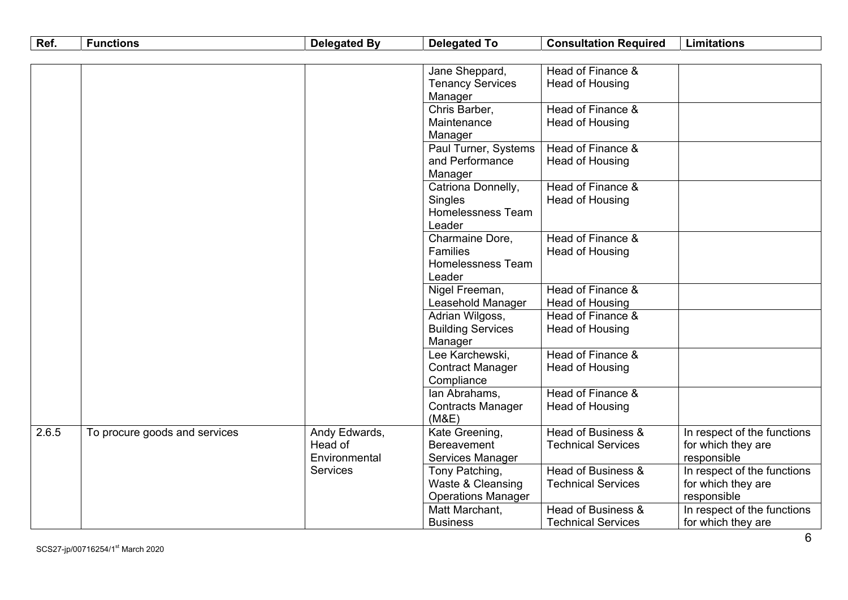| Ref.  | <b>Functions</b>              | <b>Delegated By</b>      | <b>Delegated To</b>       | <b>Consultation Required</b> | <b>Limitations</b>          |
|-------|-------------------------------|--------------------------|---------------------------|------------------------------|-----------------------------|
|       |                               |                          |                           |                              |                             |
|       |                               |                          | Jane Sheppard,            | Head of Finance &            |                             |
|       |                               |                          | <b>Tenancy Services</b>   | Head of Housing              |                             |
|       |                               |                          | Manager                   |                              |                             |
|       |                               |                          | Chris Barber,             | Head of Finance &            |                             |
|       |                               |                          | Maintenance               | Head of Housing              |                             |
|       |                               |                          | Manager                   |                              |                             |
|       |                               |                          | Paul Turner, Systems      | Head of Finance &            |                             |
|       |                               |                          | and Performance           | Head of Housing              |                             |
|       |                               |                          | Manager                   |                              |                             |
|       |                               |                          | Catriona Donnelly,        | Head of Finance &            |                             |
|       |                               |                          | Singles                   | Head of Housing              |                             |
|       |                               |                          | Homelessness Team         |                              |                             |
|       |                               |                          | Leader                    |                              |                             |
|       |                               |                          | Charmaine Dore,           | Head of Finance &            |                             |
|       |                               |                          | Families                  | <b>Head of Housing</b>       |                             |
|       |                               |                          | Homelessness Team         |                              |                             |
|       |                               |                          | Leader                    |                              |                             |
|       |                               |                          | Nigel Freeman,            | Head of Finance &            |                             |
|       |                               |                          | Leasehold Manager         | Head of Housing              |                             |
|       |                               |                          | Adrian Wilgoss,           | Head of Finance &            |                             |
|       |                               |                          | <b>Building Services</b>  | Head of Housing              |                             |
|       |                               |                          | Manager                   |                              |                             |
|       |                               |                          | Lee Karchewski,           | Head of Finance &            |                             |
|       |                               |                          | <b>Contract Manager</b>   | Head of Housing              |                             |
|       |                               |                          | Compliance                |                              |                             |
|       |                               |                          | lan Abrahams,             | Head of Finance &            |                             |
|       |                               |                          | <b>Contracts Manager</b>  | Head of Housing              |                             |
|       |                               |                          | (M&E)                     |                              |                             |
| 2.6.5 | To procure goods and services | Andy Edwards,<br>Head of | Kate Greening,            | Head of Business &           | In respect of the functions |
|       |                               |                          | <b>Bereavement</b>        | <b>Technical Services</b>    | for which they are          |
|       |                               | Environmental            | Services Manager          |                              | responsible                 |
|       |                               | <b>Services</b>          | Tony Patching,            | Head of Business &           | In respect of the functions |
|       |                               |                          | Waste & Cleansing         | <b>Technical Services</b>    | for which they are          |
|       |                               |                          | <b>Operations Manager</b> |                              | responsible                 |
|       |                               |                          | Matt Marchant,            | Head of Business &           | In respect of the functions |
|       |                               |                          | <b>Business</b>           | <b>Technical Services</b>    | for which they are          |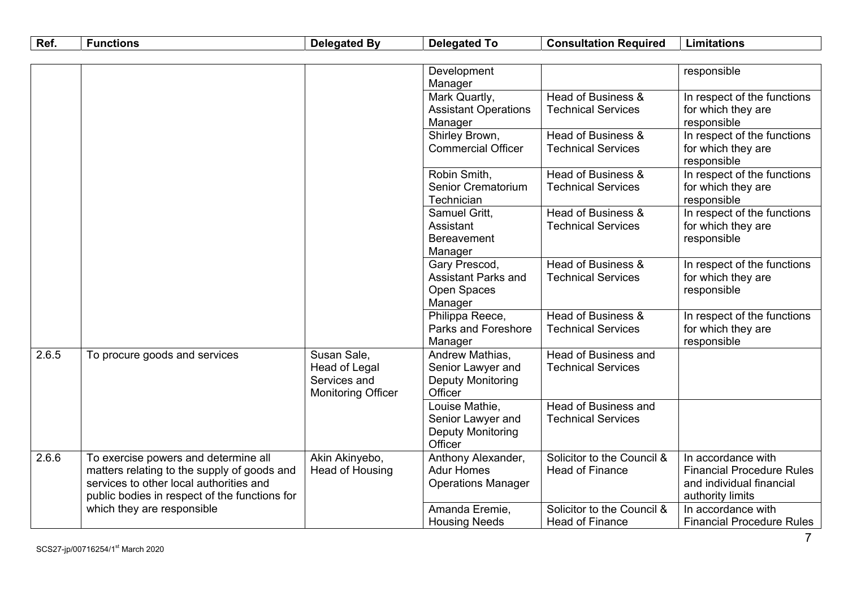| Ref.  | <b>Functions</b>                              | <b>Delegated By</b>       | <b>Delegated To</b>         | <b>Consultation Required</b> | <b>Limitations</b>               |
|-------|-----------------------------------------------|---------------------------|-----------------------------|------------------------------|----------------------------------|
|       |                                               |                           |                             |                              |                                  |
|       |                                               |                           | Development                 |                              | responsible                      |
|       |                                               |                           | Manager                     |                              |                                  |
|       |                                               |                           | Mark Quartly,               | Head of Business &           | In respect of the functions      |
|       |                                               |                           | <b>Assistant Operations</b> | <b>Technical Services</b>    | for which they are               |
|       |                                               |                           | Manager                     |                              | responsible                      |
|       |                                               |                           | Shirley Brown,              | Head of Business &           | In respect of the functions      |
|       |                                               |                           | <b>Commercial Officer</b>   | <b>Technical Services</b>    | for which they are               |
|       |                                               |                           |                             |                              | responsible                      |
|       |                                               |                           | Robin Smith,                | Head of Business &           | In respect of the functions      |
|       |                                               |                           | Senior Crematorium          | <b>Technical Services</b>    | for which they are               |
|       |                                               |                           | Technician                  |                              | responsible                      |
|       |                                               |                           | Samuel Gritt,               | Head of Business &           | In respect of the functions      |
|       |                                               |                           | Assistant                   | <b>Technical Services</b>    | for which they are               |
|       |                                               |                           | <b>Bereavement</b>          |                              | responsible                      |
|       |                                               |                           | Manager                     |                              |                                  |
|       |                                               |                           | Gary Prescod,               | Head of Business &           | In respect of the functions      |
|       |                                               |                           | <b>Assistant Parks and</b>  | <b>Technical Services</b>    | for which they are               |
|       |                                               |                           | Open Spaces                 |                              | responsible                      |
|       |                                               |                           | Manager<br>Philippa Reece,  | Head of Business &           | In respect of the functions      |
|       |                                               |                           | Parks and Foreshore         | <b>Technical Services</b>    | for which they are               |
|       |                                               |                           | Manager                     |                              | responsible                      |
| 2.6.5 | To procure goods and services                 | Susan Sale,               | Andrew Mathias,             | Head of Business and         |                                  |
|       |                                               | Head of Legal             | Senior Lawyer and           | <b>Technical Services</b>    |                                  |
|       |                                               | Services and              | Deputy Monitoring           |                              |                                  |
|       |                                               | <b>Monitoring Officer</b> | Officer                     |                              |                                  |
|       |                                               |                           | Louise Mathie,              | Head of Business and         |                                  |
|       |                                               |                           | Senior Lawyer and           | <b>Technical Services</b>    |                                  |
|       |                                               |                           | <b>Deputy Monitoring</b>    |                              |                                  |
|       |                                               |                           | Officer                     |                              |                                  |
| 2.6.6 | To exercise powers and determine all          | Akin Akinyebo,            | Anthony Alexander,          | Solicitor to the Council &   | In accordance with               |
|       | matters relating to the supply of goods and   | <b>Head of Housing</b>    | <b>Adur Homes</b>           | <b>Head of Finance</b>       | <b>Financial Procedure Rules</b> |
|       | services to other local authorities and       |                           | <b>Operations Manager</b>   |                              | and individual financial         |
|       | public bodies in respect of the functions for |                           |                             |                              | authority limits                 |
|       | which they are responsible                    |                           | Amanda Eremie,              | Solicitor to the Council &   | In accordance with               |
|       |                                               |                           | <b>Housing Needs</b>        | <b>Head of Finance</b>       | <b>Financial Procedure Rules</b> |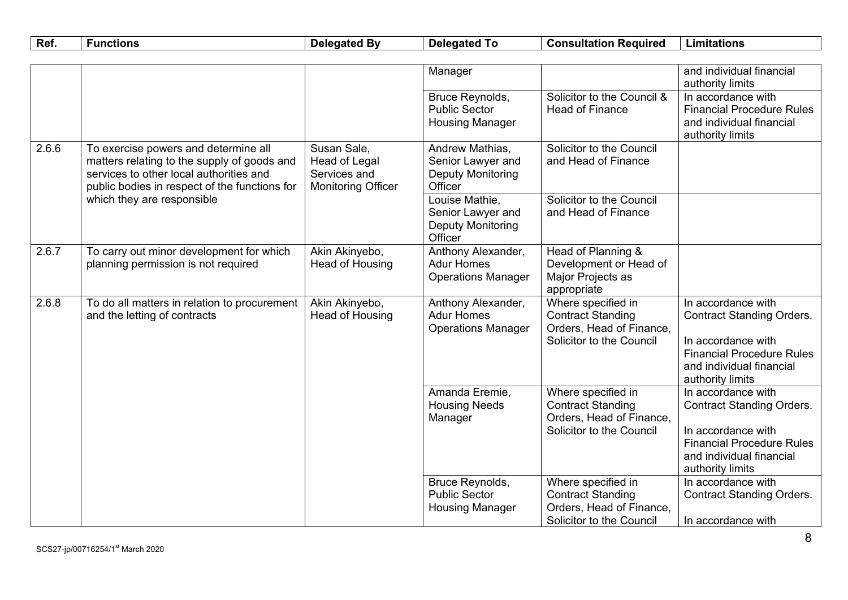| Ref.  | <b>Functions</b>                                                                                                                                                                | <b>Delegated By</b>                                                       | <b>Delegated To</b>                                                         | <b>Consultation Required</b>                                                                           | <b>Limitations</b>                                                                                                                                               |
|-------|---------------------------------------------------------------------------------------------------------------------------------------------------------------------------------|---------------------------------------------------------------------------|-----------------------------------------------------------------------------|--------------------------------------------------------------------------------------------------------|------------------------------------------------------------------------------------------------------------------------------------------------------------------|
|       |                                                                                                                                                                                 |                                                                           |                                                                             |                                                                                                        |                                                                                                                                                                  |
|       |                                                                                                                                                                                 |                                                                           | Manager                                                                     |                                                                                                        | and individual financial<br>authority limits                                                                                                                     |
|       |                                                                                                                                                                                 |                                                                           | Bruce Reynolds,<br><b>Public Sector</b><br><b>Housing Manager</b>           | Solicitor to the Council &<br><b>Head of Finance</b>                                                   | In accordance with<br><b>Financial Procedure Rules</b><br>and individual financial<br>authority limits                                                           |
| 2.6.6 | To exercise powers and determine all<br>matters relating to the supply of goods and<br>services to other local authorities and<br>public bodies in respect of the functions for | Susan Sale,<br>Head of Legal<br>Services and<br><b>Monitoring Officer</b> | Andrew Mathias,<br>Senior Lawyer and<br><b>Deputy Monitoring</b><br>Officer | Solicitor to the Council<br>and Head of Finance                                                        |                                                                                                                                                                  |
|       | which they are responsible                                                                                                                                                      |                                                                           | Louise Mathie,<br>Senior Lawyer and<br><b>Deputy Monitoring</b><br>Officer  | Solicitor to the Council<br>and Head of Finance                                                        |                                                                                                                                                                  |
| 2.6.7 | To carry out minor development for which<br>planning permission is not required                                                                                                 | Akin Akinyebo,<br>Head of Housing                                         | Anthony Alexander,<br><b>Adur Homes</b><br><b>Operations Manager</b>        | Head of Planning &<br>Development or Head of<br>Major Projects as<br>appropriate                       |                                                                                                                                                                  |
| 2.6.8 | To do all matters in relation to procurement<br>and the letting of contracts                                                                                                    | Akin Akinyebo,<br>Head of Housing                                         | Anthony Alexander,<br><b>Adur Homes</b><br><b>Operations Manager</b>        | Where specified in<br><b>Contract Standing</b><br>Orders, Head of Finance,<br>Solicitor to the Council | In accordance with<br><b>Contract Standing Orders.</b><br>In accordance with<br><b>Financial Procedure Rules</b><br>and individual financial<br>authority limits |
|       |                                                                                                                                                                                 |                                                                           | Amanda Eremie,<br><b>Housing Needs</b><br>Manager                           | Where specified in<br><b>Contract Standing</b><br>Orders, Head of Finance,<br>Solicitor to the Council | In accordance with<br><b>Contract Standing Orders.</b><br>In accordance with<br><b>Financial Procedure Rules</b><br>and individual financial<br>authority limits |
|       |                                                                                                                                                                                 |                                                                           | Bruce Reynolds,<br><b>Public Sector</b><br><b>Housing Manager</b>           | Where specified in<br><b>Contract Standing</b><br>Orders, Head of Finance,<br>Solicitor to the Council | In accordance with<br><b>Contract Standing Orders.</b><br>In accordance with                                                                                     |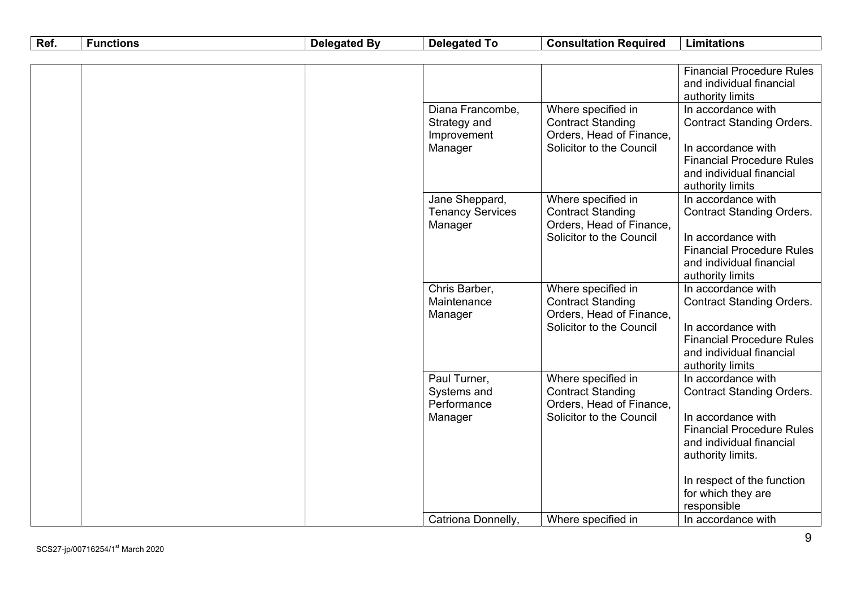| Ref. | <b>Functions</b> | <b>Delegated By</b> | <b>Delegated To</b>                                        | <b>Consultation Required</b>                                                                           | <b>Limitations</b>                                                                                                                                                |
|------|------------------|---------------------|------------------------------------------------------------|--------------------------------------------------------------------------------------------------------|-------------------------------------------------------------------------------------------------------------------------------------------------------------------|
|      |                  |                     |                                                            |                                                                                                        |                                                                                                                                                                   |
|      |                  |                     |                                                            |                                                                                                        | <b>Financial Procedure Rules</b><br>and individual financial<br>authority limits                                                                                  |
|      |                  |                     | Diana Francombe,<br>Strategy and<br>Improvement<br>Manager | Where specified in<br><b>Contract Standing</b><br>Orders, Head of Finance,<br>Solicitor to the Council | In accordance with<br><b>Contract Standing Orders.</b><br>In accordance with<br><b>Financial Procedure Rules</b><br>and individual financial<br>authority limits  |
|      |                  |                     | Jane Sheppard,<br><b>Tenancy Services</b><br>Manager       | Where specified in<br><b>Contract Standing</b><br>Orders, Head of Finance,<br>Solicitor to the Council | In accordance with<br><b>Contract Standing Orders.</b><br>In accordance with<br><b>Financial Procedure Rules</b><br>and individual financial<br>authority limits  |
|      |                  |                     | Chris Barber,<br>Maintenance<br>Manager                    | Where specified in<br><b>Contract Standing</b><br>Orders, Head of Finance,<br>Solicitor to the Council | In accordance with<br><b>Contract Standing Orders.</b><br>In accordance with<br><b>Financial Procedure Rules</b><br>and individual financial<br>authority limits  |
|      |                  |                     | Paul Turner,<br>Systems and<br>Performance<br>Manager      | Where specified in<br><b>Contract Standing</b><br>Orders, Head of Finance,<br>Solicitor to the Council | In accordance with<br><b>Contract Standing Orders.</b><br>In accordance with<br><b>Financial Procedure Rules</b><br>and individual financial<br>authority limits. |
|      |                  |                     | Catriona Donnelly,                                         | Where specified in                                                                                     | In respect of the function<br>for which they are<br>responsible<br>In accordance with                                                                             |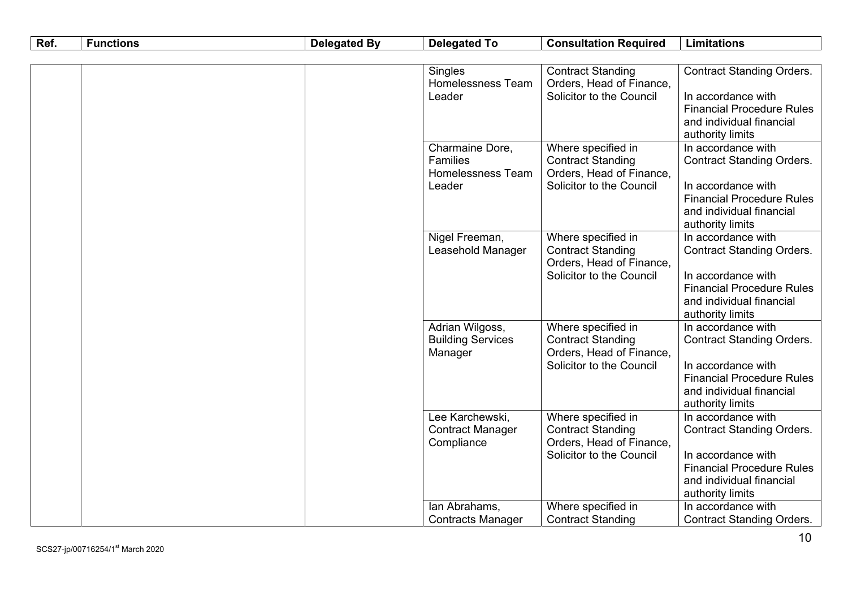| Ref. | <b>Functions</b>                                                  | <b>Delegated By</b>                                                                                    | <b>Delegated To</b>                                                                                                                                              | <b>Consultation Required</b>                                                                                                                                     | <b>Limitations</b>                                                                                                                                               |
|------|-------------------------------------------------------------------|--------------------------------------------------------------------------------------------------------|------------------------------------------------------------------------------------------------------------------------------------------------------------------|------------------------------------------------------------------------------------------------------------------------------------------------------------------|------------------------------------------------------------------------------------------------------------------------------------------------------------------|
|      |                                                                   |                                                                                                        |                                                                                                                                                                  |                                                                                                                                                                  |                                                                                                                                                                  |
|      |                                                                   |                                                                                                        | Singles<br>Homelessness Team<br>Leader                                                                                                                           | <b>Contract Standing</b><br>Orders, Head of Finance,<br>Solicitor to the Council                                                                                 | <b>Contract Standing Orders.</b><br>In accordance with<br><b>Financial Procedure Rules</b><br>and individual financial<br>authority limits                       |
|      | Charmaine Dore,<br>Families<br><b>Homelessness Team</b><br>Leader | Where specified in<br><b>Contract Standing</b><br>Orders, Head of Finance,<br>Solicitor to the Council | In accordance with<br><b>Contract Standing Orders.</b><br>In accordance with<br><b>Financial Procedure Rules</b><br>and individual financial<br>authority limits |                                                                                                                                                                  |                                                                                                                                                                  |
|      |                                                                   | Nigel Freeman,<br>Leasehold Manager                                                                    | Where specified in<br><b>Contract Standing</b><br>Orders, Head of Finance,<br>Solicitor to the Council                                                           | In accordance with<br><b>Contract Standing Orders.</b><br>In accordance with<br><b>Financial Procedure Rules</b><br>and individual financial<br>authority limits |                                                                                                                                                                  |
|      |                                                                   |                                                                                                        | Adrian Wilgoss,<br><b>Building Services</b><br>Manager                                                                                                           | Where specified in<br><b>Contract Standing</b><br>Orders, Head of Finance,<br>Solicitor to the Council                                                           | In accordance with<br><b>Contract Standing Orders.</b><br>In accordance with<br><b>Financial Procedure Rules</b><br>and individual financial<br>authority limits |
|      |                                                                   |                                                                                                        | Lee Karchewski,<br><b>Contract Manager</b><br>Compliance                                                                                                         | Where specified in<br><b>Contract Standing</b><br>Orders, Head of Finance,<br>Solicitor to the Council                                                           | In accordance with<br><b>Contract Standing Orders.</b><br>In accordance with<br><b>Financial Procedure Rules</b><br>and individual financial<br>authority limits |
|      |                                                                   |                                                                                                        | lan Abrahams,<br><b>Contracts Manager</b>                                                                                                                        | Where specified in<br><b>Contract Standing</b>                                                                                                                   | In accordance with<br><b>Contract Standing Orders.</b>                                                                                                           |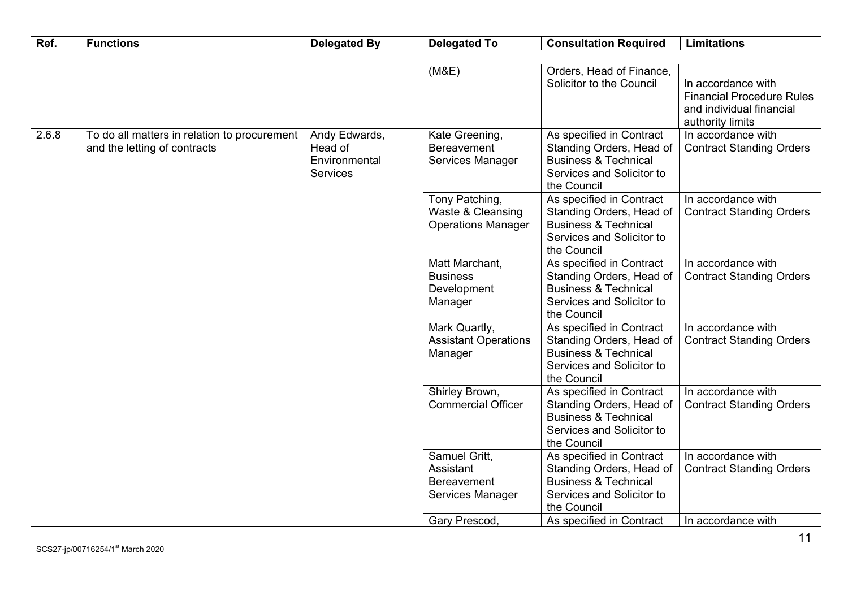| Ref.  | <b>Functions</b>                                                             | <b>Delegated By</b>                                          | <b>Delegated To</b>                                              | <b>Consultation Required</b>                                                                                                        | <b>Limitations</b>                                                                                     |
|-------|------------------------------------------------------------------------------|--------------------------------------------------------------|------------------------------------------------------------------|-------------------------------------------------------------------------------------------------------------------------------------|--------------------------------------------------------------------------------------------------------|
|       |                                                                              |                                                              |                                                                  |                                                                                                                                     |                                                                                                        |
|       |                                                                              |                                                              | (M&E)                                                            | Orders, Head of Finance,<br>Solicitor to the Council                                                                                | In accordance with<br><b>Financial Procedure Rules</b><br>and individual financial<br>authority limits |
| 2.6.8 | To do all matters in relation to procurement<br>and the letting of contracts | Andy Edwards,<br>Head of<br>Environmental<br><b>Services</b> | Kate Greening,<br><b>Bereavement</b><br>Services Manager         | As specified in Contract<br>Standing Orders, Head of<br><b>Business &amp; Technical</b><br>Services and Solicitor to<br>the Council | In accordance with<br><b>Contract Standing Orders</b>                                                  |
|       |                                                                              |                                                              | Tony Patching,<br>Waste & Cleansing<br><b>Operations Manager</b> | As specified in Contract<br>Standing Orders, Head of<br><b>Business &amp; Technical</b><br>Services and Solicitor to<br>the Council | In accordance with<br><b>Contract Standing Orders</b>                                                  |
|       |                                                                              |                                                              | Matt Marchant,<br><b>Business</b><br>Development<br>Manager      | As specified in Contract<br>Standing Orders, Head of<br><b>Business &amp; Technical</b><br>Services and Solicitor to<br>the Council | In accordance with<br><b>Contract Standing Orders</b>                                                  |
|       |                                                                              |                                                              | Mark Quartly,<br><b>Assistant Operations</b><br>Manager          | As specified in Contract<br>Standing Orders, Head of<br><b>Business &amp; Technical</b><br>Services and Solicitor to<br>the Council | In accordance with<br><b>Contract Standing Orders</b>                                                  |
|       |                                                                              |                                                              | Shirley Brown,<br><b>Commercial Officer</b>                      | As specified in Contract<br>Standing Orders, Head of<br><b>Business &amp; Technical</b><br>Services and Solicitor to<br>the Council | In accordance with<br><b>Contract Standing Orders</b>                                                  |
|       |                                                                              |                                                              | Samuel Gritt,<br>Assistant<br>Bereavement<br>Services Manager    | As specified in Contract<br>Standing Orders, Head of<br><b>Business &amp; Technical</b><br>Services and Solicitor to<br>the Council | In accordance with<br><b>Contract Standing Orders</b>                                                  |
|       |                                                                              |                                                              | Gary Prescod                                                     | As specified in Contract                                                                                                            | In accordance with                                                                                     |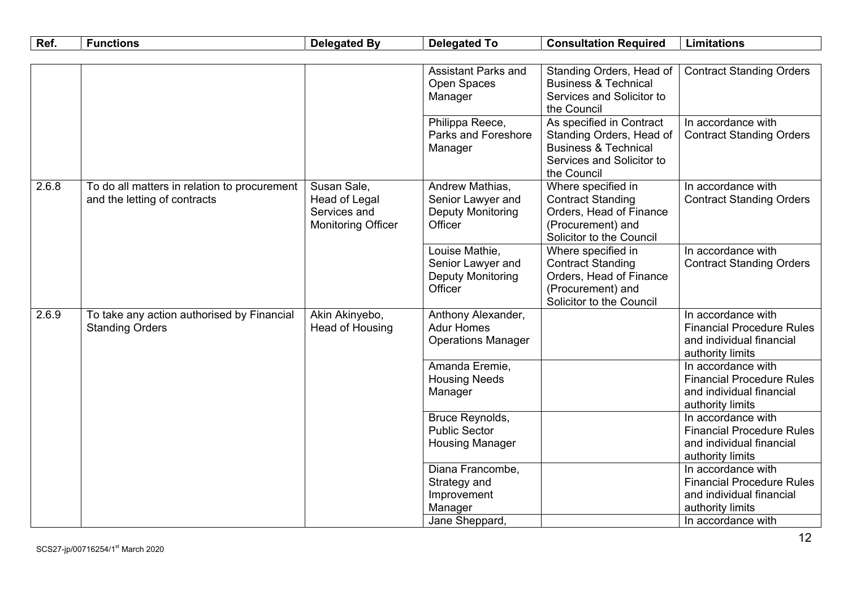| Ref.  | <b>Functions</b>                                                             | <b>Delegated By</b>                                                              | <b>Delegated To</b>                                                        | <b>Consultation Required</b>                                                                                                        | <b>Limitations</b>                                                                                     |
|-------|------------------------------------------------------------------------------|----------------------------------------------------------------------------------|----------------------------------------------------------------------------|-------------------------------------------------------------------------------------------------------------------------------------|--------------------------------------------------------------------------------------------------------|
|       |                                                                              |                                                                                  |                                                                            |                                                                                                                                     |                                                                                                        |
|       |                                                                              |                                                                                  | <b>Assistant Parks and</b><br>Open Spaces<br>Manager                       | Standing Orders, Head of<br><b>Business &amp; Technical</b><br>Services and Solicitor to<br>the Council                             | <b>Contract Standing Orders</b>                                                                        |
|       |                                                                              |                                                                                  | Philippa Reece,<br>Parks and Foreshore<br>Manager                          | As specified in Contract<br>Standing Orders, Head of<br><b>Business &amp; Technical</b><br>Services and Solicitor to<br>the Council | In accordance with<br><b>Contract Standing Orders</b>                                                  |
| 2.6.8 | To do all matters in relation to procurement<br>and the letting of contracts | Susan Sale,<br><b>Head of Legal</b><br>Services and<br><b>Monitoring Officer</b> | Andrew Mathias,<br>Senior Lawyer and<br>Deputy Monitoring<br>Officer       | Where specified in<br><b>Contract Standing</b><br>Orders, Head of Finance<br>(Procurement) and<br>Solicitor to the Council          | In accordance with<br><b>Contract Standing Orders</b>                                                  |
|       |                                                                              |                                                                                  | Louise Mathie,<br>Senior Lawyer and<br><b>Deputy Monitoring</b><br>Officer | Where specified in<br><b>Contract Standing</b><br>Orders, Head of Finance<br>(Procurement) and<br>Solicitor to the Council          | In accordance with<br><b>Contract Standing Orders</b>                                                  |
| 2.6.9 | To take any action authorised by Financial<br><b>Standing Orders</b>         | Akin Akinyebo,<br>Head of Housing                                                | Anthony Alexander,<br><b>Adur Homes</b><br><b>Operations Manager</b>       |                                                                                                                                     | In accordance with<br><b>Financial Procedure Rules</b><br>and individual financial<br>authority limits |
|       |                                                                              |                                                                                  | Amanda Eremie,<br><b>Housing Needs</b><br>Manager                          |                                                                                                                                     | In accordance with<br><b>Financial Procedure Rules</b><br>and individual financial<br>authority limits |
|       |                                                                              |                                                                                  | Bruce Reynolds,<br><b>Public Sector</b><br><b>Housing Manager</b>          |                                                                                                                                     | In accordance with<br><b>Financial Procedure Rules</b><br>and individual financial<br>authority limits |
|       |                                                                              |                                                                                  | Diana Francombe,<br>Strategy and<br>Improvement<br>Manager                 |                                                                                                                                     | In accordance with<br><b>Financial Procedure Rules</b><br>and individual financial<br>authority limits |
|       |                                                                              |                                                                                  | Jane Sheppard.                                                             |                                                                                                                                     | In accordance with                                                                                     |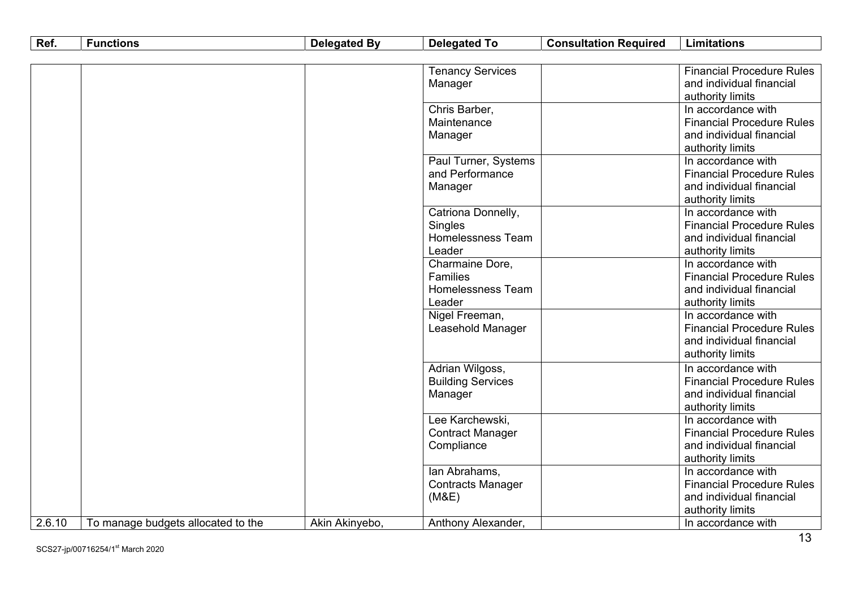| Ref.   | <b>Functions</b>                   | <b>Delegated By</b> | <b>Delegated To</b>      | <b>Consultation Required</b> | <b>Limitations</b>               |
|--------|------------------------------------|---------------------|--------------------------|------------------------------|----------------------------------|
|        |                                    |                     |                          |                              |                                  |
|        |                                    |                     | <b>Tenancy Services</b>  |                              | <b>Financial Procedure Rules</b> |
|        |                                    |                     | Manager                  |                              | and individual financial         |
|        |                                    |                     |                          |                              | authority limits                 |
|        |                                    |                     | Chris Barber,            |                              | In accordance with               |
|        |                                    |                     | Maintenance              |                              | <b>Financial Procedure Rules</b> |
|        |                                    |                     | Manager                  |                              | and individual financial         |
|        |                                    |                     |                          |                              | authority limits                 |
|        |                                    |                     | Paul Turner, Systems     |                              | In accordance with               |
|        |                                    |                     | and Performance          |                              | <b>Financial Procedure Rules</b> |
|        |                                    |                     | Manager                  |                              | and individual financial         |
|        |                                    |                     |                          |                              | authority limits                 |
|        |                                    |                     | Catriona Donnelly,       |                              | In accordance with               |
|        |                                    |                     | Singles                  |                              | <b>Financial Procedure Rules</b> |
|        |                                    |                     | Homelessness Team        |                              | and individual financial         |
|        |                                    |                     | Leader                   |                              | authority limits                 |
|        |                                    |                     | Charmaine Dore,          |                              | In accordance with               |
|        |                                    |                     | Families                 |                              | <b>Financial Procedure Rules</b> |
|        |                                    |                     | Homelessness Team        |                              | and individual financial         |
|        |                                    |                     | Leader                   |                              | authority limits                 |
|        |                                    |                     | Nigel Freeman,           |                              | In accordance with               |
|        |                                    |                     | Leasehold Manager        |                              | <b>Financial Procedure Rules</b> |
|        |                                    |                     |                          |                              | and individual financial         |
|        |                                    |                     |                          |                              | authority limits                 |
|        |                                    |                     | Adrian Wilgoss,          |                              | In accordance with               |
|        |                                    |                     | <b>Building Services</b> |                              | <b>Financial Procedure Rules</b> |
|        |                                    |                     | Manager                  |                              | and individual financial         |
|        |                                    |                     |                          |                              | authority limits                 |
|        |                                    |                     | Lee Karchewski,          |                              | In accordance with               |
|        |                                    |                     | <b>Contract Manager</b>  |                              | <b>Financial Procedure Rules</b> |
|        |                                    |                     | Compliance               |                              | and individual financial         |
|        |                                    |                     |                          |                              | authority limits                 |
|        |                                    |                     | lan Abrahams,            |                              | In accordance with               |
|        |                                    |                     | <b>Contracts Manager</b> |                              | <b>Financial Procedure Rules</b> |
|        |                                    |                     | (M&E)                    |                              | and individual financial         |
|        |                                    |                     |                          |                              | authority limits                 |
| 2.6.10 | To manage budgets allocated to the | Akin Akinyebo,      | Anthony Alexander,       |                              | In accordance with               |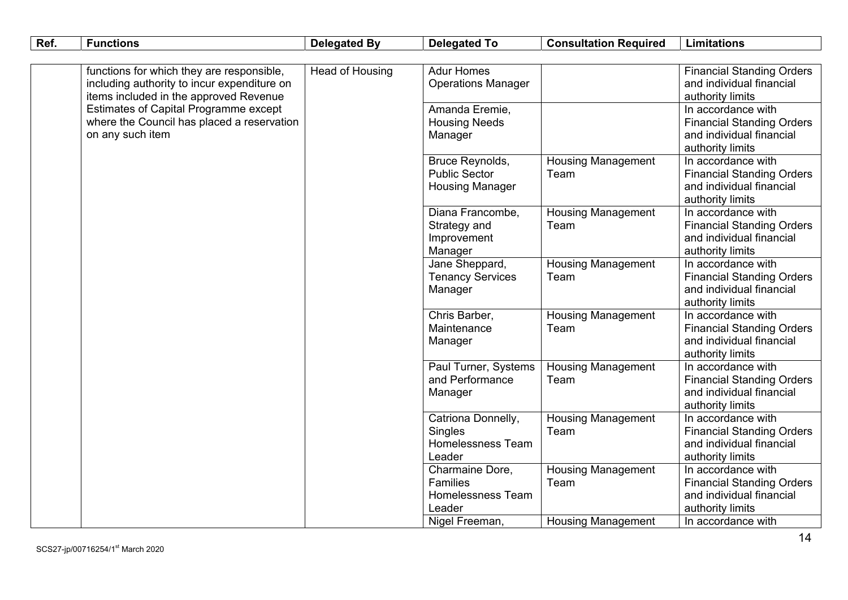| Ref. | <b>Functions</b>                             | <b>Delegated By</b> | <b>Delegated To</b>                 | <b>Consultation Required</b>      | <b>Limitations</b>                                           |
|------|----------------------------------------------|---------------------|-------------------------------------|-----------------------------------|--------------------------------------------------------------|
|      |                                              |                     |                                     |                                   |                                                              |
|      | functions for which they are responsible,    | Head of Housing     | <b>Adur Homes</b>                   |                                   | <b>Financial Standing Orders</b>                             |
|      | including authority to incur expenditure on  |                     | <b>Operations Manager</b>           |                                   | and individual financial                                     |
|      | items included in the approved Revenue       |                     |                                     |                                   | authority limits                                             |
|      | <b>Estimates of Capital Programme except</b> |                     | Amanda Eremie,                      |                                   | In accordance with                                           |
|      | where the Council has placed a reservation   |                     | <b>Housing Needs</b>                |                                   | <b>Financial Standing Orders</b>                             |
|      | on any such item                             |                     | Manager                             |                                   | and individual financial                                     |
|      |                                              |                     |                                     |                                   | authority limits                                             |
|      |                                              |                     | Bruce Reynolds,                     | <b>Housing Management</b>         | In accordance with                                           |
|      |                                              |                     | <b>Public Sector</b>                | Team                              | <b>Financial Standing Orders</b>                             |
|      |                                              |                     | <b>Housing Manager</b>              |                                   | and individual financial                                     |
|      |                                              |                     |                                     |                                   | authority limits                                             |
|      |                                              |                     | Diana Francombe,                    | <b>Housing Management</b>         | In accordance with                                           |
|      |                                              |                     | Strategy and                        | Team                              | <b>Financial Standing Orders</b>                             |
|      |                                              |                     | Improvement                         |                                   | and individual financial                                     |
|      |                                              |                     | Manager                             |                                   | authority limits                                             |
|      |                                              |                     | Jane Sheppard,                      | <b>Housing Management</b>         | In accordance with                                           |
|      |                                              |                     | <b>Tenancy Services</b>             | Team                              | <b>Financial Standing Orders</b>                             |
|      |                                              |                     | Manager                             |                                   | and individual financial                                     |
|      |                                              |                     |                                     |                                   | authority limits                                             |
|      |                                              |                     | Chris Barber,                       | <b>Housing Management</b>         | In accordance with                                           |
|      |                                              |                     | Maintenance                         | Team                              | <b>Financial Standing Orders</b>                             |
|      |                                              |                     | Manager                             |                                   | and individual financial                                     |
|      |                                              |                     |                                     |                                   | authority limits                                             |
|      |                                              |                     | Paul Turner, Systems                | <b>Housing Management</b>         | In accordance with                                           |
|      |                                              |                     | and Performance                     | Team                              | <b>Financial Standing Orders</b><br>and individual financial |
|      |                                              |                     | Manager                             |                                   |                                                              |
|      |                                              |                     |                                     |                                   | authority limits<br>In accordance with                       |
|      |                                              |                     | Catriona Donnelly,                  | <b>Housing Management</b><br>Team |                                                              |
|      |                                              |                     | Singles<br><b>Homelessness Team</b> |                                   | <b>Financial Standing Orders</b><br>and individual financial |
|      |                                              |                     |                                     |                                   |                                                              |
|      |                                              |                     | Leader                              |                                   | authority limits<br>In accordance with                       |
|      |                                              |                     | Charmaine Dore,<br>Families         | <b>Housing Management</b><br>Team | <b>Financial Standing Orders</b>                             |
|      |                                              |                     | <b>Homelessness Team</b>            |                                   | and individual financial                                     |
|      |                                              |                     | Leader                              |                                   | authority limits                                             |
|      |                                              |                     | Nigel Freeman,                      | <b>Housing Management</b>         | In accordance with                                           |
|      |                                              |                     |                                     |                                   |                                                              |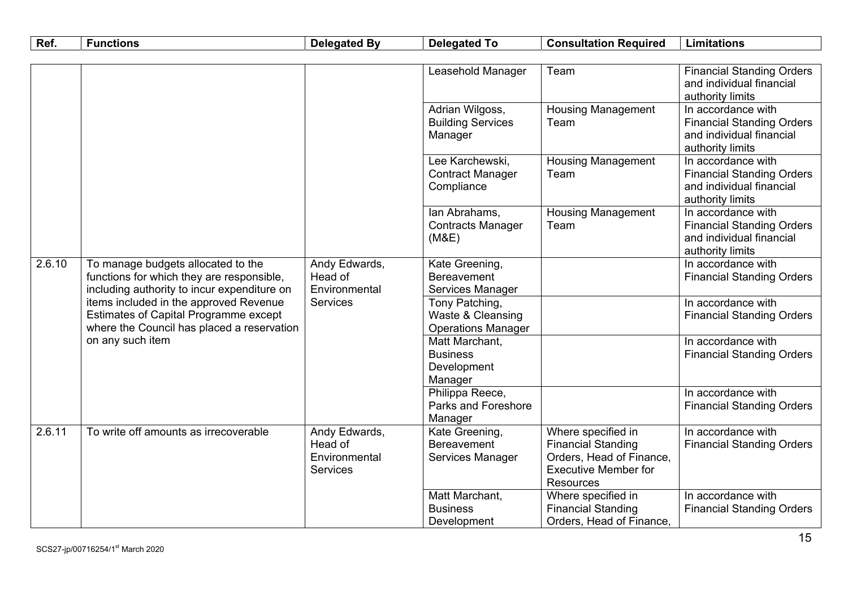| Ref.   | <b>Functions</b>                                                                | <b>Delegated By</b>              | <b>Delegated To</b>                 | <b>Consultation Required</b>           | <b>Limitations</b>                                           |
|--------|---------------------------------------------------------------------------------|----------------------------------|-------------------------------------|----------------------------------------|--------------------------------------------------------------|
|        |                                                                                 |                                  |                                     |                                        |                                                              |
|        |                                                                                 |                                  | Leasehold Manager                   | Team                                   | <b>Financial Standing Orders</b>                             |
|        |                                                                                 |                                  |                                     |                                        | and individual financial                                     |
|        |                                                                                 |                                  |                                     |                                        | authority limits                                             |
|        |                                                                                 |                                  | Adrian Wilgoss,                     | <b>Housing Management</b><br>Team      | In accordance with                                           |
|        |                                                                                 |                                  | <b>Building Services</b><br>Manager |                                        | <b>Financial Standing Orders</b><br>and individual financial |
|        |                                                                                 |                                  |                                     |                                        | authority limits                                             |
|        |                                                                                 |                                  | Lee Karchewski,                     | <b>Housing Management</b>              | In accordance with                                           |
|        |                                                                                 |                                  | <b>Contract Manager</b>             | Team                                   | <b>Financial Standing Orders</b>                             |
|        |                                                                                 |                                  | Compliance                          |                                        | and individual financial                                     |
|        |                                                                                 |                                  |                                     |                                        | authority limits                                             |
|        |                                                                                 |                                  | Ian Abrahams,                       | <b>Housing Management</b>              | In accordance with                                           |
|        |                                                                                 |                                  | <b>Contracts Manager</b>            | Team                                   | <b>Financial Standing Orders</b>                             |
|        |                                                                                 |                                  | (M&E)                               |                                        | and individual financial                                     |
|        |                                                                                 |                                  |                                     |                                        | authority limits                                             |
| 2.6.10 | To manage budgets allocated to the                                              | Andy Edwards,                    | Kate Greening,                      |                                        | In accordance with                                           |
|        | functions for which they are responsible,                                       | Head of                          | Bereavement                         |                                        | <b>Financial Standing Orders</b>                             |
|        | including authority to incur expenditure on                                     | Environmental<br><b>Services</b> | Services Manager                    |                                        | In accordance with                                           |
|        | items included in the approved Revenue<br>Estimates of Capital Programme except |                                  | Tony Patching,<br>Waste & Cleansing |                                        |                                                              |
|        | where the Council has placed a reservation                                      |                                  | <b>Operations Manager</b>           |                                        | <b>Financial Standing Orders</b>                             |
|        | on any such item                                                                |                                  | Matt Marchant,                      |                                        | In accordance with                                           |
|        |                                                                                 |                                  | <b>Business</b>                     |                                        | <b>Financial Standing Orders</b>                             |
|        |                                                                                 |                                  | Development                         |                                        |                                                              |
|        |                                                                                 |                                  | Manager                             |                                        |                                                              |
|        |                                                                                 |                                  | Philippa Reece,                     |                                        | In accordance with                                           |
|        |                                                                                 |                                  | Parks and Foreshore                 |                                        | <b>Financial Standing Orders</b>                             |
|        |                                                                                 |                                  | Manager                             |                                        |                                                              |
| 2.6.11 | To write off amounts as irrecoverable                                           | Andy Edwards,                    | Kate Greening,                      | Where specified in                     | In accordance with                                           |
|        |                                                                                 | Head of                          | <b>Bereavement</b>                  | <b>Financial Standing</b>              | <b>Financial Standing Orders</b>                             |
|        |                                                                                 | Environmental                    | Services Manager                    | Orders, Head of Finance,               |                                                              |
|        |                                                                                 | <b>Services</b>                  |                                     | <b>Executive Member for</b>            |                                                              |
|        |                                                                                 |                                  | Matt Marchant,                      | <b>Resources</b><br>Where specified in | In accordance with                                           |
|        |                                                                                 |                                  | <b>Business</b>                     | <b>Financial Standing</b>              | <b>Financial Standing Orders</b>                             |
|        |                                                                                 |                                  | Development                         | Orders, Head of Finance.               |                                                              |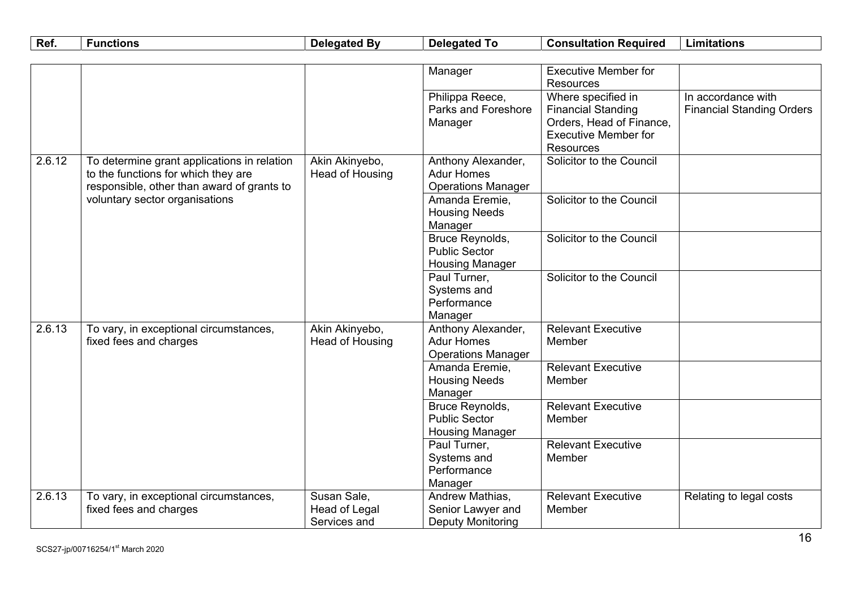| Ref.   | <b>Functions</b>                                                                   | <b>Delegated By</b>               | <b>Delegated To</b>                     | <b>Consultation Required</b>        | <b>Limitations</b>               |
|--------|------------------------------------------------------------------------------------|-----------------------------------|-----------------------------------------|-------------------------------------|----------------------------------|
|        |                                                                                    |                                   |                                         |                                     |                                  |
|        |                                                                                    |                                   | Manager                                 | <b>Executive Member for</b>         |                                  |
|        |                                                                                    |                                   |                                         | Resources                           |                                  |
|        |                                                                                    |                                   | Philippa Reece,                         | Where specified in                  | In accordance with               |
|        |                                                                                    |                                   | Parks and Foreshore                     | <b>Financial Standing</b>           | <b>Financial Standing Orders</b> |
|        |                                                                                    |                                   | Manager                                 | Orders, Head of Finance,            |                                  |
|        |                                                                                    |                                   |                                         | <b>Executive Member for</b>         |                                  |
|        |                                                                                    |                                   |                                         | <b>Resources</b>                    |                                  |
| 2.6.12 | To determine grant applications in relation<br>to the functions for which they are | Akin Akinyebo,<br>Head of Housing | Anthony Alexander,<br><b>Adur Homes</b> | Solicitor to the Council            |                                  |
|        | responsible, other than award of grants to                                         |                                   | <b>Operations Manager</b>               |                                     |                                  |
|        | voluntary sector organisations                                                     |                                   | Amanda Eremie,                          | Solicitor to the Council            |                                  |
|        |                                                                                    |                                   | <b>Housing Needs</b>                    |                                     |                                  |
|        |                                                                                    |                                   | Manager                                 |                                     |                                  |
|        |                                                                                    |                                   | Bruce Reynolds,                         | Solicitor to the Council            |                                  |
|        |                                                                                    |                                   | <b>Public Sector</b>                    |                                     |                                  |
|        |                                                                                    |                                   | <b>Housing Manager</b>                  |                                     |                                  |
|        |                                                                                    |                                   | Paul Turner,                            | Solicitor to the Council            |                                  |
|        |                                                                                    |                                   | Systems and                             |                                     |                                  |
|        |                                                                                    |                                   | Performance                             |                                     |                                  |
|        |                                                                                    |                                   | Manager                                 |                                     |                                  |
| 2.6.13 | To vary, in exceptional circumstances,                                             | Akin Akinyebo,                    | Anthony Alexander,                      | <b>Relevant Executive</b>           |                                  |
|        | fixed fees and charges                                                             | Head of Housing                   | <b>Adur Homes</b>                       | Member                              |                                  |
|        |                                                                                    |                                   | <b>Operations Manager</b>               |                                     |                                  |
|        |                                                                                    |                                   | Amanda Eremie,                          | Relevant Executive                  |                                  |
|        |                                                                                    |                                   | <b>Housing Needs</b>                    | Member                              |                                  |
|        |                                                                                    |                                   | Manager                                 |                                     |                                  |
|        |                                                                                    |                                   | <b>Bruce Reynolds,</b>                  | <b>Relevant Executive</b>           |                                  |
|        |                                                                                    |                                   | <b>Public Sector</b>                    | Member                              |                                  |
|        |                                                                                    |                                   | <b>Housing Manager</b>                  |                                     |                                  |
|        |                                                                                    |                                   | Paul Turner,<br>Systems and             | <b>Relevant Executive</b><br>Member |                                  |
|        |                                                                                    |                                   | Performance                             |                                     |                                  |
|        |                                                                                    |                                   | Manager                                 |                                     |                                  |
| 2.6.13 | To vary, in exceptional circumstances,                                             | Susan Sale,                       | Andrew Mathias,                         | <b>Relevant Executive</b>           | Relating to legal costs          |
|        | fixed fees and charges                                                             | <b>Head of Legal</b>              | Senior Lawyer and                       | Member                              |                                  |
|        |                                                                                    | Services and                      | Deputy Monitoring                       |                                     |                                  |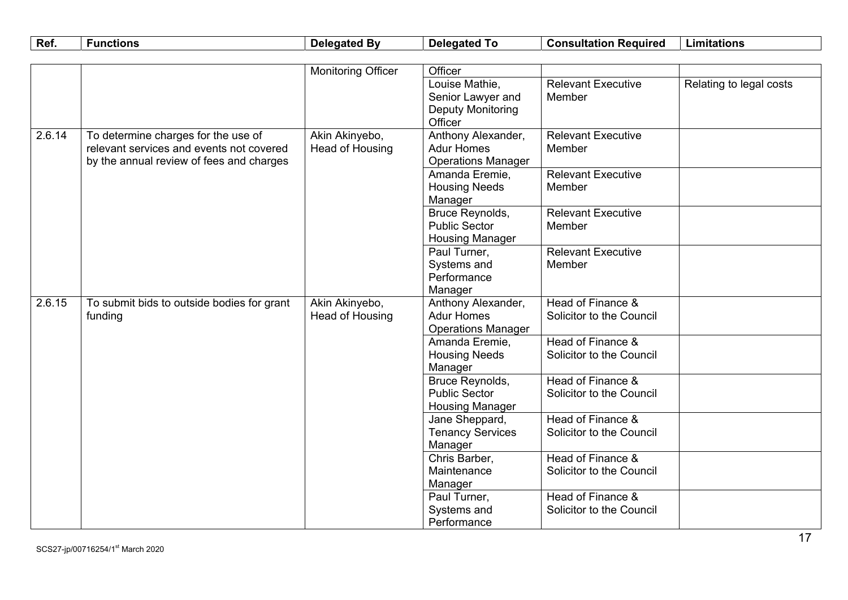| Ref.   | <b>Functions</b>                           | <b>Delegated By</b>       | <b>Delegated To</b>                | <b>Consultation Required</b> | <b>Limitations</b>      |
|--------|--------------------------------------------|---------------------------|------------------------------------|------------------------------|-------------------------|
|        |                                            |                           |                                    |                              |                         |
|        |                                            | <b>Monitoring Officer</b> | Officer                            |                              |                         |
|        |                                            |                           | Louise Mathie,                     | <b>Relevant Executive</b>    | Relating to legal costs |
|        |                                            |                           | Senior Lawyer and                  | Member                       |                         |
|        |                                            |                           | <b>Deputy Monitoring</b>           |                              |                         |
|        |                                            |                           | Officer                            |                              |                         |
| 2.6.14 | To determine charges for the use of        | Akin Akinyebo,            | Anthony Alexander,                 | <b>Relevant Executive</b>    |                         |
|        | relevant services and events not covered   | Head of Housing           | <b>Adur Homes</b>                  | Member                       |                         |
|        | by the annual review of fees and charges   |                           | <b>Operations Manager</b>          | <b>Relevant Executive</b>    |                         |
|        |                                            |                           | Amanda Eremie,                     | Member                       |                         |
|        |                                            |                           | <b>Housing Needs</b><br>Manager    |                              |                         |
|        |                                            |                           | Bruce Reynolds,                    | <b>Relevant Executive</b>    |                         |
|        |                                            |                           | <b>Public Sector</b>               | Member                       |                         |
|        |                                            |                           | <b>Housing Manager</b>             |                              |                         |
|        |                                            |                           | Paul Turner,                       | <b>Relevant Executive</b>    |                         |
|        |                                            |                           | Systems and                        | Member                       |                         |
|        |                                            |                           | Performance                        |                              |                         |
|        |                                            |                           | Manager                            |                              |                         |
| 2.6.15 | To submit bids to outside bodies for grant | Akin Akinyebo,            | Anthony Alexander,                 | Head of Finance &            |                         |
|        | funding                                    | Head of Housing           | <b>Adur Homes</b>                  | Solicitor to the Council     |                         |
|        |                                            |                           | <b>Operations Manager</b>          |                              |                         |
|        |                                            |                           | Amanda Eremie,                     | Head of Finance &            |                         |
|        |                                            |                           | <b>Housing Needs</b>               | Solicitor to the Council     |                         |
|        |                                            |                           | Manager                            |                              |                         |
|        |                                            |                           | <b>Bruce Reynolds,</b>             | Head of Finance &            |                         |
|        |                                            |                           | <b>Public Sector</b>               | Solicitor to the Council     |                         |
|        |                                            |                           | <b>Housing Manager</b>             | Head of Finance &            |                         |
|        |                                            |                           | Jane Sheppard,                     | Solicitor to the Council     |                         |
|        |                                            |                           | <b>Tenancy Services</b><br>Manager |                              |                         |
|        |                                            |                           | Chris Barber,                      | Head of Finance &            |                         |
|        |                                            |                           | Maintenance                        | Solicitor to the Council     |                         |
|        |                                            |                           | Manager                            |                              |                         |
|        |                                            |                           | Paul Turner,                       | Head of Finance &            |                         |
|        |                                            |                           | Systems and                        | Solicitor to the Council     |                         |
|        |                                            |                           | Performance                        |                              |                         |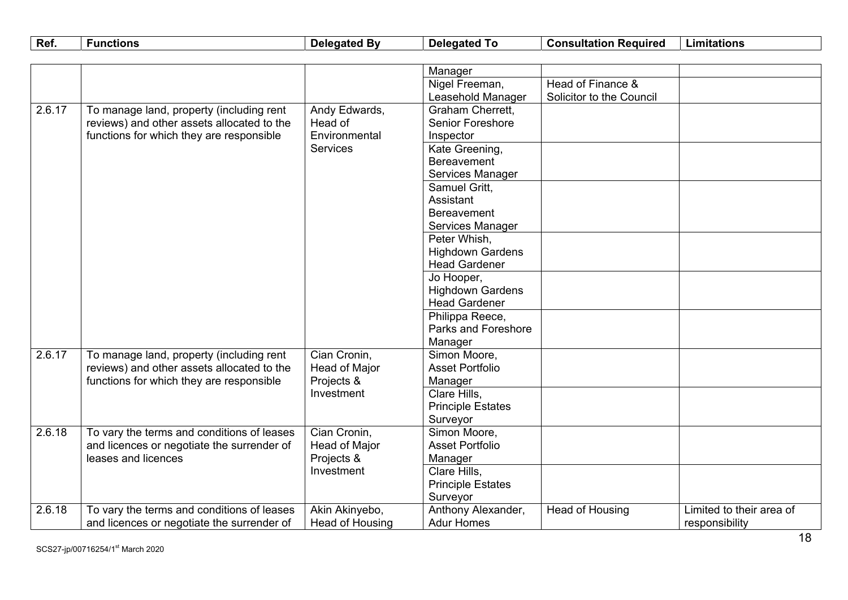| Ref.   | <b>Functions</b>                           | <b>Delegated By</b> | <b>Delegated To</b>      | <b>Consultation Required</b> | <b>Limitations</b>       |
|--------|--------------------------------------------|---------------------|--------------------------|------------------------------|--------------------------|
|        |                                            |                     |                          |                              |                          |
|        |                                            |                     | Manager                  |                              |                          |
|        |                                            |                     | Nigel Freeman,           | Head of Finance &            |                          |
|        |                                            |                     | Leasehold Manager        | Solicitor to the Council     |                          |
| 2.6.17 | To manage land, property (including rent   | Andy Edwards,       | Graham Cherrett,         |                              |                          |
|        | reviews) and other assets allocated to the | Head of             | <b>Senior Foreshore</b>  |                              |                          |
|        | functions for which they are responsible   | Environmental       | Inspector                |                              |                          |
|        |                                            | <b>Services</b>     | Kate Greening,           |                              |                          |
|        |                                            |                     | <b>Bereavement</b>       |                              |                          |
|        |                                            |                     | Services Manager         |                              |                          |
|        |                                            |                     | Samuel Gritt,            |                              |                          |
|        |                                            |                     | Assistant                |                              |                          |
|        |                                            |                     | <b>Bereavement</b>       |                              |                          |
|        |                                            |                     | Services Manager         |                              |                          |
|        |                                            |                     | Peter Whish,             |                              |                          |
|        |                                            |                     | <b>Highdown Gardens</b>  |                              |                          |
|        |                                            |                     | <b>Head Gardener</b>     |                              |                          |
|        |                                            |                     | Jo Hooper,               |                              |                          |
|        |                                            |                     | <b>Highdown Gardens</b>  |                              |                          |
|        |                                            |                     | <b>Head Gardener</b>     |                              |                          |
|        |                                            |                     | Philippa Reece,          |                              |                          |
|        |                                            |                     | Parks and Foreshore      |                              |                          |
|        |                                            |                     | Manager                  |                              |                          |
| 2.6.17 | To manage land, property (including rent   | Cian Cronin,        | Simon Moore,             |                              |                          |
|        | reviews) and other assets allocated to the | Head of Major       | <b>Asset Portfolio</b>   |                              |                          |
|        | functions for which they are responsible   | Projects &          | Manager                  |                              |                          |
|        |                                            | Investment          | Clare Hills,             |                              |                          |
|        |                                            |                     | <b>Principle Estates</b> |                              |                          |
|        |                                            |                     | Surveyor                 |                              |                          |
| 2.6.18 | To vary the terms and conditions of leases | Cian Cronin,        | Simon Moore,             |                              |                          |
|        | and licences or negotiate the surrender of | Head of Major       | <b>Asset Portfolio</b>   |                              |                          |
|        | leases and licences                        | Projects &          | Manager                  |                              |                          |
|        |                                            | Investment          | Clare Hills,             |                              |                          |
|        |                                            |                     | <b>Principle Estates</b> |                              |                          |
|        |                                            |                     | Surveyor                 |                              |                          |
| 2.6.18 | To vary the terms and conditions of leases | Akin Akinyebo,      | Anthony Alexander,       | Head of Housing              | Limited to their area of |
|        | and licences or negotiate the surrender of | Head of Housing     | <b>Adur Homes</b>        |                              | responsibility           |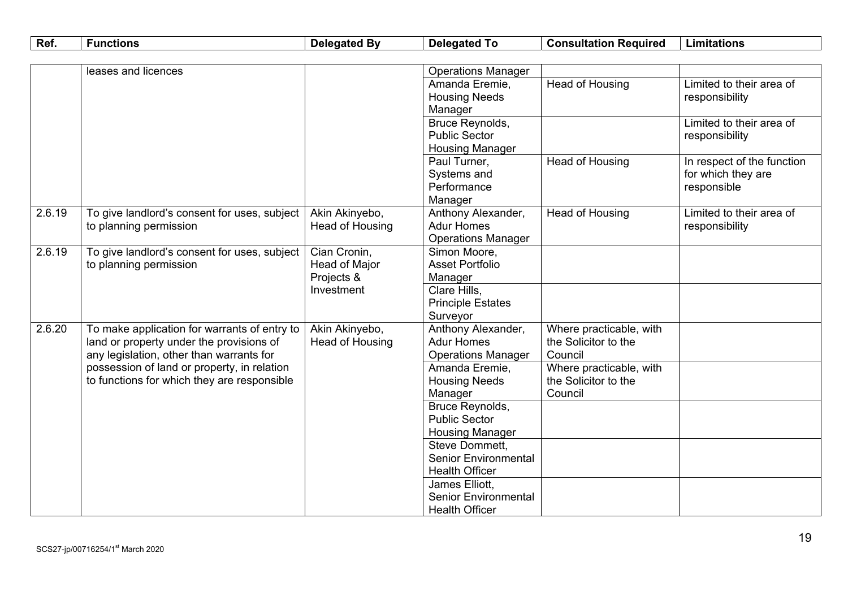| <b>Operations Manager</b><br>leases and licences                                                                                              |  |
|-----------------------------------------------------------------------------------------------------------------------------------------------|--|
|                                                                                                                                               |  |
|                                                                                                                                               |  |
| Amanda Eremie,<br>Head of Housing<br>Limited to their area of                                                                                 |  |
| <b>Housing Needs</b><br>responsibility                                                                                                        |  |
| Manager                                                                                                                                       |  |
| Bruce Reynolds,<br>Limited to their area of                                                                                                   |  |
| <b>Public Sector</b><br>responsibility                                                                                                        |  |
| <b>Housing Manager</b>                                                                                                                        |  |
| <b>Head of Housing</b><br>In respect of the function<br>Paul Turner,                                                                          |  |
| Systems and<br>for which they are                                                                                                             |  |
| Performance<br>responsible                                                                                                                    |  |
| Manager                                                                                                                                       |  |
| 2.6.19<br>Akin Akinyebo,<br>Head of Housing<br>To give landlord's consent for uses, subject<br>Anthony Alexander,<br>Limited to their area of |  |
| <b>Adur Homes</b><br>to planning permission<br>Head of Housing<br>responsibility                                                              |  |
| <b>Operations Manager</b>                                                                                                                     |  |
| 2.6.19<br>To give landlord's consent for uses, subject<br>Cian Cronin,<br>Simon Moore,                                                        |  |
| <b>Asset Portfolio</b><br>to planning permission<br>Head of Major                                                                             |  |
| Projects &<br>Manager                                                                                                                         |  |
| Investment<br>Clare Hills,                                                                                                                    |  |
| <b>Principle Estates</b>                                                                                                                      |  |
| Surveyor                                                                                                                                      |  |
| 2.6.20<br>Akin Akinyebo,<br>To make application for warrants of entry to<br>Anthony Alexander,<br>Where practicable, with                     |  |
| <b>Adur Homes</b><br>the Solicitor to the<br>land or property under the provisions of<br>Head of Housing                                      |  |
| any legislation, other than warrants for<br>Council<br><b>Operations Manager</b>                                                              |  |
| possession of land or property, in relation<br>Where practicable, with<br>Amanda Eremie,                                                      |  |
| to functions for which they are responsible<br>the Solicitor to the<br><b>Housing Needs</b>                                                   |  |
| Council<br>Manager                                                                                                                            |  |
| Bruce Reynolds,<br><b>Public Sector</b>                                                                                                       |  |
|                                                                                                                                               |  |
| <b>Housing Manager</b><br>Steve Dommett,                                                                                                      |  |
| <b>Senior Environmental</b>                                                                                                                   |  |
| <b>Health Officer</b>                                                                                                                         |  |
| James Elliott,                                                                                                                                |  |
| <b>Senior Environmental</b>                                                                                                                   |  |
| <b>Health Officer</b>                                                                                                                         |  |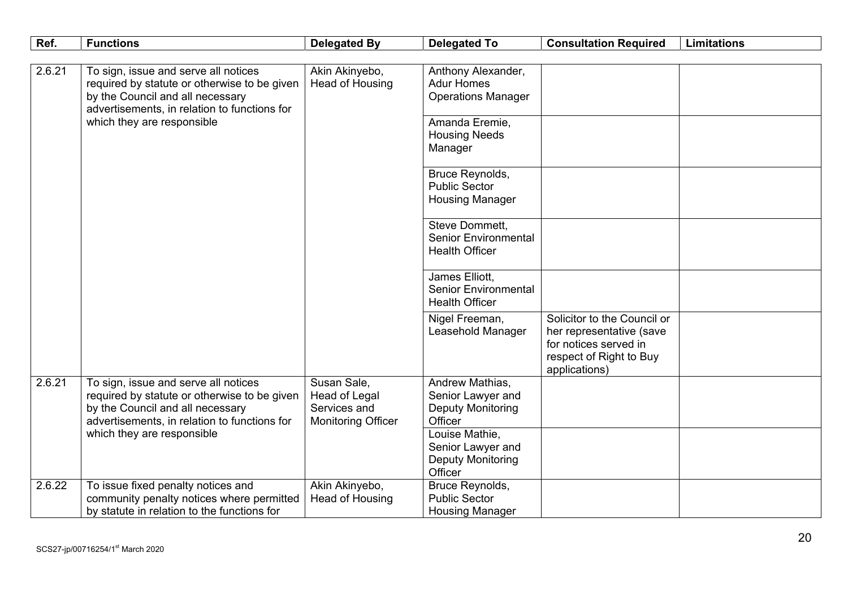| Ref.                | <b>Functions</b>                                                                                                                                                         | <b>Delegated By</b>                                                       | <b>Delegated To</b>                                                         | <b>Consultation Required</b>                                                                                                 | <b>Limitations</b> |
|---------------------|--------------------------------------------------------------------------------------------------------------------------------------------------------------------------|---------------------------------------------------------------------------|-----------------------------------------------------------------------------|------------------------------------------------------------------------------------------------------------------------------|--------------------|
|                     |                                                                                                                                                                          |                                                                           |                                                                             |                                                                                                                              |                    |
| 2.6.21              | To sign, issue and serve all notices<br>required by statute or otherwise to be given<br>by the Council and all necessary<br>advertisements, in relation to functions for | Akin Akinyebo,<br>Head of Housing                                         | Anthony Alexander,<br><b>Adur Homes</b><br><b>Operations Manager</b>        |                                                                                                                              |                    |
|                     | which they are responsible                                                                                                                                               |                                                                           | Amanda Eremie,<br><b>Housing Needs</b><br>Manager                           |                                                                                                                              |                    |
|                     |                                                                                                                                                                          |                                                                           | Bruce Reynolds,<br><b>Public Sector</b><br><b>Housing Manager</b>           |                                                                                                                              |                    |
|                     |                                                                                                                                                                          |                                                                           | Steve Dommett,<br><b>Senior Environmental</b><br><b>Health Officer</b>      |                                                                                                                              |                    |
|                     |                                                                                                                                                                          |                                                                           | James Elliott,<br><b>Senior Environmental</b><br><b>Health Officer</b>      |                                                                                                                              |                    |
|                     |                                                                                                                                                                          |                                                                           | Nigel Freeman,<br>Leasehold Manager                                         | Solicitor to the Council or<br>her representative (save<br>for notices served in<br>respect of Right to Buy<br>applications) |                    |
| $\overline{2.6.21}$ | To sign, issue and serve all notices<br>required by statute or otherwise to be given<br>by the Council and all necessary<br>advertisements, in relation to functions for | Susan Sale,<br>Head of Legal<br>Services and<br><b>Monitoring Officer</b> | Andrew Mathias,<br>Senior Lawyer and<br><b>Deputy Monitoring</b><br>Officer |                                                                                                                              |                    |
|                     | which they are responsible                                                                                                                                               |                                                                           | Louise Mathie,<br>Senior Lawyer and<br><b>Deputy Monitoring</b><br>Officer  |                                                                                                                              |                    |
| 2.6.22              | To issue fixed penalty notices and<br>community penalty notices where permitted<br>by statute in relation to the functions for                                           | Akin Akinyebo,<br>Head of Housing                                         | Bruce Reynolds,<br><b>Public Sector</b><br><b>Housing Manager</b>           |                                                                                                                              |                    |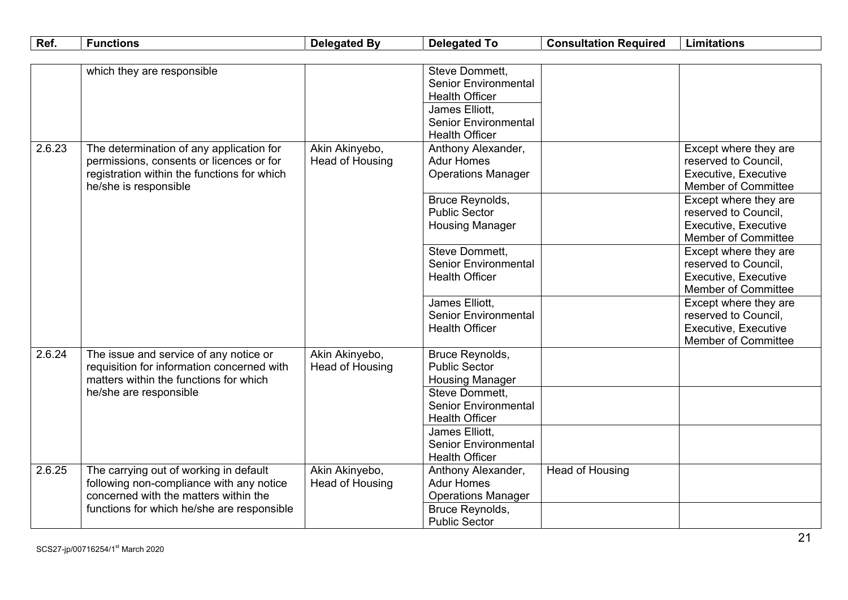| Ref.   | <b>Functions</b>                            | <b>Delegated By</b> | <b>Delegated To</b>         | <b>Consultation Required</b> | <b>Limitations</b>          |
|--------|---------------------------------------------|---------------------|-----------------------------|------------------------------|-----------------------------|
|        |                                             |                     |                             |                              |                             |
|        | which they are responsible                  |                     | Steve Dommett,              |                              |                             |
|        |                                             |                     | <b>Senior Environmental</b> |                              |                             |
|        |                                             |                     | <b>Health Officer</b>       |                              |                             |
|        |                                             |                     | James Elliott,              |                              |                             |
|        |                                             |                     | <b>Senior Environmental</b> |                              |                             |
|        |                                             |                     | <b>Health Officer</b>       |                              |                             |
| 2.6.23 | The determination of any application for    | Akin Akinyebo,      | Anthony Alexander,          |                              | Except where they are       |
|        | permissions, consents or licences or for    | Head of Housing     | <b>Adur Homes</b>           |                              | reserved to Council,        |
|        | registration within the functions for which |                     | <b>Operations Manager</b>   |                              | Executive, Executive        |
|        | he/she is responsible                       |                     |                             |                              | <b>Member of Committee</b>  |
|        |                                             |                     | Bruce Reynolds,             |                              | Except where they are       |
|        |                                             |                     | <b>Public Sector</b>        |                              | reserved to Council,        |
|        |                                             |                     | <b>Housing Manager</b>      |                              | Executive, Executive        |
|        |                                             |                     |                             |                              | <b>Member of Committee</b>  |
|        |                                             |                     | Steve Dommett,              |                              | Except where they are       |
|        |                                             |                     | <b>Senior Environmental</b> |                              | reserved to Council,        |
|        |                                             |                     | <b>Health Officer</b>       |                              | <b>Executive, Executive</b> |
|        |                                             |                     |                             |                              | <b>Member of Committee</b>  |
|        |                                             |                     | James Elliott,              |                              | Except where they are       |
|        |                                             |                     | <b>Senior Environmental</b> |                              | reserved to Council,        |
|        |                                             |                     | <b>Health Officer</b>       |                              | <b>Executive, Executive</b> |
|        |                                             |                     |                             |                              | <b>Member of Committee</b>  |
| 2.6.24 | The issue and service of any notice or      | Akin Akinyebo,      | <b>Bruce Reynolds,</b>      |                              |                             |
|        | requisition for information concerned with  | Head of Housing     | <b>Public Sector</b>        |                              |                             |
|        | matters within the functions for which      |                     | <b>Housing Manager</b>      |                              |                             |
|        | he/she are responsible                      |                     | Steve Dommett.              |                              |                             |
|        |                                             |                     | <b>Senior Environmental</b> |                              |                             |
|        |                                             |                     | <b>Health Officer</b>       |                              |                             |
|        |                                             |                     | James Elliott,              |                              |                             |
|        |                                             |                     | <b>Senior Environmental</b> |                              |                             |
|        |                                             |                     | <b>Health Officer</b>       |                              |                             |
| 2.6.25 | The carrying out of working in default      | Akin Akinyebo,      | Anthony Alexander,          | Head of Housing              |                             |
|        | following non-compliance with any notice    | Head of Housing     | <b>Adur Homes</b>           |                              |                             |
|        | concerned with the matters within the       |                     | <b>Operations Manager</b>   |                              |                             |
|        | functions for which he/she are responsible  |                     | Bruce Reynolds,             |                              |                             |
|        |                                             |                     | <b>Public Sector</b>        |                              |                             |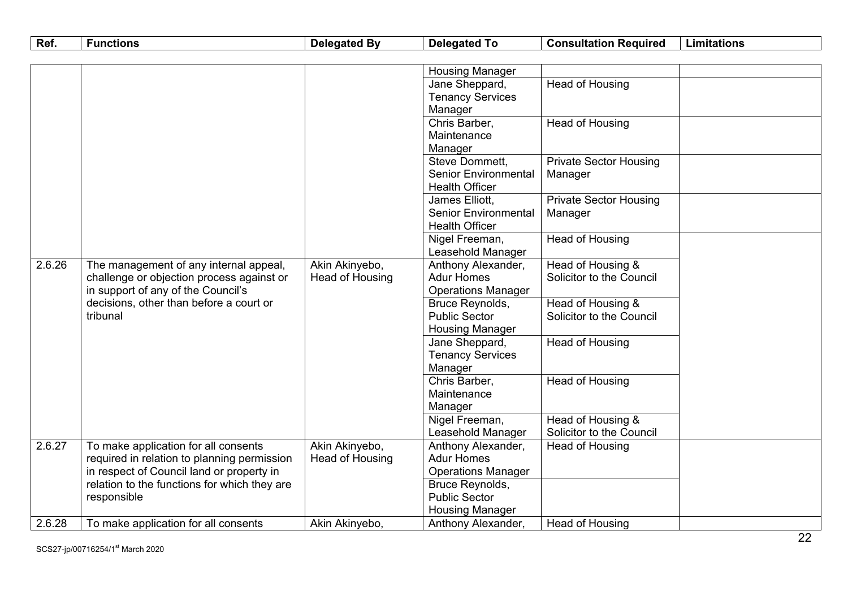| Ref.   | <b>Functions</b>                             | <b>Delegated By</b> | <b>Delegated To</b>         | <b>Consultation Required</b>  | <b>Limitations</b> |
|--------|----------------------------------------------|---------------------|-----------------------------|-------------------------------|--------------------|
|        |                                              |                     |                             |                               |                    |
|        |                                              |                     | <b>Housing Manager</b>      |                               |                    |
|        |                                              |                     | Jane Sheppard,              | Head of Housing               |                    |
|        |                                              |                     | <b>Tenancy Services</b>     |                               |                    |
|        |                                              |                     | Manager                     |                               |                    |
|        |                                              |                     | Chris Barber,               | <b>Head of Housing</b>        |                    |
|        |                                              |                     | Maintenance                 |                               |                    |
|        |                                              |                     | Manager                     |                               |                    |
|        |                                              |                     | Steve Dommett,              | <b>Private Sector Housing</b> |                    |
|        |                                              |                     | <b>Senior Environmental</b> | Manager                       |                    |
|        |                                              |                     | <b>Health Officer</b>       |                               |                    |
|        |                                              |                     | James Elliott,              | <b>Private Sector Housing</b> |                    |
|        |                                              |                     | <b>Senior Environmental</b> | Manager                       |                    |
|        |                                              |                     | <b>Health Officer</b>       |                               |                    |
|        |                                              |                     | Nigel Freeman,              | Head of Housing               |                    |
|        |                                              |                     | Leasehold Manager           |                               |                    |
| 2.6.26 | The management of any internal appeal,       | Akin Akinyebo,      | Anthony Alexander,          | Head of Housing &             |                    |
|        | challenge or objection process against or    | Head of Housing     | <b>Adur Homes</b>           | Solicitor to the Council      |                    |
|        | in support of any of the Council's           |                     | <b>Operations Manager</b>   |                               |                    |
|        | decisions, other than before a court or      |                     | Bruce Reynolds,             | Head of Housing &             |                    |
|        | tribunal                                     |                     | <b>Public Sector</b>        | Solicitor to the Council      |                    |
|        |                                              |                     | <b>Housing Manager</b>      |                               |                    |
|        |                                              |                     | Jane Sheppard,              | Head of Housing               |                    |
|        |                                              |                     | <b>Tenancy Services</b>     |                               |                    |
|        |                                              |                     | Manager                     |                               |                    |
|        |                                              |                     | Chris Barber,               | Head of Housing               |                    |
|        |                                              |                     | Maintenance                 |                               |                    |
|        |                                              |                     | Manager<br>Nigel Freeman,   | Head of Housing &             |                    |
|        |                                              |                     | Leasehold Manager           | Solicitor to the Council      |                    |
| 2.6.27 | To make application for all consents         | Akin Akinyebo,      | Anthony Alexander,          | Head of Housing               |                    |
|        | required in relation to planning permission  | Head of Housing     | <b>Adur Homes</b>           |                               |                    |
|        | in respect of Council land or property in    |                     | <b>Operations Manager</b>   |                               |                    |
|        | relation to the functions for which they are |                     | Bruce Reynolds,             |                               |                    |
|        | responsible                                  |                     | <b>Public Sector</b>        |                               |                    |
|        |                                              |                     | <b>Housing Manager</b>      |                               |                    |
| 2.6.28 | To make application for all consents         | Akin Akinyebo,      | Anthony Alexander,          | <b>Head of Housing</b>        |                    |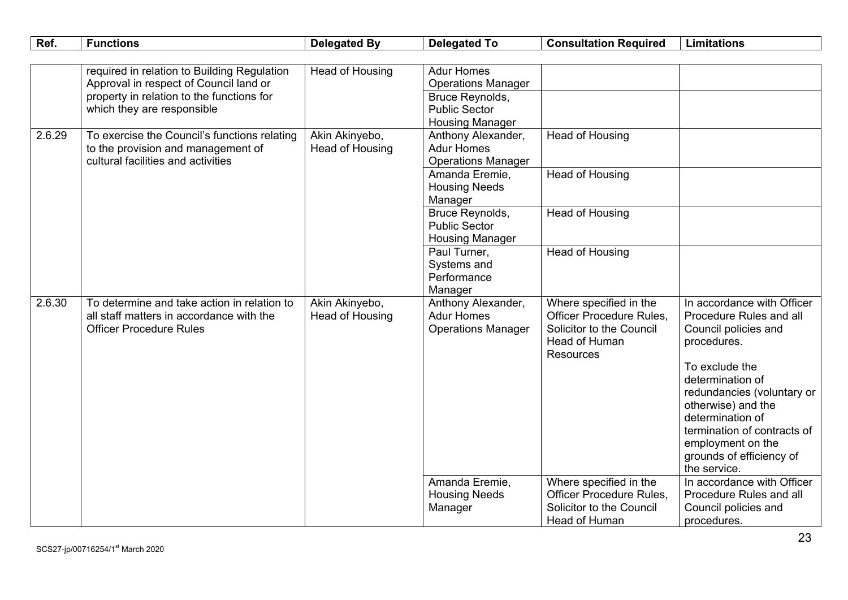| Ref.   | <b>Functions</b>                             | <b>Delegated By</b> | <b>Delegated To</b>                     | <b>Consultation Required</b>    | <b>Limitations</b>                       |
|--------|----------------------------------------------|---------------------|-----------------------------------------|---------------------------------|------------------------------------------|
|        |                                              |                     |                                         |                                 |                                          |
|        | required in relation to Building Regulation  | Head of Housing     | <b>Adur Homes</b>                       |                                 |                                          |
|        | Approval in respect of Council land or       |                     | <b>Operations Manager</b>               |                                 |                                          |
|        | property in relation to the functions for    |                     | <b>Bruce Reynolds,</b>                  |                                 |                                          |
|        | which they are responsible                   |                     | <b>Public Sector</b>                    |                                 |                                          |
|        |                                              |                     | <b>Housing Manager</b>                  |                                 |                                          |
| 2.6.29 | To exercise the Council's functions relating | Akin Akinyebo,      | Anthony Alexander,                      | <b>Head of Housing</b>          |                                          |
|        | to the provision and management of           | Head of Housing     | <b>Adur Homes</b>                       |                                 |                                          |
|        | cultural facilities and activities           |                     | <b>Operations Manager</b>               |                                 |                                          |
|        |                                              |                     | Amanda Eremie,                          | <b>Head of Housing</b>          |                                          |
|        |                                              |                     | <b>Housing Needs</b>                    |                                 |                                          |
|        |                                              |                     | Manager                                 |                                 |                                          |
|        |                                              |                     | Bruce Reynolds,<br><b>Public Sector</b> | <b>Head of Housing</b>          |                                          |
|        |                                              |                     | <b>Housing Manager</b>                  |                                 |                                          |
|        |                                              |                     | Paul Turner,                            | <b>Head of Housing</b>          |                                          |
|        |                                              |                     | Systems and                             |                                 |                                          |
|        |                                              |                     | Performance                             |                                 |                                          |
|        |                                              |                     | Manager                                 |                                 |                                          |
| 2.6.30 | To determine and take action in relation to  | Akin Akinyebo,      | Anthony Alexander,                      | Where specified in the          | In accordance with Officer               |
|        | all staff matters in accordance with the     | Head of Housing     | <b>Adur Homes</b>                       | <b>Officer Procedure Rules,</b> | Procedure Rules and all                  |
|        | <b>Officer Procedure Rules</b>               |                     | <b>Operations Manager</b>               | Solicitor to the Council        | Council policies and                     |
|        |                                              |                     |                                         | Head of Human                   | procedures.                              |
|        |                                              |                     |                                         | <b>Resources</b>                |                                          |
|        |                                              |                     |                                         |                                 | To exclude the                           |
|        |                                              |                     |                                         |                                 | determination of                         |
|        |                                              |                     |                                         |                                 | redundancies (voluntary or               |
|        |                                              |                     |                                         |                                 | otherwise) and the                       |
|        |                                              |                     |                                         |                                 | determination of                         |
|        |                                              |                     |                                         |                                 | termination of contracts of              |
|        |                                              |                     |                                         |                                 | employment on the                        |
|        |                                              |                     |                                         |                                 | grounds of efficiency of<br>the service. |
|        |                                              |                     | Amanda Eremie,                          | Where specified in the          | In accordance with Officer               |
|        |                                              |                     | <b>Housing Needs</b>                    | <b>Officer Procedure Rules,</b> | Procedure Rules and all                  |
|        |                                              |                     | Manager                                 | Solicitor to the Council        | Council policies and                     |
|        |                                              |                     |                                         | Head of Human                   | procedures.                              |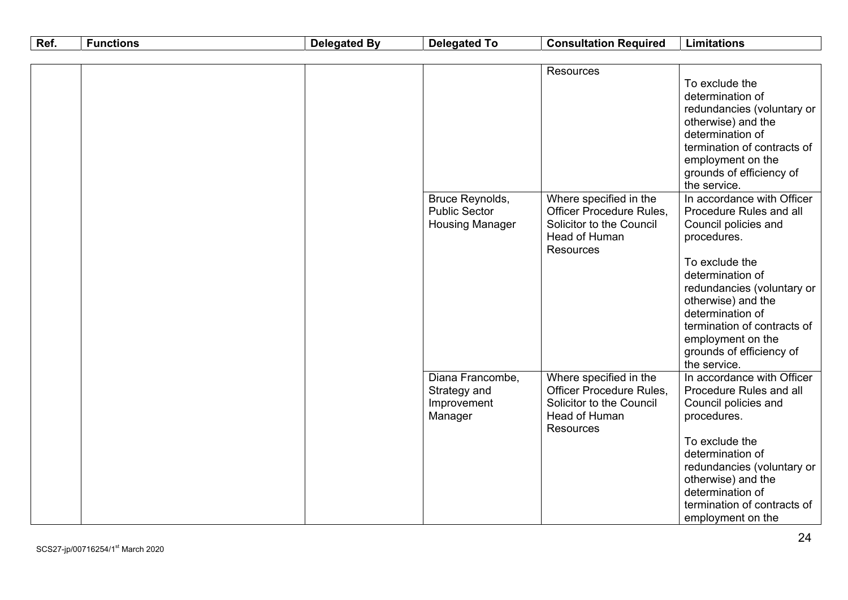| Ref. | <b>Functions</b> | <b>Delegated By</b> | <b>Delegated To</b>                                               | <b>Consultation Required</b>                                                                                                     | <b>Limitations</b>                                                                                                                                                                                                                                                                                                                                                                                                                                                                                                       |
|------|------------------|---------------------|-------------------------------------------------------------------|----------------------------------------------------------------------------------------------------------------------------------|--------------------------------------------------------------------------------------------------------------------------------------------------------------------------------------------------------------------------------------------------------------------------------------------------------------------------------------------------------------------------------------------------------------------------------------------------------------------------------------------------------------------------|
|      |                  |                     |                                                                   |                                                                                                                                  |                                                                                                                                                                                                                                                                                                                                                                                                                                                                                                                          |
|      |                  |                     | Bruce Reynolds,<br><b>Public Sector</b><br><b>Housing Manager</b> | <b>Resources</b><br>Where specified in the<br>Officer Procedure Rules,<br>Solicitor to the Council<br>Head of Human<br>Resources | To exclude the<br>determination of<br>redundancies (voluntary or<br>otherwise) and the<br>determination of<br>termination of contracts of<br>employment on the<br>grounds of efficiency of<br>the service.<br>In accordance with Officer<br>Procedure Rules and all<br>Council policies and<br>procedures.<br>To exclude the<br>determination of<br>redundancies (voluntary or<br>otherwise) and the<br>determination of<br>termination of contracts of<br>employment on the<br>grounds of efficiency of<br>the service. |
|      |                  |                     | Diana Francombe,<br>Strategy and<br>Improvement<br>Manager        | Where specified in the<br><b>Officer Procedure Rules,</b><br>Solicitor to the Council<br>Head of Human<br><b>Resources</b>       | In accordance with Officer<br>Procedure Rules and all<br>Council policies and<br>procedures.<br>To exclude the<br>determination of<br>redundancies (voluntary or<br>otherwise) and the<br>determination of<br>termination of contracts of<br>employment on the                                                                                                                                                                                                                                                           |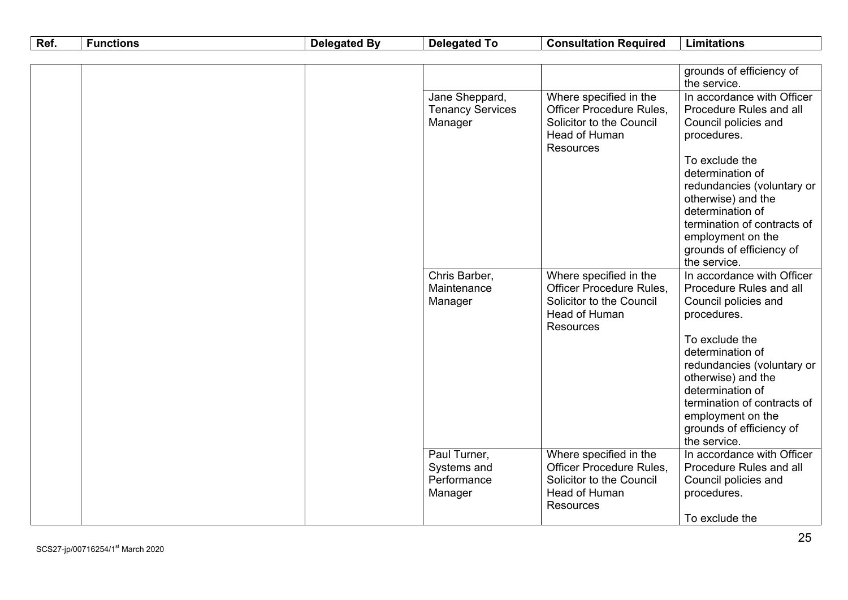| Ref. | <b>Functions</b> | <b>Delegated By</b> | <b>Delegated To</b>                       | <b>Consultation Required</b>                       | <b>Limitations</b>                                    |
|------|------------------|---------------------|-------------------------------------------|----------------------------------------------------|-------------------------------------------------------|
|      |                  |                     |                                           |                                                    |                                                       |
|      |                  |                     |                                           |                                                    | grounds of efficiency of                              |
|      |                  |                     |                                           |                                                    | the service.                                          |
|      |                  |                     | Jane Sheppard,<br><b>Tenancy Services</b> | Where specified in the<br>Officer Procedure Rules, | In accordance with Officer<br>Procedure Rules and all |
|      |                  |                     | Manager                                   | Solicitor to the Council                           | Council policies and                                  |
|      |                  |                     |                                           | Head of Human                                      | procedures.                                           |
|      |                  |                     |                                           | <b>Resources</b>                                   |                                                       |
|      |                  |                     |                                           |                                                    | To exclude the                                        |
|      |                  |                     |                                           |                                                    | determination of                                      |
|      |                  |                     |                                           |                                                    | redundancies (voluntary or                            |
|      |                  |                     |                                           |                                                    | otherwise) and the                                    |
|      |                  |                     |                                           |                                                    | determination of                                      |
|      |                  |                     |                                           |                                                    | termination of contracts of                           |
|      |                  |                     |                                           |                                                    | employment on the                                     |
|      |                  |                     |                                           |                                                    | grounds of efficiency of<br>the service.              |
|      |                  |                     | Chris Barber,                             | Where specified in the                             | In accordance with Officer                            |
|      |                  |                     | Maintenance                               | <b>Officer Procedure Rules,</b>                    | Procedure Rules and all                               |
|      |                  |                     | Manager                                   | Solicitor to the Council                           | Council policies and                                  |
|      |                  |                     |                                           | Head of Human                                      | procedures.                                           |
|      |                  |                     |                                           | <b>Resources</b>                                   |                                                       |
|      |                  |                     |                                           |                                                    | To exclude the                                        |
|      |                  |                     |                                           |                                                    | determination of                                      |
|      |                  |                     |                                           |                                                    | redundancies (voluntary or                            |
|      |                  |                     |                                           |                                                    | otherwise) and the<br>determination of                |
|      |                  |                     |                                           |                                                    | termination of contracts of                           |
|      |                  |                     |                                           |                                                    | employment on the                                     |
|      |                  |                     |                                           |                                                    | grounds of efficiency of                              |
|      |                  |                     |                                           |                                                    | the service.                                          |
|      |                  |                     | Paul Turner,                              | Where specified in the                             | In accordance with Officer                            |
|      |                  |                     | Systems and                               | Officer Procedure Rules,                           | Procedure Rules and all                               |
|      |                  |                     | Performance                               | Solicitor to the Council                           | Council policies and                                  |
|      |                  |                     | Manager                                   | Head of Human                                      | procedures.                                           |
|      |                  |                     |                                           | <b>Resources</b>                                   |                                                       |
|      |                  |                     |                                           |                                                    | To exclude the                                        |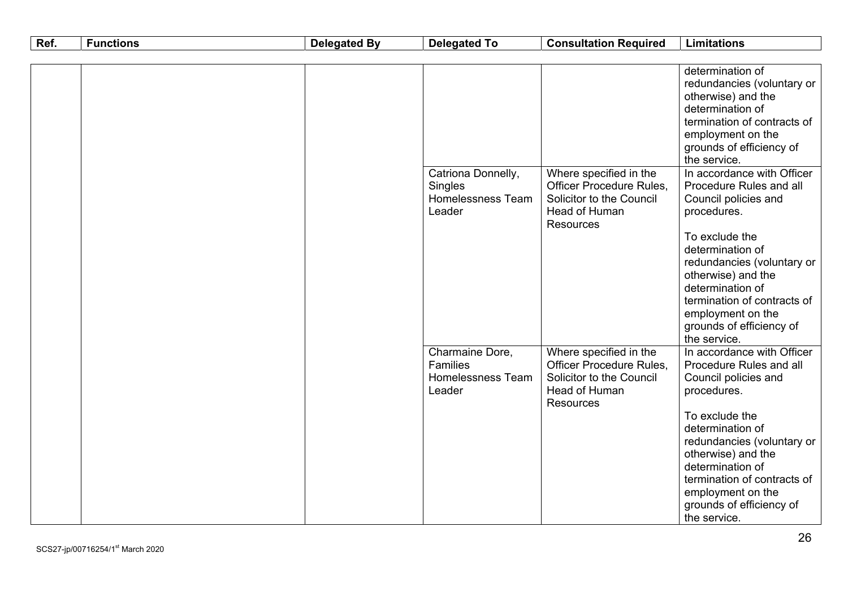| Ref. | <b>Functions</b> | <b>Delegated By</b> | <b>Delegated To</b>                                                      | <b>Consultation Required</b>                                                                                                      | <b>Limitations</b>                                                                                                                                                                                                                                                                                         |
|------|------------------|---------------------|--------------------------------------------------------------------------|-----------------------------------------------------------------------------------------------------------------------------------|------------------------------------------------------------------------------------------------------------------------------------------------------------------------------------------------------------------------------------------------------------------------------------------------------------|
|      |                  |                     |                                                                          |                                                                                                                                   |                                                                                                                                                                                                                                                                                                            |
|      |                  |                     |                                                                          |                                                                                                                                   | determination of<br>redundancies (voluntary or<br>otherwise) and the<br>determination of<br>termination of contracts of<br>employment on the<br>grounds of efficiency of<br>the service.                                                                                                                   |
|      |                  |                     | Catriona Donnelly,<br>Singles<br>Homelessness Team<br>Leader             | Where specified in the<br>Officer Procedure Rules,<br>Solicitor to the Council<br><b>Head of Human</b><br><b>Resources</b>        | In accordance with Officer<br>Procedure Rules and all<br>Council policies and<br>procedures.<br>To exclude the<br>determination of<br>redundancies (voluntary or<br>otherwise) and the<br>determination of<br>termination of contracts of<br>employment on the<br>grounds of efficiency of<br>the service. |
|      |                  |                     | Charmaine Dore,<br><b>Families</b><br><b>Homelessness Team</b><br>Leader | Where specified in the<br><b>Officer Procedure Rules,</b><br>Solicitor to the Council<br><b>Head of Human</b><br><b>Resources</b> | In accordance with Officer<br>Procedure Rules and all<br>Council policies and<br>procedures.<br>To exclude the<br>determination of<br>redundancies (voluntary or<br>otherwise) and the<br>determination of<br>termination of contracts of<br>employment on the<br>grounds of efficiency of<br>the service. |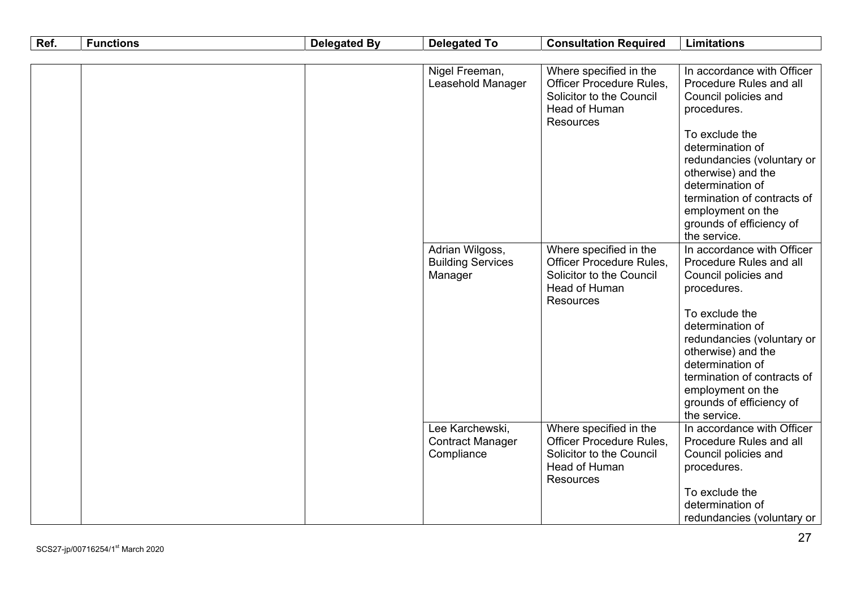| Ref. | <b>Functions</b> | <b>Delegated By</b> | <b>Delegated To</b>                                      | <b>Consultation Required</b>                                                                                        | <b>Limitations</b>                                                                                                                                                                                                                                             |
|------|------------------|---------------------|----------------------------------------------------------|---------------------------------------------------------------------------------------------------------------------|----------------------------------------------------------------------------------------------------------------------------------------------------------------------------------------------------------------------------------------------------------------|
|      |                  |                     |                                                          |                                                                                                                     |                                                                                                                                                                                                                                                                |
|      |                  |                     | Nigel Freeman,<br>Leasehold Manager                      | Where specified in the<br>Officer Procedure Rules,<br>Solicitor to the Council<br>Head of Human<br><b>Resources</b> | In accordance with Officer<br>Procedure Rules and all<br>Council policies and<br>procedures.<br>To exclude the<br>determination of<br>redundancies (voluntary or<br>otherwise) and the<br>determination of<br>termination of contracts of<br>employment on the |
|      |                  |                     | Adrian Wilgoss,<br><b>Building Services</b><br>Manager   | Where specified in the<br>Officer Procedure Rules,<br>Solicitor to the Council<br>Head of Human<br>Resources        | grounds of efficiency of<br>the service.<br>In accordance with Officer<br>Procedure Rules and all<br>Council policies and<br>procedures.                                                                                                                       |
|      |                  |                     |                                                          |                                                                                                                     | To exclude the<br>determination of<br>redundancies (voluntary or<br>otherwise) and the<br>determination of<br>termination of contracts of<br>employment on the<br>grounds of efficiency of<br>the service.                                                     |
|      |                  |                     | Lee Karchewski,<br><b>Contract Manager</b><br>Compliance | Where specified in the<br>Officer Procedure Rules,<br>Solicitor to the Council<br>Head of Human<br>Resources        | In accordance with Officer<br>Procedure Rules and all<br>Council policies and<br>procedures.<br>To exclude the<br>determination of<br>redundancies (voluntary or                                                                                               |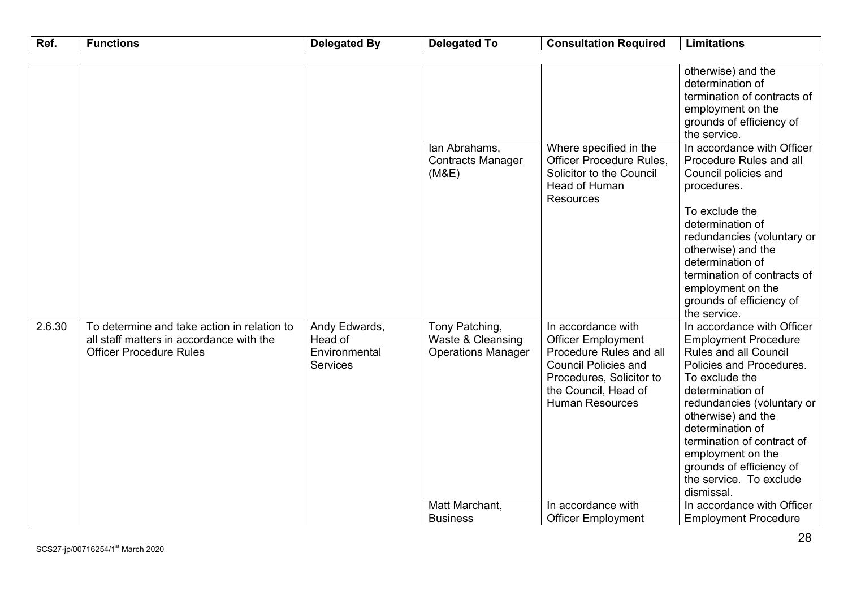| Ref.   | <b>Functions</b>                                                                                                          | <b>Delegated By</b>                                   | <b>Delegated To</b>                                              | <b>Consultation Required</b>                                                                                                                                                            | <b>Limitations</b>                                                                                                                                                                                                                                                                                                                                   |
|--------|---------------------------------------------------------------------------------------------------------------------------|-------------------------------------------------------|------------------------------------------------------------------|-----------------------------------------------------------------------------------------------------------------------------------------------------------------------------------------|------------------------------------------------------------------------------------------------------------------------------------------------------------------------------------------------------------------------------------------------------------------------------------------------------------------------------------------------------|
|        |                                                                                                                           |                                                       |                                                                  |                                                                                                                                                                                         |                                                                                                                                                                                                                                                                                                                                                      |
|        |                                                                                                                           |                                                       |                                                                  |                                                                                                                                                                                         | otherwise) and the<br>determination of<br>termination of contracts of<br>employment on the<br>grounds of efficiency of<br>the service.                                                                                                                                                                                                               |
|        |                                                                                                                           |                                                       | lan Abrahams,<br><b>Contracts Manager</b><br>(M&E)               | Where specified in the<br><b>Officer Procedure Rules,</b><br>Solicitor to the Council<br>Head of Human<br><b>Resources</b>                                                              | In accordance with Officer<br>Procedure Rules and all<br>Council policies and<br>procedures.<br>To exclude the<br>determination of<br>redundancies (voluntary or<br>otherwise) and the<br>determination of<br>termination of contracts of<br>employment on the<br>grounds of efficiency of<br>the service.                                           |
| 2.6.30 | To determine and take action in relation to<br>all staff matters in accordance with the<br><b>Officer Procedure Rules</b> | Andy Edwards,<br>Head of<br>Environmental<br>Services | Tony Patching,<br>Waste & Cleansing<br><b>Operations Manager</b> | In accordance with<br><b>Officer Employment</b><br>Procedure Rules and all<br><b>Council Policies and</b><br>Procedures, Solicitor to<br>the Council, Head of<br><b>Human Resources</b> | In accordance with Officer<br><b>Employment Procedure</b><br>Rules and all Council<br>Policies and Procedures.<br>To exclude the<br>determination of<br>redundancies (voluntary or<br>otherwise) and the<br>determination of<br>termination of contract of<br>employment on the<br>grounds of efficiency of<br>the service. To exclude<br>dismissal. |
|        |                                                                                                                           |                                                       | Matt Marchant,<br><b>Business</b>                                | In accordance with<br><b>Officer Employment</b>                                                                                                                                         | In accordance with Officer<br><b>Employment Procedure</b>                                                                                                                                                                                                                                                                                            |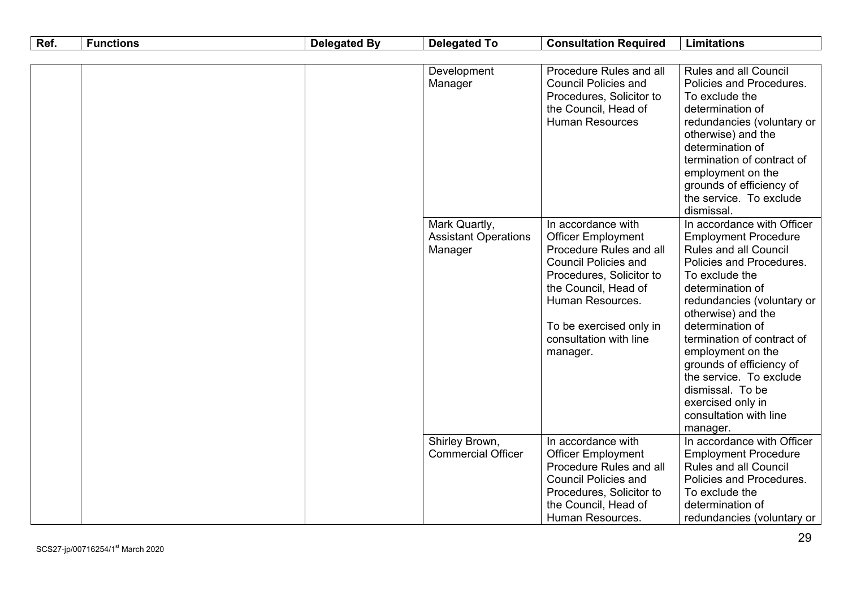| Ref. | <b>Functions</b> | <b>Delegated By</b>    | <b>Delegated To</b>                                                                                                                  | <b>Consultation Required</b>                                                                                                                                                                                                                                                                   | <b>Limitations</b>                                                                                                                                                                                                                                                                                                                                                                                                           |
|------|------------------|------------------------|--------------------------------------------------------------------------------------------------------------------------------------|------------------------------------------------------------------------------------------------------------------------------------------------------------------------------------------------------------------------------------------------------------------------------------------------|------------------------------------------------------------------------------------------------------------------------------------------------------------------------------------------------------------------------------------------------------------------------------------------------------------------------------------------------------------------------------------------------------------------------------|
|      |                  |                        |                                                                                                                                      |                                                                                                                                                                                                                                                                                                |                                                                                                                                                                                                                                                                                                                                                                                                                              |
|      |                  | Development<br>Manager | Procedure Rules and all<br><b>Council Policies and</b><br>Procedures, Solicitor to<br>the Council, Head of<br><b>Human Resources</b> | <b>Rules and all Council</b><br>Policies and Procedures.<br>To exclude the<br>determination of<br>redundancies (voluntary or<br>otherwise) and the<br>determination of<br>termination of contract of<br>employment on the<br>grounds of efficiency of<br>the service. To exclude<br>dismissal. |                                                                                                                                                                                                                                                                                                                                                                                                                              |
|      |                  |                        | Mark Quartly,<br><b>Assistant Operations</b><br>Manager                                                                              | In accordance with<br><b>Officer Employment</b><br>Procedure Rules and all<br><b>Council Policies and</b><br>Procedures, Solicitor to<br>the Council, Head of<br>Human Resources.<br>To be exercised only in<br>consultation with line<br>manager.                                             | In accordance with Officer<br><b>Employment Procedure</b><br><b>Rules and all Council</b><br>Policies and Procedures.<br>To exclude the<br>determination of<br>redundancies (voluntary or<br>otherwise) and the<br>determination of<br>termination of contract of<br>employment on the<br>grounds of efficiency of<br>the service. To exclude<br>dismissal. To be<br>exercised only in<br>consultation with line<br>manager. |
|      |                  |                        | Shirley Brown,<br><b>Commercial Officer</b>                                                                                          | In accordance with<br><b>Officer Employment</b><br>Procedure Rules and all<br><b>Council Policies and</b><br>Procedures, Solicitor to<br>the Council, Head of<br>Human Resources.                                                                                                              | In accordance with Officer<br><b>Employment Procedure</b><br><b>Rules and all Council</b><br>Policies and Procedures.<br>To exclude the<br>determination of<br>redundancies (voluntary or                                                                                                                                                                                                                                    |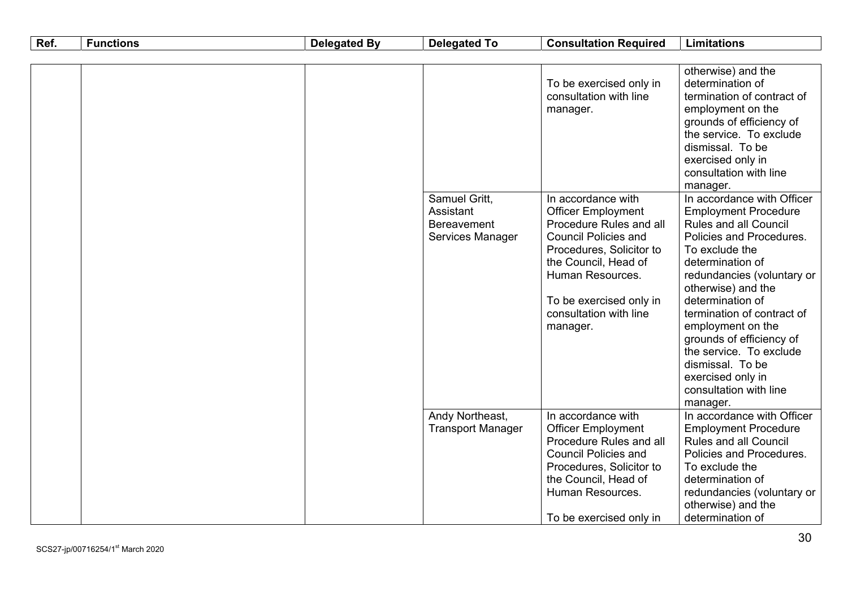| Ref. | <b>Functions</b> | <b>Delegated By</b> | <b>Delegated To</b>                                           | <b>Consultation Required</b>                                                                                                                                                                                                                       | <b>Limitations</b>                                                                                                                                                                                                                                                                                                                                                                                                    |
|------|------------------|---------------------|---------------------------------------------------------------|----------------------------------------------------------------------------------------------------------------------------------------------------------------------------------------------------------------------------------------------------|-----------------------------------------------------------------------------------------------------------------------------------------------------------------------------------------------------------------------------------------------------------------------------------------------------------------------------------------------------------------------------------------------------------------------|
|      |                  |                     |                                                               |                                                                                                                                                                                                                                                    | otherwise) and the                                                                                                                                                                                                                                                                                                                                                                                                    |
|      |                  |                     |                                                               | To be exercised only in<br>consultation with line<br>manager.                                                                                                                                                                                      | determination of<br>termination of contract of<br>employment on the<br>grounds of efficiency of<br>the service. To exclude<br>dismissal. To be<br>exercised only in<br>consultation with line<br>manager.                                                                                                                                                                                                             |
|      |                  |                     | Samuel Gritt,<br>Assistant<br>Bereavement<br>Services Manager | In accordance with<br><b>Officer Employment</b><br>Procedure Rules and all<br><b>Council Policies and</b><br>Procedures, Solicitor to<br>the Council, Head of<br>Human Resources.<br>To be exercised only in<br>consultation with line<br>manager. | In accordance with Officer<br><b>Employment Procedure</b><br>Rules and all Council<br>Policies and Procedures.<br>To exclude the<br>determination of<br>redundancies (voluntary or<br>otherwise) and the<br>determination of<br>termination of contract of<br>employment on the<br>grounds of efficiency of<br>the service. To exclude<br>dismissal. To be<br>exercised only in<br>consultation with line<br>manager. |
|      |                  |                     | Andy Northeast,<br><b>Transport Manager</b>                   | In accordance with<br><b>Officer Employment</b><br>Procedure Rules and all<br><b>Council Policies and</b><br>Procedures, Solicitor to<br>the Council, Head of<br>Human Resources.<br>To be exercised only in                                       | In accordance with Officer<br><b>Employment Procedure</b><br><b>Rules and all Council</b><br>Policies and Procedures.<br>To exclude the<br>determination of<br>redundancies (voluntary or<br>otherwise) and the<br>determination of                                                                                                                                                                                   |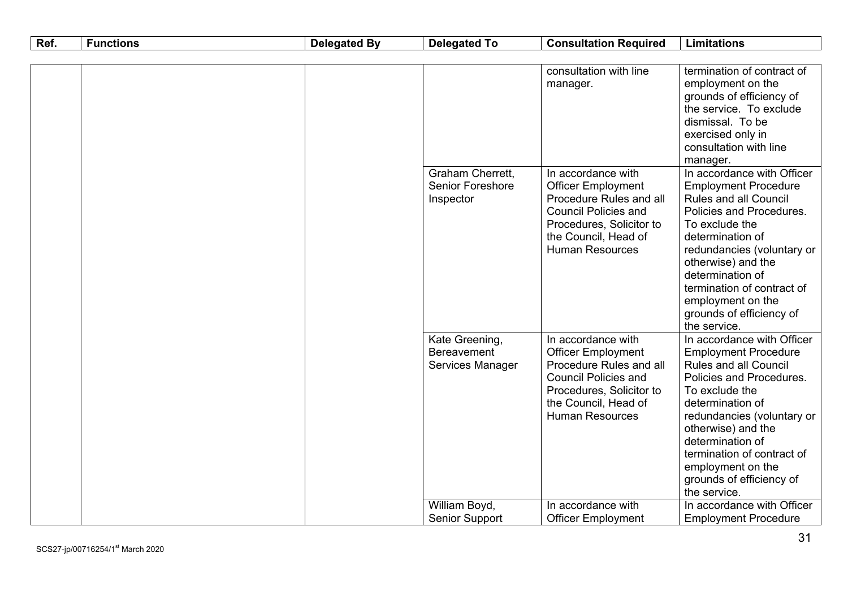| Ref. | <b>Functions</b> | <b>Delegated By</b> | <b>Delegated To</b>                                      | <b>Consultation Required</b>                                                                                                                                                            | <b>Limitations</b>                                                                                                                                                                                                                                                                                                                 |
|------|------------------|---------------------|----------------------------------------------------------|-----------------------------------------------------------------------------------------------------------------------------------------------------------------------------------------|------------------------------------------------------------------------------------------------------------------------------------------------------------------------------------------------------------------------------------------------------------------------------------------------------------------------------------|
|      |                  |                     |                                                          |                                                                                                                                                                                         |                                                                                                                                                                                                                                                                                                                                    |
|      |                  |                     |                                                          | consultation with line<br>manager.                                                                                                                                                      | termination of contract of<br>employment on the<br>grounds of efficiency of<br>the service. To exclude<br>dismissal. To be<br>exercised only in<br>consultation with line<br>manager.                                                                                                                                              |
|      |                  |                     | <b>Graham Cherrett,</b><br>Senior Foreshore<br>Inspector | In accordance with<br><b>Officer Employment</b><br>Procedure Rules and all<br><b>Council Policies and</b><br>Procedures, Solicitor to<br>the Council, Head of<br><b>Human Resources</b> | In accordance with Officer<br><b>Employment Procedure</b><br>Rules and all Council<br>Policies and Procedures.<br>To exclude the<br>determination of<br>redundancies (voluntary or<br>otherwise) and the<br>determination of<br>termination of contract of<br>employment on the<br>grounds of efficiency of<br>the service.        |
|      |                  |                     | Kate Greening,<br><b>Bereavement</b><br>Services Manager | In accordance with<br><b>Officer Employment</b><br>Procedure Rules and all<br><b>Council Policies and</b><br>Procedures, Solicitor to<br>the Council, Head of<br><b>Human Resources</b> | In accordance with Officer<br><b>Employment Procedure</b><br><b>Rules and all Council</b><br>Policies and Procedures.<br>To exclude the<br>determination of<br>redundancies (voluntary or<br>otherwise) and the<br>determination of<br>termination of contract of<br>employment on the<br>grounds of efficiency of<br>the service. |
|      |                  |                     | William Boyd,<br><b>Senior Support</b>                   | In accordance with<br><b>Officer Employment</b>                                                                                                                                         | In accordance with Officer<br><b>Employment Procedure</b>                                                                                                                                                                                                                                                                          |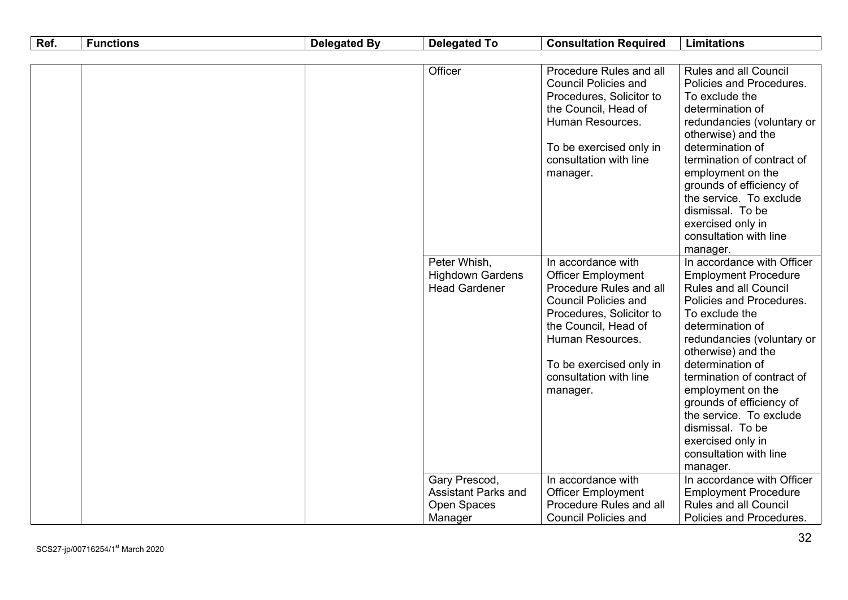| Ref. | <b>Functions</b> | <b>Delegated By</b> | <b>Delegated To</b>                                             | <b>Consultation Required</b>                                                                                                                                                                                                                       | <b>Limitations</b>                                                                                                                                                                                                                                                                                                                                                                                                                       |
|------|------------------|---------------------|-----------------------------------------------------------------|----------------------------------------------------------------------------------------------------------------------------------------------------------------------------------------------------------------------------------------------------|------------------------------------------------------------------------------------------------------------------------------------------------------------------------------------------------------------------------------------------------------------------------------------------------------------------------------------------------------------------------------------------------------------------------------------------|
|      |                  |                     |                                                                 |                                                                                                                                                                                                                                                    |                                                                                                                                                                                                                                                                                                                                                                                                                                          |
|      |                  |                     | Officer                                                         | Procedure Rules and all<br><b>Council Policies and</b><br>Procedures, Solicitor to<br>the Council, Head of<br>Human Resources.<br>To be exercised only in<br>consultation with line<br>manager.                                                    | <b>Rules and all Council</b><br>Policies and Procedures.<br>To exclude the<br>determination of<br>redundancies (voluntary or<br>otherwise) and the<br>determination of<br>termination of contract of<br>employment on the<br>grounds of efficiency of<br>the service. To exclude<br>dismissal. To be<br>exercised only in<br>consultation with line                                                                                      |
|      |                  |                     | Peter Whish,<br><b>Highdown Gardens</b><br><b>Head Gardener</b> | In accordance with<br><b>Officer Employment</b><br>Procedure Rules and all<br><b>Council Policies and</b><br>Procedures, Solicitor to<br>the Council, Head of<br>Human Resources.<br>To be exercised only in<br>consultation with line<br>manager. | manager.<br>In accordance with Officer<br><b>Employment Procedure</b><br><b>Rules and all Council</b><br>Policies and Procedures.<br>To exclude the<br>determination of<br>redundancies (voluntary or<br>otherwise) and the<br>determination of<br>termination of contract of<br>employment on the<br>grounds of efficiency of<br>the service. To exclude<br>dismissal. To be<br>exercised only in<br>consultation with line<br>manager. |
|      |                  |                     | Gary Prescod,<br><b>Assistant Parks and</b>                     | In accordance with<br><b>Officer Employment</b>                                                                                                                                                                                                    | In accordance with Officer<br><b>Employment Procedure</b>                                                                                                                                                                                                                                                                                                                                                                                |
|      |                  |                     | Open Spaces<br>Manager                                          | Procedure Rules and all<br><b>Council Policies and</b>                                                                                                                                                                                             | <b>Rules and all Council</b><br>Policies and Procedures.                                                                                                                                                                                                                                                                                                                                                                                 |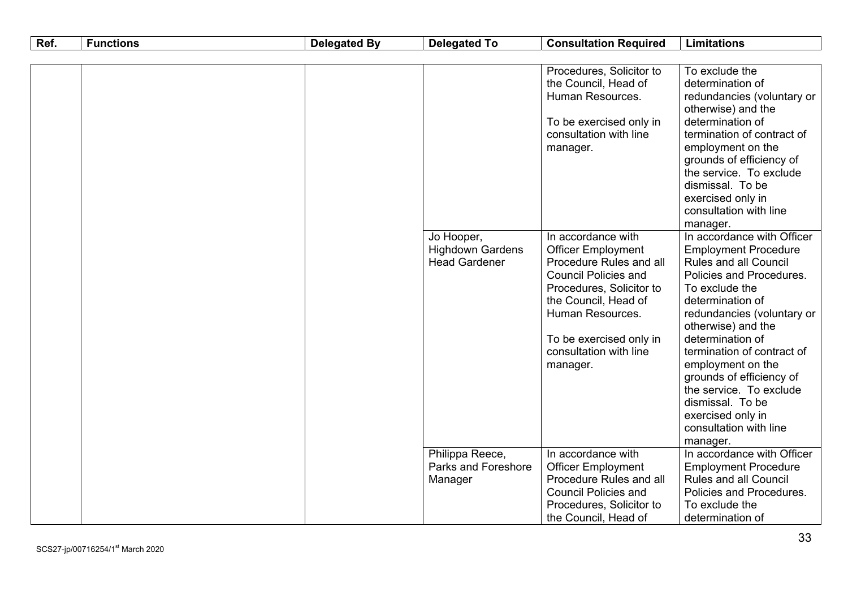| Ref. | <b>Functions</b> | <b>Delegated By</b>                                           | <b>Delegated To</b>                                                                                                                                                                                                                                                                                                        | <b>Consultation Required</b>                                                                                                                                                                                                                                                                                                                                                                                                                                                                     | <b>Limitations</b>                                                                                                                                                                                                                                                                                                                                       |
|------|------------------|---------------------------------------------------------------|----------------------------------------------------------------------------------------------------------------------------------------------------------------------------------------------------------------------------------------------------------------------------------------------------------------------------|--------------------------------------------------------------------------------------------------------------------------------------------------------------------------------------------------------------------------------------------------------------------------------------------------------------------------------------------------------------------------------------------------------------------------------------------------------------------------------------------------|----------------------------------------------------------------------------------------------------------------------------------------------------------------------------------------------------------------------------------------------------------------------------------------------------------------------------------------------------------|
|      |                  |                                                               |                                                                                                                                                                                                                                                                                                                            |                                                                                                                                                                                                                                                                                                                                                                                                                                                                                                  |                                                                                                                                                                                                                                                                                                                                                          |
|      |                  | Jo Hooper,<br><b>Highdown Gardens</b><br><b>Head Gardener</b> | Procedures, Solicitor to<br>the Council, Head of<br>Human Resources.<br>To be exercised only in<br>consultation with line<br>manager.<br>In accordance with<br><b>Officer Employment</b><br>Procedure Rules and all<br><b>Council Policies and</b><br>Procedures, Solicitor to<br>the Council, Head of<br>Human Resources. | To exclude the<br>determination of<br>redundancies (voluntary or<br>otherwise) and the<br>determination of<br>termination of contract of<br>employment on the<br>grounds of efficiency of<br>the service. To exclude<br>dismissal. To be<br>exercised only in<br>consultation with line<br>manager.<br>In accordance with Officer<br><b>Employment Procedure</b><br><b>Rules and all Council</b><br>Policies and Procedures.<br>To exclude the<br>determination of<br>redundancies (voluntary or |                                                                                                                                                                                                                                                                                                                                                          |
|      |                  |                                                               | Philippa Reece,<br>Parks and Foreshore<br>Manager                                                                                                                                                                                                                                                                          | To be exercised only in<br>consultation with line<br>manager.<br>In accordance with<br><b>Officer Employment</b><br>Procedure Rules and all<br><b>Council Policies and</b>                                                                                                                                                                                                                                                                                                                       | otherwise) and the<br>determination of<br>termination of contract of<br>employment on the<br>grounds of efficiency of<br>the service. To exclude<br>dismissal. To be<br>exercised only in<br>consultation with line<br>manager.<br>In accordance with Officer<br><b>Employment Procedure</b><br><b>Rules and all Council</b><br>Policies and Procedures. |
|      |                  |                                                               |                                                                                                                                                                                                                                                                                                                            | Procedures, Solicitor to<br>the Council, Head of                                                                                                                                                                                                                                                                                                                                                                                                                                                 | To exclude the<br>determination of                                                                                                                                                                                                                                                                                                                       |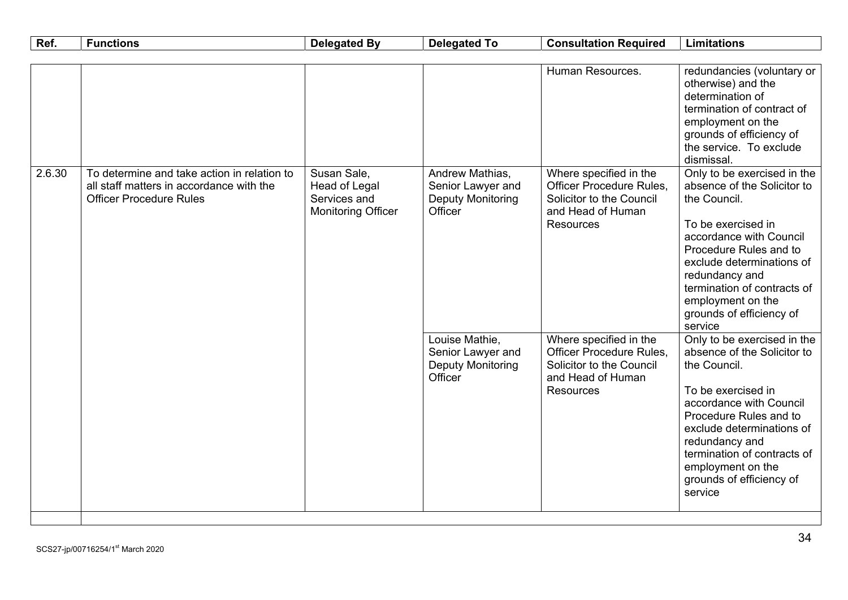| Ref.   | <b>Functions</b>                                                                                                          | <b>Delegated By</b>                                                       | <b>Delegated To</b>                                                         | <b>Consultation Required</b>                                                                                                                | <b>Limitations</b>                                                                                                                                                                                                                                                                                                                                                                                                                                       |
|--------|---------------------------------------------------------------------------------------------------------------------------|---------------------------------------------------------------------------|-----------------------------------------------------------------------------|---------------------------------------------------------------------------------------------------------------------------------------------|----------------------------------------------------------------------------------------------------------------------------------------------------------------------------------------------------------------------------------------------------------------------------------------------------------------------------------------------------------------------------------------------------------------------------------------------------------|
| 2.6.30 | To determine and take action in relation to<br>all staff matters in accordance with the<br><b>Officer Procedure Rules</b> | Susan Sale,<br>Head of Legal<br>Services and<br><b>Monitoring Officer</b> | Andrew Mathias,<br>Senior Lawyer and<br><b>Deputy Monitoring</b><br>Officer | Human Resources.<br>Where specified in the<br>Officer Procedure Rules,<br>Solicitor to the Council<br>and Head of Human<br><b>Resources</b> | redundancies (voluntary or<br>otherwise) and the<br>determination of<br>termination of contract of<br>employment on the<br>grounds of efficiency of<br>the service. To exclude<br>dismissal.<br>Only to be exercised in the<br>absence of the Solicitor to<br>the Council.<br>To be exercised in<br>accordance with Council<br>Procedure Rules and to<br>exclude determinations of<br>redundancy and<br>termination of contracts of<br>employment on the |
|        |                                                                                                                           |                                                                           | Louise Mathie,<br>Senior Lawyer and<br><b>Deputy Monitoring</b><br>Officer  | Where specified in the<br>Officer Procedure Rules,<br>Solicitor to the Council<br>and Head of Human<br><b>Resources</b>                     | service<br>Only to be exercised in the<br>absence of the Solicitor to<br>the Council.<br>To be exercised in<br>accordance with Council<br>Procedure Rules and to<br>exclude determinations of<br>redundancy and<br>termination of contracts of<br>employment on the<br>grounds of efficiency of<br>service                                                                                                                                               |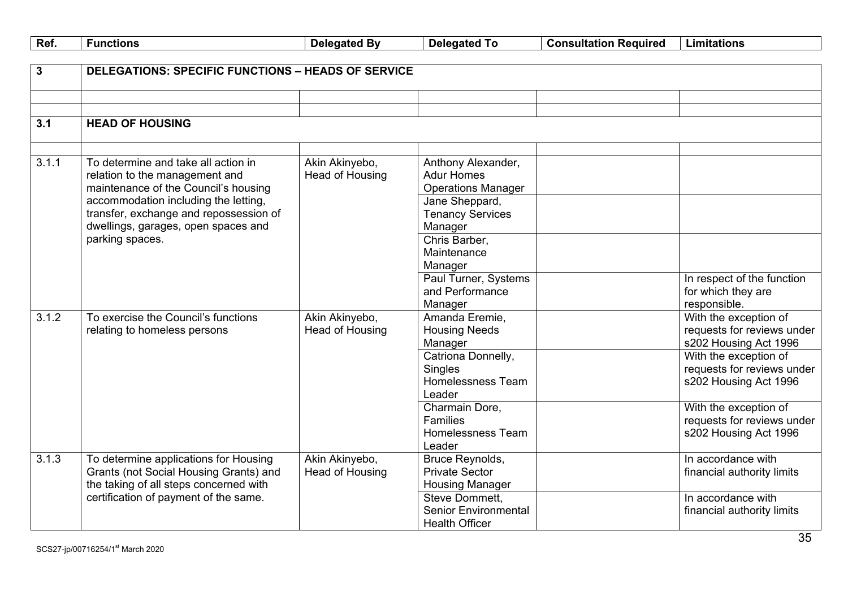| Ref.         | <b>Functions</b>                                          | <b>Delegated By</b> | <b>Delegated To</b>                     | <b>Consultation Required</b> | <b>Limitations</b>                    |
|--------------|-----------------------------------------------------------|---------------------|-----------------------------------------|------------------------------|---------------------------------------|
|              |                                                           |                     |                                         |                              |                                       |
| $\mathbf{3}$ | <b>DELEGATIONS: SPECIFIC FUNCTIONS - HEADS OF SERVICE</b> |                     |                                         |                              |                                       |
|              |                                                           |                     |                                         |                              |                                       |
|              |                                                           |                     |                                         |                              |                                       |
| 3.1          | <b>HEAD OF HOUSING</b>                                    |                     |                                         |                              |                                       |
|              |                                                           |                     |                                         |                              |                                       |
|              |                                                           |                     |                                         |                              |                                       |
| 3.1.1        | To determine and take all action in                       | Akin Akinyebo,      | Anthony Alexander,                      |                              |                                       |
|              | relation to the management and                            | Head of Housing     | <b>Adur Homes</b>                       |                              |                                       |
|              | maintenance of the Council's housing                      |                     | <b>Operations Manager</b>               |                              |                                       |
|              | accommodation including the letting,                      |                     | Jane Sheppard,                          |                              |                                       |
|              | transfer, exchange and repossession of                    |                     | <b>Tenancy Services</b>                 |                              |                                       |
|              | dwellings, garages, open spaces and                       |                     | Manager                                 |                              |                                       |
|              | parking spaces.                                           |                     | Chris Barber,                           |                              |                                       |
|              |                                                           |                     | Maintenance                             |                              |                                       |
|              |                                                           |                     | Manager                                 |                              |                                       |
|              |                                                           |                     | Paul Turner, Systems<br>and Performance |                              | In respect of the function            |
|              |                                                           |                     |                                         |                              | for which they are                    |
| 3.1.2        | To exercise the Council's functions                       | Akin Akinyebo,      | Manager<br>Amanda Eremie,               |                              | responsible.<br>With the exception of |
|              | relating to homeless persons                              | Head of Housing     | <b>Housing Needs</b>                    |                              | requests for reviews under            |
|              |                                                           |                     | Manager                                 |                              | s202 Housing Act 1996                 |
|              |                                                           |                     | Catriona Donnelly,                      |                              | With the exception of                 |
|              |                                                           |                     | Singles                                 |                              | requests for reviews under            |
|              |                                                           |                     | Homelessness Team                       |                              | s202 Housing Act 1996                 |
|              |                                                           |                     | Leader                                  |                              |                                       |
|              |                                                           |                     | Charmain Dore,                          |                              | With the exception of                 |
|              |                                                           |                     | Families                                |                              | requests for reviews under            |
|              |                                                           |                     | Homelessness Team                       |                              | s202 Housing Act 1996                 |
|              |                                                           |                     | Leader                                  |                              |                                       |
| 3.1.3        | To determine applications for Housing                     | Akin Akinyebo,      | Bruce Reynolds,                         |                              | In accordance with                    |
|              | Grants (not Social Housing Grants) and                    | Head of Housing     | <b>Private Sector</b>                   |                              | financial authority limits            |
|              | the taking of all steps concerned with                    |                     | <b>Housing Manager</b>                  |                              |                                       |
|              | certification of payment of the same.                     |                     | Steve Dommett,                          |                              | In accordance with                    |
|              |                                                           |                     | <b>Senior Environmental</b>             |                              | financial authority limits            |
|              |                                                           |                     | <b>Health Officer</b>                   |                              |                                       |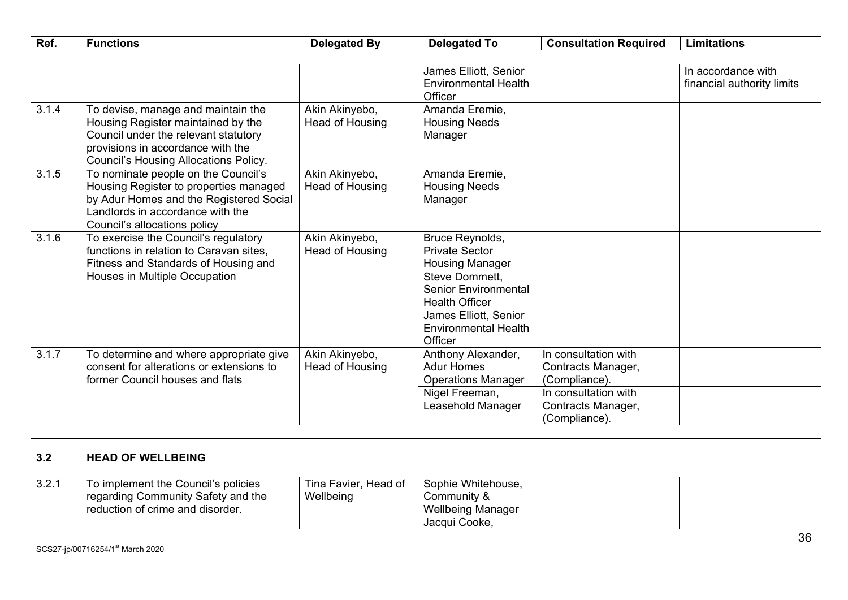| Ref.  | <b>Functions</b>                                                                                                                                                                                      | <b>Delegated By</b>               | <b>Delegated To</b>                                                                                                                                                                                             | <b>Consultation Required</b>                                                                                               | <b>Limitations</b>                               |
|-------|-------------------------------------------------------------------------------------------------------------------------------------------------------------------------------------------------------|-----------------------------------|-----------------------------------------------------------------------------------------------------------------------------------------------------------------------------------------------------------------|----------------------------------------------------------------------------------------------------------------------------|--------------------------------------------------|
|       |                                                                                                                                                                                                       |                                   |                                                                                                                                                                                                                 |                                                                                                                            |                                                  |
|       |                                                                                                                                                                                                       |                                   | James Elliott, Senior<br><b>Environmental Health</b><br>Officer                                                                                                                                                 |                                                                                                                            | In accordance with<br>financial authority limits |
| 3.1.4 | To devise, manage and maintain the<br>Housing Register maintained by the<br>Council under the relevant statutory<br>provisions in accordance with the<br><b>Council's Housing Allocations Policy.</b> | Akin Akinyebo,<br>Head of Housing | Amanda Eremie,<br><b>Housing Needs</b><br>Manager                                                                                                                                                               |                                                                                                                            |                                                  |
| 3.1.5 | To nominate people on the Council's<br>Housing Register to properties managed<br>by Adur Homes and the Registered Social<br>Landlords in accordance with the<br>Council's allocations policy          | Akin Akinyebo,<br>Head of Housing | Amanda Eremie,<br><b>Housing Needs</b><br>Manager                                                                                                                                                               |                                                                                                                            |                                                  |
| 3.1.6 | To exercise the Council's regulatory<br>functions in relation to Caravan sites,<br>Fitness and Standards of Housing and<br>Houses in Multiple Occupation                                              | Akin Akinyebo,<br>Head of Housing | Bruce Reynolds,<br><b>Private Sector</b><br><b>Housing Manager</b><br>Steve Dommett,<br><b>Senior Environmental</b><br><b>Health Officer</b><br>James Elliott, Senior<br><b>Environmental Health</b><br>Officer |                                                                                                                            |                                                  |
| 3.1.7 | To determine and where appropriate give<br>consent for alterations or extensions to<br>former Council houses and flats                                                                                | Akin Akinyebo,<br>Head of Housing | Anthony Alexander,<br><b>Adur Homes</b><br><b>Operations Manager</b><br>Nigel Freeman,<br>Leasehold Manager                                                                                                     | In consultation with<br>Contracts Manager,<br>(Compliance).<br>In consultation with<br>Contracts Manager,<br>(Compliance). |                                                  |
| 3.2   | <b>HEAD OF WELLBEING</b>                                                                                                                                                                              |                                   |                                                                                                                                                                                                                 |                                                                                                                            |                                                  |
| 3.2.1 | To implement the Council's policies<br>regarding Community Safety and the<br>reduction of crime and disorder.                                                                                         | Tina Favier, Head of<br>Wellbeing | Sophie Whitehouse,<br>Community &<br><b>Wellbeing Manager</b><br>Jacqui Cooke,                                                                                                                                  |                                                                                                                            |                                                  |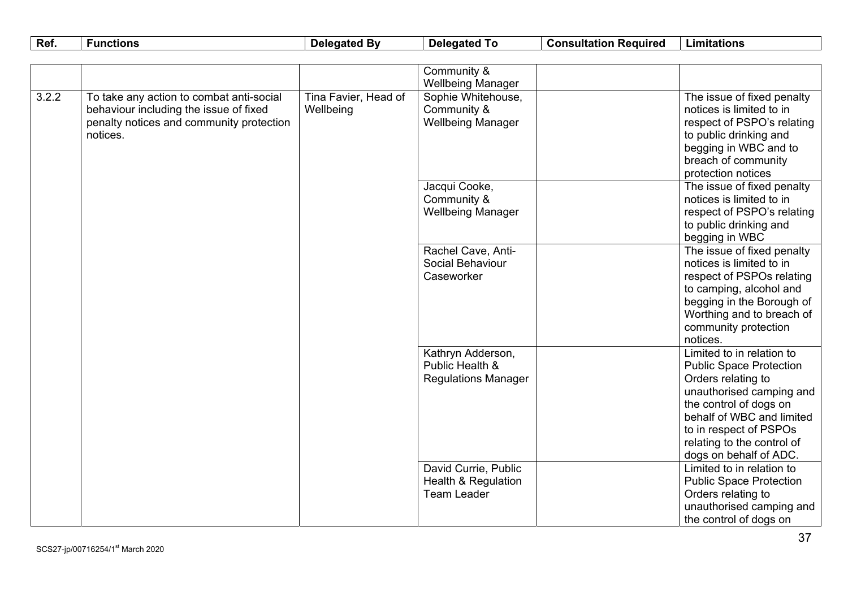| Ref.  | <b>Functions</b>                                                                                                                           | <b>Delegated By</b>               | <b>Delegated To</b>                                                          | <b>Consultation Required</b> | <b>Limitations</b>                                                                                                                                                                                                                                     |
|-------|--------------------------------------------------------------------------------------------------------------------------------------------|-----------------------------------|------------------------------------------------------------------------------|------------------------------|--------------------------------------------------------------------------------------------------------------------------------------------------------------------------------------------------------------------------------------------------------|
|       |                                                                                                                                            |                                   |                                                                              |                              |                                                                                                                                                                                                                                                        |
|       |                                                                                                                                            |                                   | Community &                                                                  |                              |                                                                                                                                                                                                                                                        |
|       |                                                                                                                                            |                                   | <b>Wellbeing Manager</b>                                                     |                              |                                                                                                                                                                                                                                                        |
| 3.2.2 | To take any action to combat anti-social<br>behaviour including the issue of fixed<br>penalty notices and community protection<br>notices. | Tina Favier, Head of<br>Wellbeing | Sophie Whitehouse,<br>Community &<br><b>Wellbeing Manager</b>                |                              | The issue of fixed penalty<br>notices is limited to in<br>respect of PSPO's relating<br>to public drinking and<br>begging in WBC and to<br>breach of community<br>protection notices                                                                   |
|       |                                                                                                                                            |                                   | Jacqui Cooke,<br>Community &<br><b>Wellbeing Manager</b>                     |                              | The issue of fixed penalty<br>notices is limited to in<br>respect of PSPO's relating<br>to public drinking and<br>begging in WBC                                                                                                                       |
|       |                                                                                                                                            |                                   | Rachel Cave, Anti-<br>Social Behaviour<br>Caseworker                         |                              | The issue of fixed penalty<br>notices is limited to in<br>respect of PSPOs relating<br>to camping, alcohol and<br>begging in the Borough of<br>Worthing and to breach of<br>community protection<br>notices.                                           |
|       |                                                                                                                                            |                                   | Kathryn Adderson,<br>Public Health &<br><b>Regulations Manager</b>           |                              | Limited to in relation to<br><b>Public Space Protection</b><br>Orders relating to<br>unauthorised camping and<br>the control of dogs on<br>behalf of WBC and limited<br>to in respect of PSPOs<br>relating to the control of<br>dogs on behalf of ADC. |
|       |                                                                                                                                            |                                   | David Currie, Public<br><b>Health &amp; Regulation</b><br><b>Team Leader</b> |                              | Limited to in relation to<br><b>Public Space Protection</b><br>Orders relating to<br>unauthorised camping and<br>the control of dogs on                                                                                                                |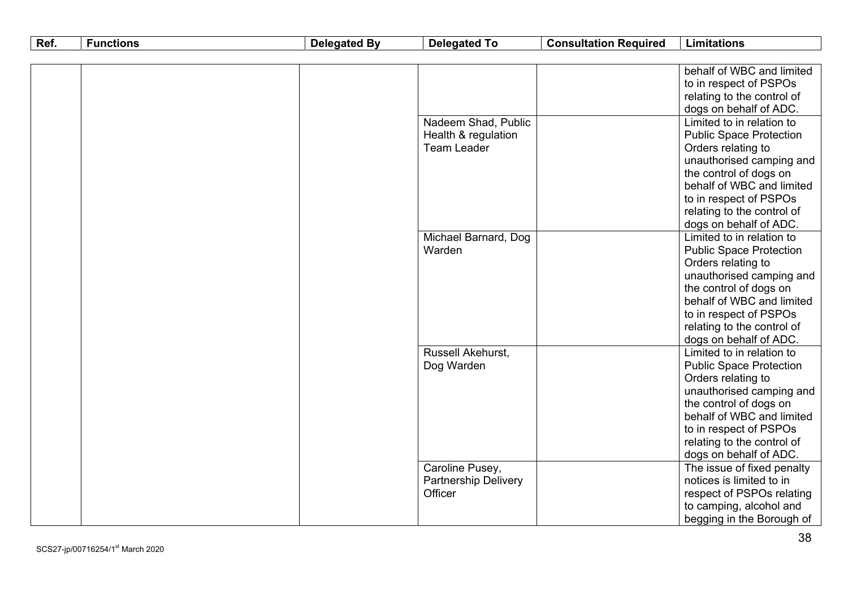| Ref. | <b>Functions</b> | <b>Delegated By</b> | <b>Delegated To</b>         | <b>Consultation Required</b> | <b>Limitations</b>             |
|------|------------------|---------------------|-----------------------------|------------------------------|--------------------------------|
|      |                  |                     |                             |                              |                                |
|      |                  |                     |                             |                              | behalf of WBC and limited      |
|      |                  |                     |                             |                              | to in respect of PSPOs         |
|      |                  |                     |                             |                              | relating to the control of     |
|      |                  |                     |                             |                              | dogs on behalf of ADC.         |
|      |                  |                     | Nadeem Shad, Public         |                              | Limited to in relation to      |
|      |                  |                     | Health & regulation         |                              | <b>Public Space Protection</b> |
|      |                  |                     | <b>Team Leader</b>          |                              | Orders relating to             |
|      |                  |                     |                             |                              | unauthorised camping and       |
|      |                  |                     |                             |                              | the control of dogs on         |
|      |                  |                     |                             |                              | behalf of WBC and limited      |
|      |                  |                     |                             |                              | to in respect of PSPOs         |
|      |                  |                     |                             |                              | relating to the control of     |
|      |                  |                     |                             |                              | dogs on behalf of ADC.         |
|      |                  |                     | Michael Barnard, Dog        |                              | Limited to in relation to      |
|      |                  |                     | Warden                      |                              | <b>Public Space Protection</b> |
|      |                  |                     |                             |                              | Orders relating to             |
|      |                  |                     |                             |                              | unauthorised camping and       |
|      |                  |                     |                             |                              | the control of dogs on         |
|      |                  |                     |                             |                              | behalf of WBC and limited      |
|      |                  |                     |                             |                              | to in respect of PSPOs         |
|      |                  |                     |                             |                              | relating to the control of     |
|      |                  |                     |                             |                              | dogs on behalf of ADC.         |
|      |                  |                     | Russell Akehurst,           |                              | Limited to in relation to      |
|      |                  |                     | Dog Warden                  |                              | <b>Public Space Protection</b> |
|      |                  |                     |                             |                              | Orders relating to             |
|      |                  |                     |                             |                              | unauthorised camping and       |
|      |                  |                     |                             |                              | the control of dogs on         |
|      |                  |                     |                             |                              | behalf of WBC and limited      |
|      |                  |                     |                             |                              | to in respect of PSPOs         |
|      |                  |                     |                             |                              | relating to the control of     |
|      |                  |                     |                             |                              | dogs on behalf of ADC.         |
|      |                  |                     | Caroline Pusey,             |                              | The issue of fixed penalty     |
|      |                  |                     | <b>Partnership Delivery</b> |                              | notices is limited to in       |
|      |                  |                     | Officer                     |                              | respect of PSPOs relating      |
|      |                  |                     |                             |                              | to camping, alcohol and        |
|      |                  |                     |                             |                              | begging in the Borough of      |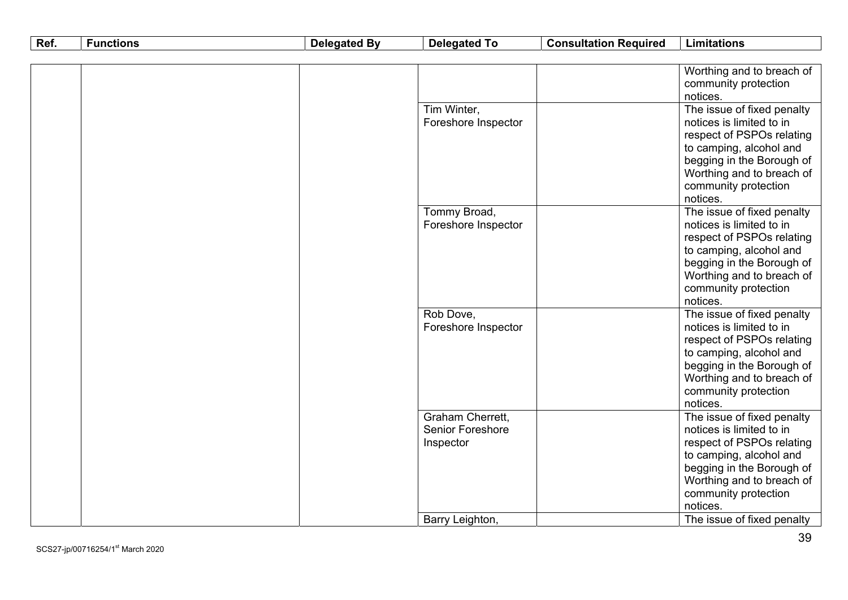| Ref. | <b>Functions</b> | <b>Delegated By</b> | <b>Delegated To</b> | <b>Consultation Required</b> | <b>Limitations</b>                                    |
|------|------------------|---------------------|---------------------|------------------------------|-------------------------------------------------------|
|      |                  |                     |                     |                              |                                                       |
|      |                  |                     |                     |                              | Worthing and to breach of<br>community protection     |
|      |                  |                     |                     |                              | notices.                                              |
|      |                  |                     | Tim Winter,         |                              | The issue of fixed penalty                            |
|      |                  |                     | Foreshore Inspector |                              | notices is limited to in                              |
|      |                  |                     |                     |                              | respect of PSPOs relating                             |
|      |                  |                     |                     |                              | to camping, alcohol and                               |
|      |                  |                     |                     |                              | begging in the Borough of                             |
|      |                  |                     |                     |                              | Worthing and to breach of                             |
|      |                  |                     |                     |                              | community protection                                  |
|      |                  |                     |                     |                              | notices.                                              |
|      |                  |                     | Tommy Broad,        |                              | The issue of fixed penalty                            |
|      |                  |                     | Foreshore Inspector |                              | notices is limited to in<br>respect of PSPOs relating |
|      |                  |                     |                     |                              | to camping, alcohol and                               |
|      |                  |                     |                     |                              | begging in the Borough of                             |
|      |                  |                     |                     |                              | Worthing and to breach of                             |
|      |                  |                     |                     |                              | community protection                                  |
|      |                  |                     |                     |                              | notices.                                              |
|      |                  |                     | Rob Dove,           |                              | The issue of fixed penalty                            |
|      |                  |                     | Foreshore Inspector |                              | notices is limited to in                              |
|      |                  |                     |                     |                              | respect of PSPOs relating                             |
|      |                  |                     |                     |                              | to camping, alcohol and                               |
|      |                  |                     |                     |                              | begging in the Borough of                             |
|      |                  |                     |                     |                              | Worthing and to breach of                             |
|      |                  |                     |                     |                              | community protection                                  |
|      |                  |                     |                     |                              | notices.                                              |
|      |                  |                     | Graham Cherrett,    |                              | The issue of fixed penalty                            |
|      |                  |                     | Senior Foreshore    |                              | notices is limited to in                              |
|      |                  |                     | Inspector           |                              | respect of PSPOs relating                             |
|      |                  |                     |                     |                              | to camping, alcohol and<br>begging in the Borough of  |
|      |                  |                     |                     |                              | Worthing and to breach of                             |
|      |                  |                     |                     |                              | community protection                                  |
|      |                  |                     |                     |                              | notices.                                              |
|      |                  |                     | Barry Leighton,     |                              | The issue of fixed penalty                            |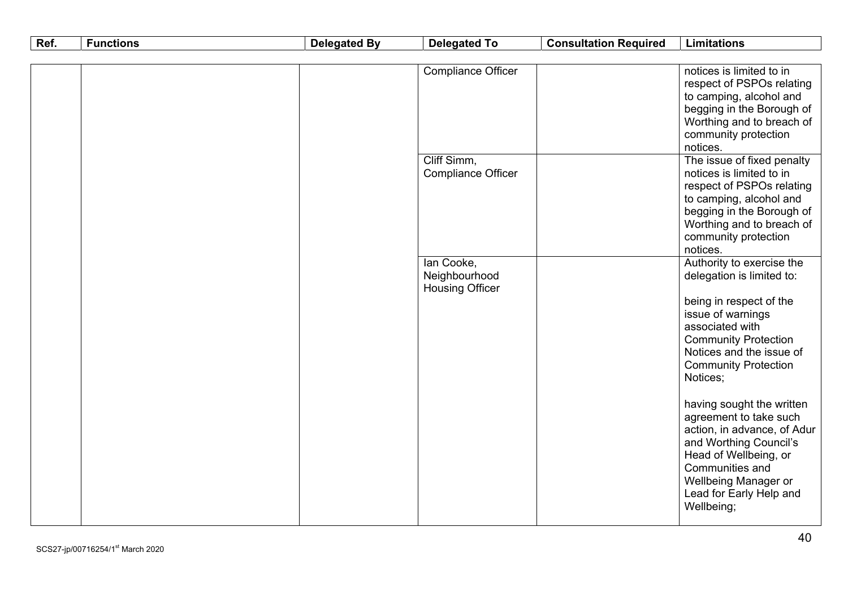| Ref. | <b>Functions</b> | <b>Delegated By</b> | <b>Delegated To</b>       | <b>Consultation Required</b> | <b>Limitations</b>                                   |
|------|------------------|---------------------|---------------------------|------------------------------|------------------------------------------------------|
|      |                  |                     |                           |                              |                                                      |
|      |                  |                     | <b>Compliance Officer</b> |                              | notices is limited to in                             |
|      |                  |                     |                           |                              | respect of PSPOs relating                            |
|      |                  |                     |                           |                              | to camping, alcohol and                              |
|      |                  |                     |                           |                              | begging in the Borough of                            |
|      |                  |                     |                           |                              | Worthing and to breach of                            |
|      |                  |                     |                           |                              | community protection                                 |
|      |                  |                     |                           |                              | notices.                                             |
|      |                  |                     | Cliff Simm,               |                              | The issue of fixed penalty                           |
|      |                  |                     | <b>Compliance Officer</b> |                              | notices is limited to in                             |
|      |                  |                     |                           |                              | respect of PSPOs relating                            |
|      |                  |                     |                           |                              | to camping, alcohol and<br>begging in the Borough of |
|      |                  |                     |                           |                              | Worthing and to breach of                            |
|      |                  |                     |                           |                              | community protection                                 |
|      |                  |                     |                           |                              | notices.                                             |
|      |                  |                     | Tan Cooke,                |                              | Authority to exercise the                            |
|      |                  |                     | Neighbourhood             |                              | delegation is limited to:                            |
|      |                  |                     | <b>Housing Officer</b>    |                              |                                                      |
|      |                  |                     |                           |                              | being in respect of the                              |
|      |                  |                     |                           |                              | issue of warnings                                    |
|      |                  |                     |                           |                              | associated with                                      |
|      |                  |                     |                           |                              | <b>Community Protection</b>                          |
|      |                  |                     |                           |                              | Notices and the issue of                             |
|      |                  |                     |                           |                              | <b>Community Protection</b>                          |
|      |                  |                     |                           |                              | Notices;                                             |
|      |                  |                     |                           |                              |                                                      |
|      |                  |                     |                           |                              | having sought the written                            |
|      |                  |                     |                           |                              | agreement to take such                               |
|      |                  |                     |                           |                              | action, in advance, of Adur                          |
|      |                  |                     |                           |                              | and Worthing Council's                               |
|      |                  |                     |                           |                              | Head of Wellbeing, or<br>Communities and             |
|      |                  |                     |                           |                              | Wellbeing Manager or                                 |
|      |                  |                     |                           |                              | Lead for Early Help and                              |
|      |                  |                     |                           |                              | Wellbeing;                                           |
|      |                  |                     |                           |                              |                                                      |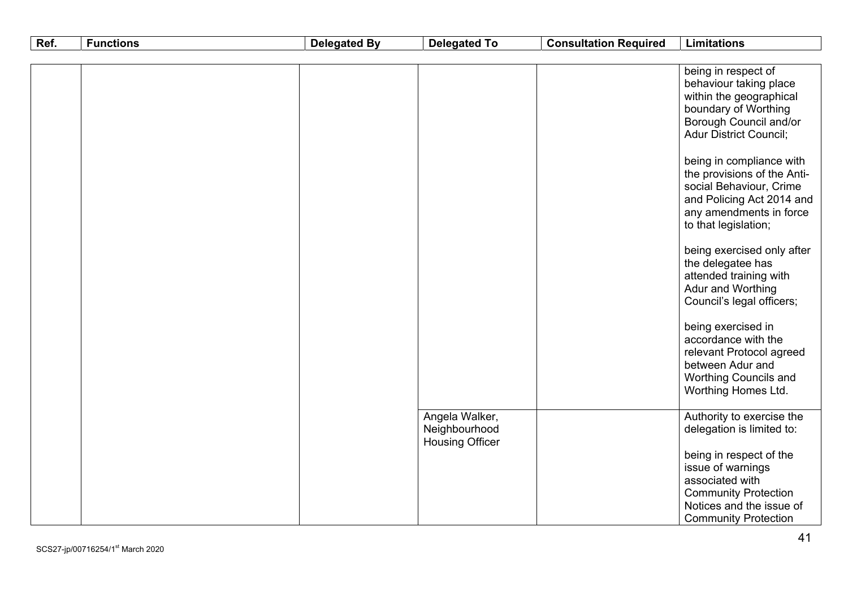| Ref. | <b>Functions</b> | <b>Delegated By</b> | <b>Delegated To</b>                                       | <b>Consultation Required</b> | <b>Limitations</b>                                                                                                                                                                                                                                                                                                                                                                                                                                               |
|------|------------------|---------------------|-----------------------------------------------------------|------------------------------|------------------------------------------------------------------------------------------------------------------------------------------------------------------------------------------------------------------------------------------------------------------------------------------------------------------------------------------------------------------------------------------------------------------------------------------------------------------|
|      |                  |                     |                                                           |                              |                                                                                                                                                                                                                                                                                                                                                                                                                                                                  |
|      |                  |                     |                                                           |                              | being in respect of<br>behaviour taking place<br>within the geographical<br>boundary of Worthing<br>Borough Council and/or<br><b>Adur District Council;</b><br>being in compliance with<br>the provisions of the Anti-<br>social Behaviour, Crime<br>and Policing Act 2014 and<br>any amendments in force<br>to that legislation;<br>being exercised only after<br>the delegatee has<br>attended training with<br>Adur and Worthing<br>Council's legal officers; |
|      |                  |                     |                                                           |                              | being exercised in<br>accordance with the<br>relevant Protocol agreed<br>between Adur and<br><b>Worthing Councils and</b><br>Worthing Homes Ltd.                                                                                                                                                                                                                                                                                                                 |
|      |                  |                     | Angela Walker,<br>Neighbourhood<br><b>Housing Officer</b> |                              | Authority to exercise the<br>delegation is limited to:<br>being in respect of the                                                                                                                                                                                                                                                                                                                                                                                |
|      |                  |                     |                                                           |                              | issue of warnings<br>associated with<br><b>Community Protection</b><br>Notices and the issue of<br><b>Community Protection</b>                                                                                                                                                                                                                                                                                                                                   |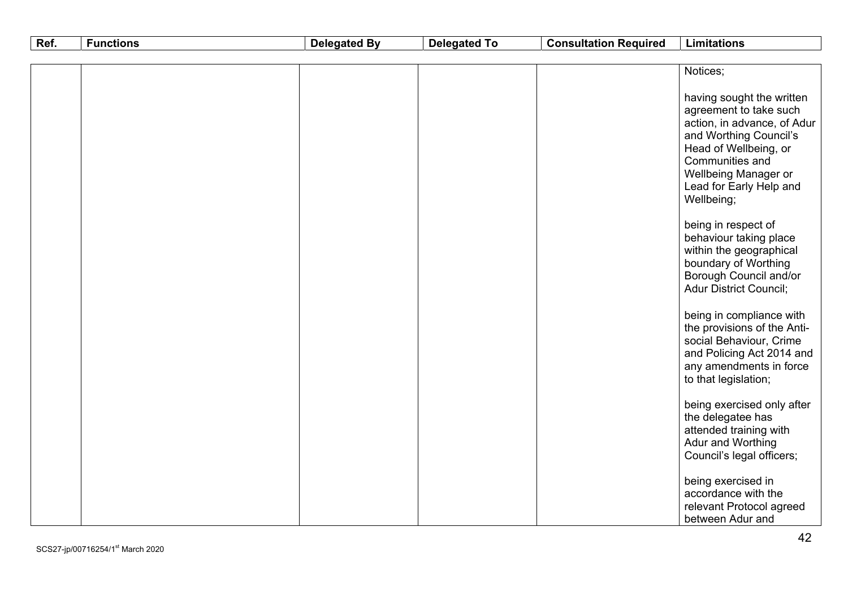| Ref. | <b>Functions</b> | <b>Delegated By</b> | <b>Delegated To</b> | <b>Consultation Required</b> | <b>Limitations</b>                                                                                                                                                                                                        |
|------|------------------|---------------------|---------------------|------------------------------|---------------------------------------------------------------------------------------------------------------------------------------------------------------------------------------------------------------------------|
|      |                  |                     |                     |                              |                                                                                                                                                                                                                           |
|      |                  |                     |                     |                              | Notices;                                                                                                                                                                                                                  |
|      |                  |                     |                     |                              | having sought the written<br>agreement to take such<br>action, in advance, of Adur<br>and Worthing Council's<br>Head of Wellbeing, or<br>Communities and<br>Wellbeing Manager or<br>Lead for Early Help and<br>Wellbeing; |
|      |                  |                     |                     |                              | being in respect of<br>behaviour taking place<br>within the geographical<br>boundary of Worthing<br>Borough Council and/or<br><b>Adur District Council;</b>                                                               |
|      |                  |                     |                     |                              | being in compliance with<br>the provisions of the Anti-<br>social Behaviour, Crime<br>and Policing Act 2014 and<br>any amendments in force<br>to that legislation;                                                        |
|      |                  |                     |                     |                              | being exercised only after<br>the delegatee has<br>attended training with<br>Adur and Worthing<br>Council's legal officers;                                                                                               |
|      |                  |                     |                     |                              | being exercised in<br>accordance with the<br>relevant Protocol agreed<br>between Adur and                                                                                                                                 |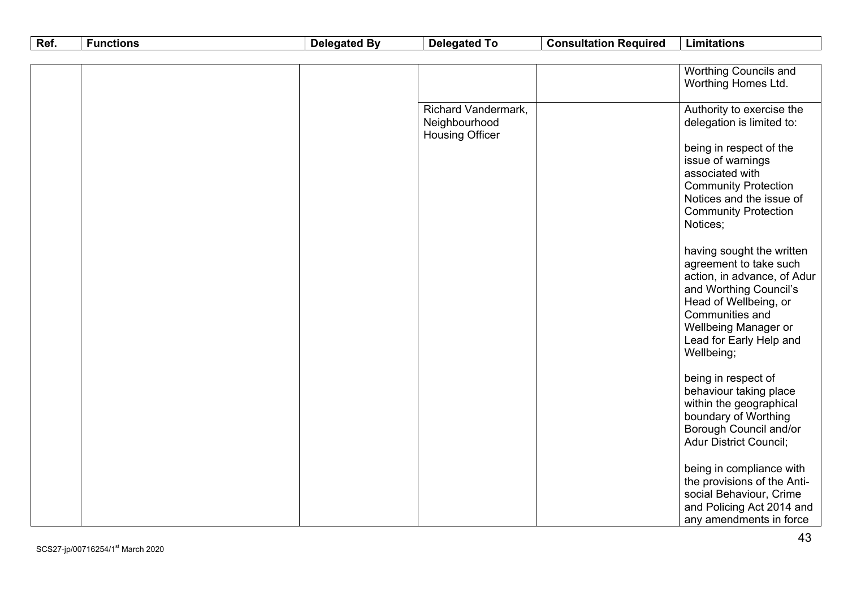| Ref. | <b>Functions</b> | <b>Delegated By</b> | <b>Delegated To</b>        | <b>Consultation Required</b> | <b>Limitations</b>                                      |
|------|------------------|---------------------|----------------------------|------------------------------|---------------------------------------------------------|
|      |                  |                     |                            |                              |                                                         |
|      |                  |                     |                            |                              | <b>Worthing Councils and</b>                            |
|      |                  |                     |                            |                              | Worthing Homes Ltd.                                     |
|      |                  |                     | <b>Richard Vandermark,</b> |                              |                                                         |
|      |                  |                     | Neighbourhood              |                              | Authority to exercise the<br>delegation is limited to:  |
|      |                  |                     | <b>Housing Officer</b>     |                              |                                                         |
|      |                  |                     |                            |                              | being in respect of the                                 |
|      |                  |                     |                            |                              | issue of warnings                                       |
|      |                  |                     |                            |                              | associated with                                         |
|      |                  |                     |                            |                              | <b>Community Protection</b>                             |
|      |                  |                     |                            |                              | Notices and the issue of                                |
|      |                  |                     |                            |                              | <b>Community Protection</b>                             |
|      |                  |                     |                            |                              | Notices;                                                |
|      |                  |                     |                            |                              | having sought the written                               |
|      |                  |                     |                            |                              | agreement to take such                                  |
|      |                  |                     |                            |                              | action, in advance, of Adur                             |
|      |                  |                     |                            |                              | and Worthing Council's                                  |
|      |                  |                     |                            |                              | Head of Wellbeing, or                                   |
|      |                  |                     |                            |                              | Communities and                                         |
|      |                  |                     |                            |                              | Wellbeing Manager or                                    |
|      |                  |                     |                            |                              | Lead for Early Help and                                 |
|      |                  |                     |                            |                              | Wellbeing;                                              |
|      |                  |                     |                            |                              | being in respect of                                     |
|      |                  |                     |                            |                              | behaviour taking place                                  |
|      |                  |                     |                            |                              | within the geographical                                 |
|      |                  |                     |                            |                              | boundary of Worthing                                    |
|      |                  |                     |                            |                              | Borough Council and/or                                  |
|      |                  |                     |                            |                              | <b>Adur District Council;</b>                           |
|      |                  |                     |                            |                              |                                                         |
|      |                  |                     |                            |                              | being in compliance with<br>the provisions of the Anti- |
|      |                  |                     |                            |                              | social Behaviour, Crime                                 |
|      |                  |                     |                            |                              | and Policing Act 2014 and                               |
|      |                  |                     |                            |                              | any amendments in force                                 |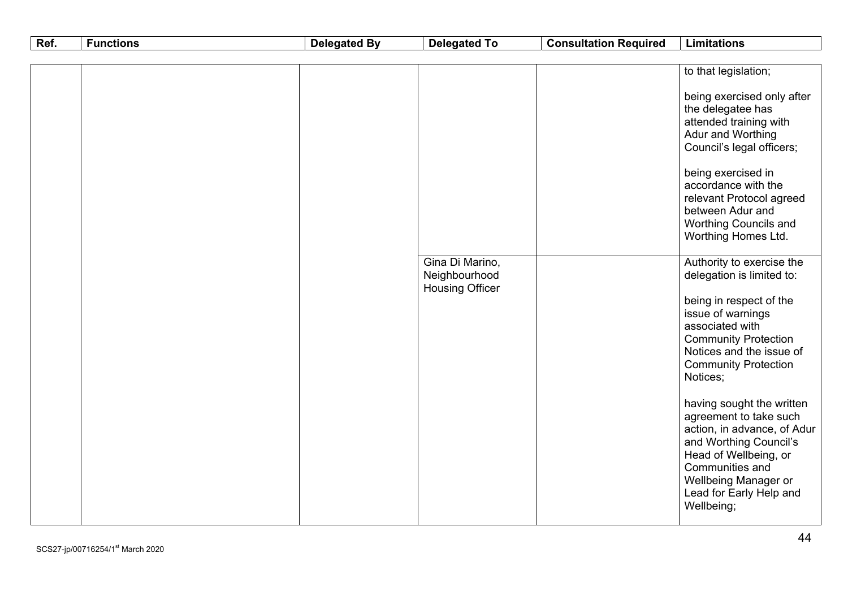| Ref. | <b>Functions</b> | <b>Delegated By</b> | <b>Delegated To</b>                                        | <b>Consultation Required</b> | <b>Limitations</b>                                                                                                                                                                                                        |
|------|------------------|---------------------|------------------------------------------------------------|------------------------------|---------------------------------------------------------------------------------------------------------------------------------------------------------------------------------------------------------------------------|
|      |                  |                     |                                                            |                              |                                                                                                                                                                                                                           |
|      |                  |                     |                                                            |                              | to that legislation;                                                                                                                                                                                                      |
|      |                  |                     |                                                            |                              | being exercised only after<br>the delegatee has<br>attended training with<br>Adur and Worthing<br>Council's legal officers;<br>being exercised in                                                                         |
|      |                  |                     |                                                            |                              | accordance with the<br>relevant Protocol agreed<br>between Adur and<br><b>Worthing Councils and</b><br>Worthing Homes Ltd.                                                                                                |
|      |                  |                     | Gina Di Marino,<br>Neighbourhood<br><b>Housing Officer</b> |                              | Authority to exercise the<br>delegation is limited to:                                                                                                                                                                    |
|      |                  |                     |                                                            |                              | being in respect of the<br>issue of warnings<br>associated with<br><b>Community Protection</b><br>Notices and the issue of<br><b>Community Protection</b><br>Notices;                                                     |
|      |                  |                     |                                                            |                              | having sought the written<br>agreement to take such<br>action, in advance, of Adur<br>and Worthing Council's<br>Head of Wellbeing, or<br>Communities and<br>Wellbeing Manager or<br>Lead for Early Help and<br>Wellbeing; |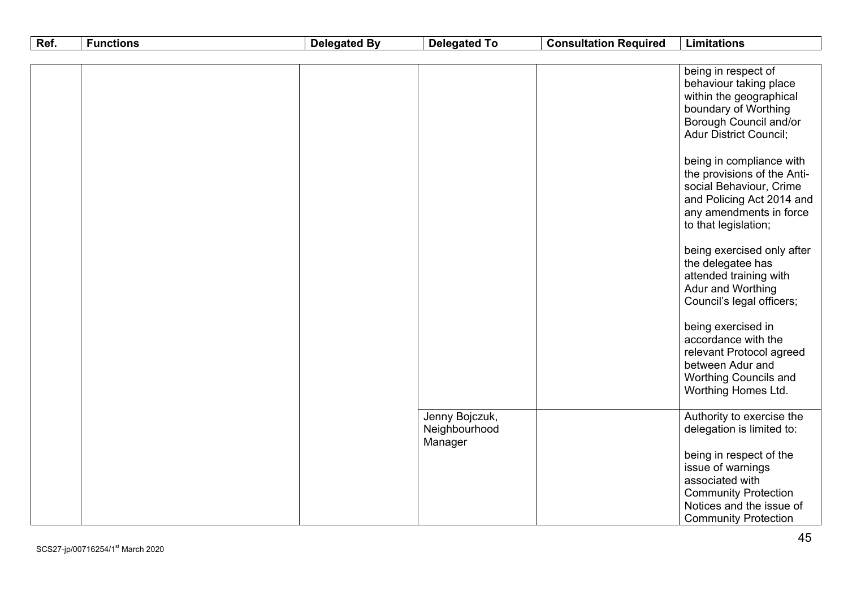| Ref. | <b>Functions</b> | <b>Delegated By</b> | <b>Delegated To</b>                        | <b>Consultation Required</b> | <b>Limitations</b>                                                                                                                                                                                                                                                                                                                                                                   |
|------|------------------|---------------------|--------------------------------------------|------------------------------|--------------------------------------------------------------------------------------------------------------------------------------------------------------------------------------------------------------------------------------------------------------------------------------------------------------------------------------------------------------------------------------|
|      |                  |                     |                                            |                              |                                                                                                                                                                                                                                                                                                                                                                                      |
|      |                  |                     |                                            |                              | being in respect of<br>behaviour taking place<br>within the geographical<br>boundary of Worthing<br>Borough Council and/or<br><b>Adur District Council;</b><br>being in compliance with<br>the provisions of the Anti-<br>social Behaviour, Crime<br>and Policing Act 2014 and<br>any amendments in force<br>to that legislation;<br>being exercised only after<br>the delegatee has |
|      |                  |                     |                                            |                              | attended training with<br>Adur and Worthing<br>Council's legal officers;<br>being exercised in<br>accordance with the<br>relevant Protocol agreed<br>between Adur and<br>Worthing Councils and<br>Worthing Homes Ltd.                                                                                                                                                                |
|      |                  |                     | Jenny Bojczuk,<br>Neighbourhood<br>Manager |                              | Authority to exercise the<br>delegation is limited to:<br>being in respect of the<br>issue of warnings<br>associated with<br><b>Community Protection</b><br>Notices and the issue of<br><b>Community Protection</b>                                                                                                                                                                  |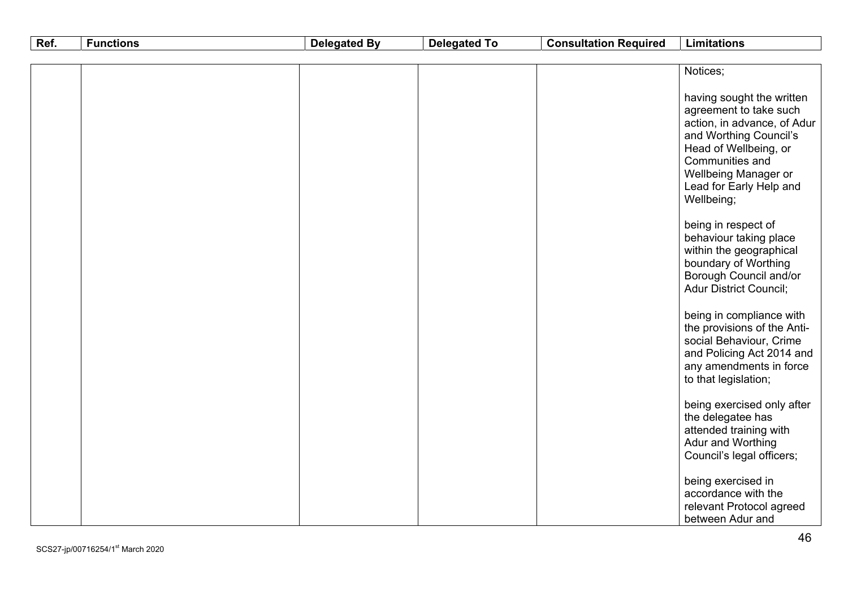| Ref. | <b>Functions</b> | <b>Delegated By</b> | <b>Delegated To</b> | <b>Consultation Required</b> | <b>Limitations</b>                                                                                                                                                                                                        |
|------|------------------|---------------------|---------------------|------------------------------|---------------------------------------------------------------------------------------------------------------------------------------------------------------------------------------------------------------------------|
|      |                  |                     |                     |                              |                                                                                                                                                                                                                           |
|      |                  |                     |                     |                              | Notices;                                                                                                                                                                                                                  |
|      |                  |                     |                     |                              | having sought the written<br>agreement to take such<br>action, in advance, of Adur<br>and Worthing Council's<br>Head of Wellbeing, or<br>Communities and<br>Wellbeing Manager or<br>Lead for Early Help and<br>Wellbeing; |
|      |                  |                     |                     |                              | being in respect of<br>behaviour taking place<br>within the geographical<br>boundary of Worthing<br>Borough Council and/or<br><b>Adur District Council;</b>                                                               |
|      |                  |                     |                     |                              | being in compliance with<br>the provisions of the Anti-<br>social Behaviour, Crime<br>and Policing Act 2014 and<br>any amendments in force<br>to that legislation;                                                        |
|      |                  |                     |                     |                              | being exercised only after<br>the delegatee has<br>attended training with<br>Adur and Worthing<br>Council's legal officers;                                                                                               |
|      |                  |                     |                     |                              | being exercised in<br>accordance with the<br>relevant Protocol agreed<br>between Adur and                                                                                                                                 |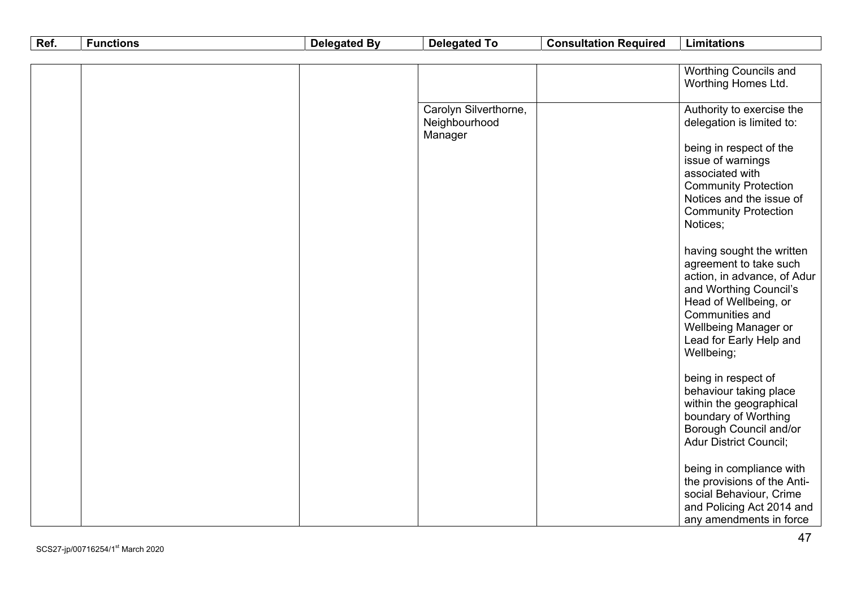| Ref. | <b>Functions</b> | <b>Delegated By</b> | <b>Delegated To</b>   | <b>Consultation Required</b> | <b>Limitations</b>                                      |
|------|------------------|---------------------|-----------------------|------------------------------|---------------------------------------------------------|
|      |                  |                     |                       |                              |                                                         |
|      |                  |                     |                       |                              | <b>Worthing Councils and</b>                            |
|      |                  |                     |                       |                              | Worthing Homes Ltd.                                     |
|      |                  |                     | Carolyn Silverthorne, |                              | Authority to exercise the                               |
|      |                  |                     | Neighbourhood         |                              | delegation is limited to:                               |
|      |                  |                     | Manager               |                              |                                                         |
|      |                  |                     |                       |                              | being in respect of the                                 |
|      |                  |                     |                       |                              | issue of warnings                                       |
|      |                  |                     |                       |                              | associated with                                         |
|      |                  |                     |                       |                              | <b>Community Protection</b><br>Notices and the issue of |
|      |                  |                     |                       |                              | <b>Community Protection</b>                             |
|      |                  |                     |                       |                              | Notices;                                                |
|      |                  |                     |                       |                              |                                                         |
|      |                  |                     |                       |                              | having sought the written                               |
|      |                  |                     |                       |                              | agreement to take such                                  |
|      |                  |                     |                       |                              | action, in advance, of Adur<br>and Worthing Council's   |
|      |                  |                     |                       |                              | Head of Wellbeing, or                                   |
|      |                  |                     |                       |                              | Communities and                                         |
|      |                  |                     |                       |                              | Wellbeing Manager or                                    |
|      |                  |                     |                       |                              | Lead for Early Help and                                 |
|      |                  |                     |                       |                              | Wellbeing;                                              |
|      |                  |                     |                       |                              | being in respect of                                     |
|      |                  |                     |                       |                              | behaviour taking place                                  |
|      |                  |                     |                       |                              | within the geographical                                 |
|      |                  |                     |                       |                              | boundary of Worthing                                    |
|      |                  |                     |                       |                              | Borough Council and/or<br><b>Adur District Council;</b> |
|      |                  |                     |                       |                              |                                                         |
|      |                  |                     |                       |                              | being in compliance with                                |
|      |                  |                     |                       |                              | the provisions of the Anti-                             |
|      |                  |                     |                       |                              | social Behaviour, Crime                                 |
|      |                  |                     |                       |                              | and Policing Act 2014 and                               |
|      |                  |                     |                       |                              | any amendments in force                                 |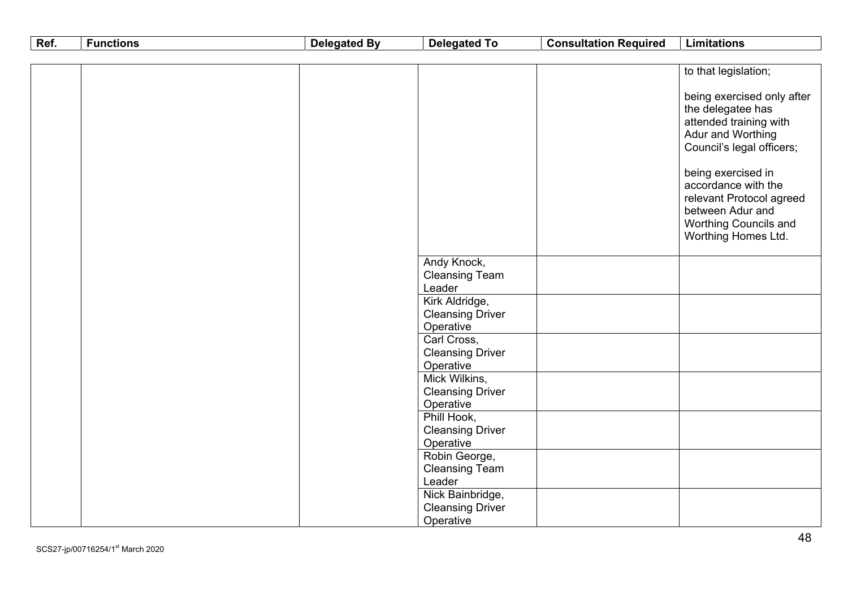| Ref. | <b>Functions</b> | <b>Delegated By</b> | <b>Delegated To</b>                                      | <b>Consultation Required</b> | <b>Limitations</b>                                                                                                                                                                                                                                                              |
|------|------------------|---------------------|----------------------------------------------------------|------------------------------|---------------------------------------------------------------------------------------------------------------------------------------------------------------------------------------------------------------------------------------------------------------------------------|
|      |                  |                     |                                                          |                              |                                                                                                                                                                                                                                                                                 |
|      |                  |                     |                                                          |                              | to that legislation;                                                                                                                                                                                                                                                            |
|      |                  |                     |                                                          |                              | being exercised only after<br>the delegatee has<br>attended training with<br>Adur and Worthing<br>Council's legal officers;<br>being exercised in<br>accordance with the<br>relevant Protocol agreed<br>between Adur and<br><b>Worthing Councils and</b><br>Worthing Homes Ltd. |
|      |                  |                     | Andy Knock,<br><b>Cleansing Team</b><br>Leader           |                              |                                                                                                                                                                                                                                                                                 |
|      |                  |                     | Kirk Aldridge,<br><b>Cleansing Driver</b><br>Operative   |                              |                                                                                                                                                                                                                                                                                 |
|      |                  |                     | Carl Cross,<br><b>Cleansing Driver</b><br>Operative      |                              |                                                                                                                                                                                                                                                                                 |
|      |                  |                     | Mick Wilkins,<br><b>Cleansing Driver</b><br>Operative    |                              |                                                                                                                                                                                                                                                                                 |
|      |                  |                     | Phill Hook,<br><b>Cleansing Driver</b><br>Operative      |                              |                                                                                                                                                                                                                                                                                 |
|      |                  |                     | Robin George,<br><b>Cleansing Team</b><br>Leader         |                              |                                                                                                                                                                                                                                                                                 |
|      |                  |                     | Nick Bainbridge,<br><b>Cleansing Driver</b><br>Operative |                              |                                                                                                                                                                                                                                                                                 |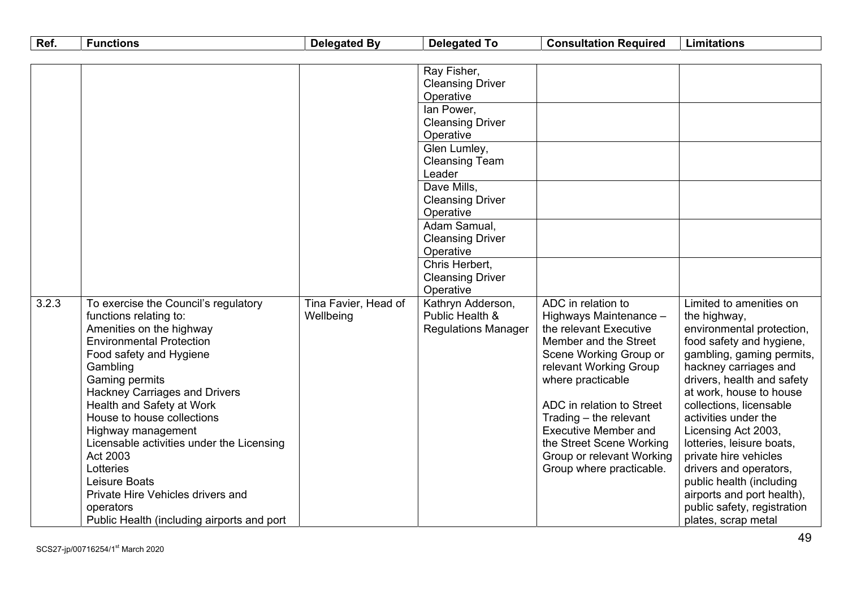| Ref.  | <b>Functions</b>                           | <b>Delegated By</b>  | <b>Delegated To</b>                  | <b>Consultation Required</b> | <b>Limitations</b>          |
|-------|--------------------------------------------|----------------------|--------------------------------------|------------------------------|-----------------------------|
|       |                                            |                      |                                      |                              |                             |
|       |                                            |                      | Ray Fisher,                          |                              |                             |
|       |                                            |                      | <b>Cleansing Driver</b>              |                              |                             |
|       |                                            |                      | Operative                            |                              |                             |
|       |                                            |                      | lan Power,                           |                              |                             |
|       |                                            |                      | <b>Cleansing Driver</b>              |                              |                             |
|       |                                            |                      | Operative                            |                              |                             |
|       |                                            |                      | Glen Lumley,                         |                              |                             |
|       |                                            |                      | <b>Cleansing Team</b>                |                              |                             |
|       |                                            |                      | Leader                               |                              |                             |
|       |                                            |                      | Dave Mills,                          |                              |                             |
|       |                                            |                      | <b>Cleansing Driver</b>              |                              |                             |
|       |                                            |                      | Operative                            |                              |                             |
|       |                                            |                      | Adam Samual,                         |                              |                             |
|       |                                            |                      | <b>Cleansing Driver</b><br>Operative |                              |                             |
|       |                                            |                      | Chris Herbert,                       |                              |                             |
|       |                                            |                      | <b>Cleansing Driver</b>              |                              |                             |
|       |                                            |                      | Operative                            |                              |                             |
| 3.2.3 | To exercise the Council's regulatory       | Tina Favier, Head of | Kathryn Adderson,                    | ADC in relation to           | Limited to amenities on     |
|       | functions relating to:                     | Wellbeing            | Public Health &                      | Highways Maintenance -       | the highway,                |
|       | Amenities on the highway                   |                      | <b>Regulations Manager</b>           | the relevant Executive       | environmental protection,   |
|       | <b>Environmental Protection</b>            |                      |                                      | Member and the Street        | food safety and hygiene,    |
|       | Food safety and Hygiene                    |                      |                                      | Scene Working Group or       | gambling, gaming permits,   |
|       | Gambling                                   |                      |                                      | relevant Working Group       | hackney carriages and       |
|       | <b>Gaming permits</b>                      |                      |                                      | where practicable            | drivers, health and safety  |
|       | <b>Hackney Carriages and Drivers</b>       |                      |                                      |                              | at work, house to house     |
|       | Health and Safety at Work                  |                      |                                      | ADC in relation to Street    | collections, licensable     |
|       | House to house collections                 |                      |                                      | Trading $-$ the relevant     | activities under the        |
|       | Highway management                         |                      |                                      | <b>Executive Member and</b>  | Licensing Act 2003,         |
|       | Licensable activities under the Licensing  |                      |                                      | the Street Scene Working     | lotteries, leisure boats,   |
|       | Act 2003                                   |                      |                                      | Group or relevant Working    | private hire vehicles       |
|       | Lotteries                                  |                      |                                      | Group where practicable.     | drivers and operators,      |
|       | Leisure Boats                              |                      |                                      |                              | public health (including    |
|       | Private Hire Vehicles drivers and          |                      |                                      |                              | airports and port health),  |
|       | operators                                  |                      |                                      |                              | public safety, registration |
|       | Public Health (including airports and port |                      |                                      |                              | plates, scrap metal         |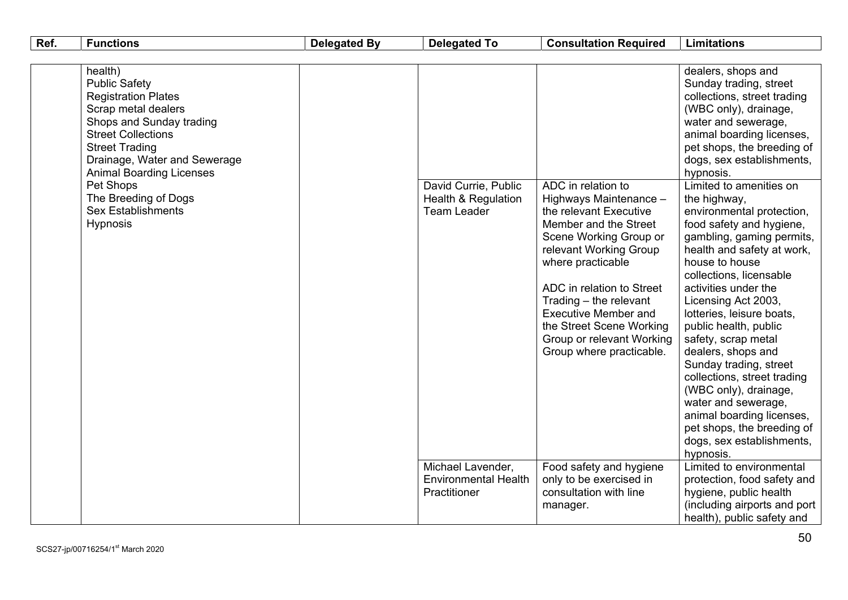| health)<br>dealers, shops and<br><b>Public Safety</b><br>Sunday trading, street<br>collections, street trading<br><b>Registration Plates</b><br>Scrap metal dealers<br>(WBC only), drainage,<br>Shops and Sunday trading<br>water and sewerage,<br><b>Street Collections</b><br>animal boarding licenses,<br><b>Street Trading</b><br>pet shops, the breeding of<br>Drainage, Water and Sewerage<br>dogs, sex establishments,<br><b>Animal Boarding Licenses</b><br>hypnosis.<br>Pet Shops<br>ADC in relation to<br>Limited to amenities on<br>David Currie, Public<br>The Breeding of Dogs<br><b>Health &amp; Regulation</b><br>Highways Maintenance -<br>the highway,<br><b>Sex Establishments</b><br><b>Team Leader</b><br>the relevant Executive<br>environmental protection,<br><b>Hypnosis</b><br>Member and the Street<br>food safety and hygiene,<br>Scene Working Group or<br>gambling, gaming permits,<br>relevant Working Group<br>health and safety at work,<br>house to house<br>where practicable<br>collections, licensable<br>activities under the<br>ADC in relation to Street<br>Trading - the relevant<br>Licensing Act 2003,<br><b>Executive Member and</b><br>lotteries, leisure boats,<br>the Street Scene Working<br>public health, public<br>Group or relevant Working<br>safety, scrap metal<br>Group where practicable.<br>dealers, shops and<br>Sunday trading, street<br>collections, street trading<br>(WBC only), drainage,<br>water and sewerage,<br>animal boarding licenses,<br>pet shops, the breeding of<br>dogs, sex establishments,<br>hypnosis.<br>Limited to environmental<br>Michael Lavender,<br>Food safety and hygiene<br><b>Environmental Health</b><br>only to be exercised in<br>protection, food safety and<br>consultation with line<br>hygiene, public health<br>Practitioner<br>(including airports and port<br>manager.<br>health), public safety and |  |
|----------------------------------------------------------------------------------------------------------------------------------------------------------------------------------------------------------------------------------------------------------------------------------------------------------------------------------------------------------------------------------------------------------------------------------------------------------------------------------------------------------------------------------------------------------------------------------------------------------------------------------------------------------------------------------------------------------------------------------------------------------------------------------------------------------------------------------------------------------------------------------------------------------------------------------------------------------------------------------------------------------------------------------------------------------------------------------------------------------------------------------------------------------------------------------------------------------------------------------------------------------------------------------------------------------------------------------------------------------------------------------------------------------------------------------------------------------------------------------------------------------------------------------------------------------------------------------------------------------------------------------------------------------------------------------------------------------------------------------------------------------------------------------------------------------------------------------------------------------------------------------------------------------|--|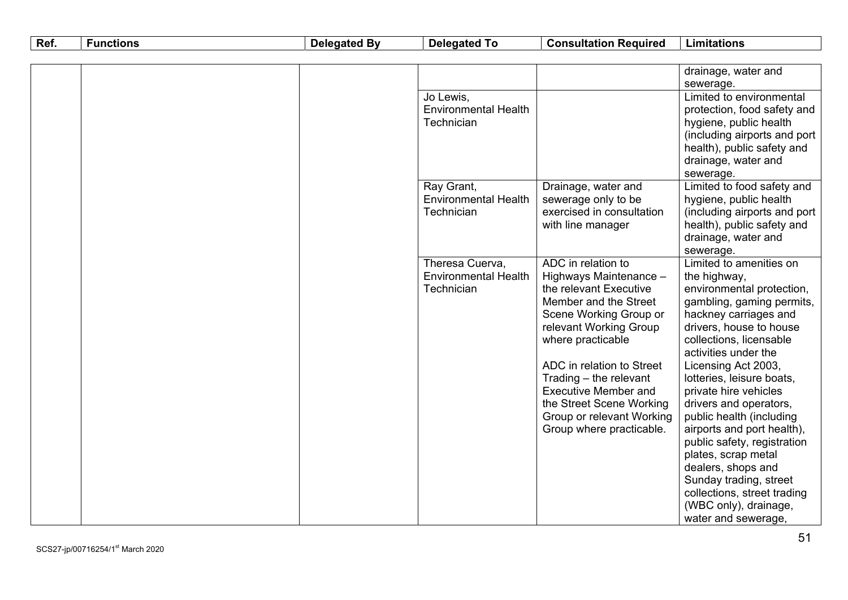| Ref. | <b>Functions</b> | <b>Delegated By</b> | <b>Delegated To</b>         | <b>Consultation Required</b> | <b>Limitations</b>                   |
|------|------------------|---------------------|-----------------------------|------------------------------|--------------------------------------|
|      |                  |                     |                             |                              |                                      |
|      |                  |                     |                             |                              | drainage, water and                  |
|      |                  |                     |                             |                              | sewerage.                            |
|      |                  |                     | Jo Lewis,                   |                              | Limited to environmental             |
|      |                  |                     | <b>Environmental Health</b> |                              | protection, food safety and          |
|      |                  |                     | Technician                  |                              | hygiene, public health               |
|      |                  |                     |                             |                              | (including airports and port         |
|      |                  |                     |                             |                              | health), public safety and           |
|      |                  |                     |                             |                              | drainage, water and                  |
|      |                  |                     |                             |                              | sewerage.                            |
|      |                  |                     | Ray Grant,                  | Drainage, water and          | Limited to food safety and           |
|      |                  |                     | <b>Environmental Health</b> | sewerage only to be          | hygiene, public health               |
|      |                  |                     | Technician                  | exercised in consultation    | (including airports and port         |
|      |                  |                     |                             | with line manager            | health), public safety and           |
|      |                  |                     |                             |                              | drainage, water and                  |
|      |                  |                     | Theresa Cuerva,             | ADC in relation to           | sewerage.<br>Limited to amenities on |
|      |                  |                     | <b>Environmental Health</b> | Highways Maintenance -       | the highway,                         |
|      |                  |                     | Technician                  | the relevant Executive       | environmental protection,            |
|      |                  |                     |                             | Member and the Street        | gambling, gaming permits,            |
|      |                  |                     |                             | Scene Working Group or       | hackney carriages and                |
|      |                  |                     |                             | relevant Working Group       | drivers, house to house              |
|      |                  |                     |                             | where practicable            | collections, licensable              |
|      |                  |                     |                             |                              | activities under the                 |
|      |                  |                     |                             | ADC in relation to Street    | Licensing Act 2003,                  |
|      |                  |                     |                             | Trading - the relevant       | lotteries, leisure boats,            |
|      |                  |                     |                             | <b>Executive Member and</b>  | private hire vehicles                |
|      |                  |                     |                             | the Street Scene Working     | drivers and operators,               |
|      |                  |                     |                             | Group or relevant Working    | public health (including             |
|      |                  |                     |                             | Group where practicable.     | airports and port health),           |
|      |                  |                     |                             |                              | public safety, registration          |
|      |                  |                     |                             |                              | plates, scrap metal                  |
|      |                  |                     |                             |                              | dealers, shops and                   |
|      |                  |                     |                             |                              | Sunday trading, street               |
|      |                  |                     |                             |                              | collections, street trading          |
|      |                  |                     |                             |                              | (WBC only), drainage,                |
|      |                  |                     |                             |                              | water and sewerage,                  |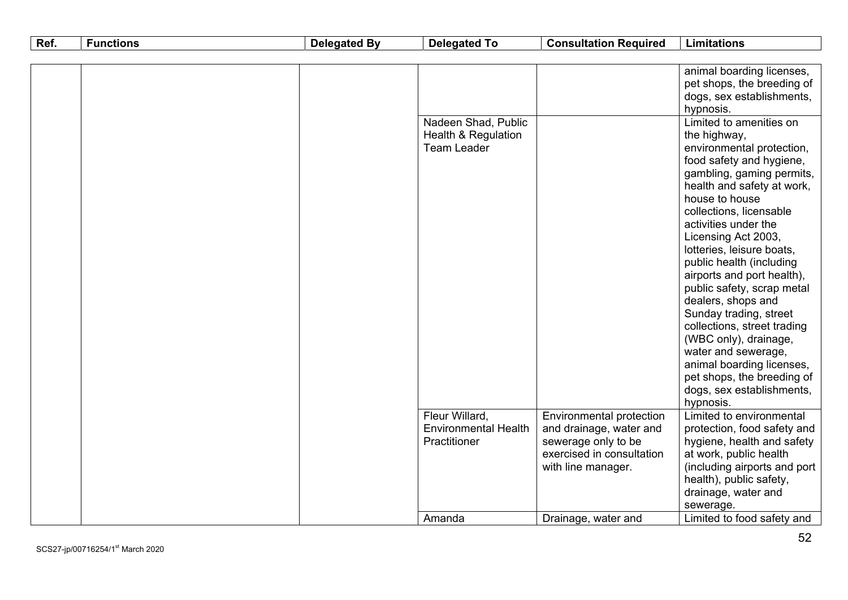| Ref. | <b>Functions</b> | <b>Delegated By</b> | <b>Delegated To</b>                                                         | <b>Consultation Required</b>                        | <b>Limitations</b>                                                                                                                                                                                                                                                                                                                                                                                                                                                                                                                                                                                                                                                                                       |
|------|------------------|---------------------|-----------------------------------------------------------------------------|-----------------------------------------------------|----------------------------------------------------------------------------------------------------------------------------------------------------------------------------------------------------------------------------------------------------------------------------------------------------------------------------------------------------------------------------------------------------------------------------------------------------------------------------------------------------------------------------------------------------------------------------------------------------------------------------------------------------------------------------------------------------------|
|      |                  |                     |                                                                             |                                                     |                                                                                                                                                                                                                                                                                                                                                                                                                                                                                                                                                                                                                                                                                                          |
|      |                  |                     | Nadeen Shad, Public<br><b>Health &amp; Regulation</b><br><b>Team Leader</b> |                                                     | animal boarding licenses,<br>pet shops, the breeding of<br>dogs, sex establishments,<br>hypnosis.<br>Limited to amenities on<br>the highway,<br>environmental protection,<br>food safety and hygiene,<br>gambling, gaming permits,<br>health and safety at work,<br>house to house<br>collections, licensable<br>activities under the<br>Licensing Act 2003,<br>lotteries, leisure boats,<br>public health (including<br>airports and port health),<br>public safety, scrap metal<br>dealers, shops and<br>Sunday trading, street<br>collections, street trading<br>(WBC only), drainage,<br>water and sewerage,<br>animal boarding licenses,<br>pet shops, the breeding of<br>dogs, sex establishments, |
|      |                  |                     | Fleur Willard,<br><b>Environmental Health</b>                               | Environmental protection<br>and drainage, water and | hypnosis.<br>Limited to environmental<br>protection, food safety and                                                                                                                                                                                                                                                                                                                                                                                                                                                                                                                                                                                                                                     |
|      |                  |                     | Practitioner                                                                | sewerage only to be<br>exercised in consultation    | hygiene, health and safety<br>at work, public health                                                                                                                                                                                                                                                                                                                                                                                                                                                                                                                                                                                                                                                     |
|      |                  |                     |                                                                             | with line manager.                                  | (including airports and port<br>health), public safety,<br>drainage, water and<br>sewerage.                                                                                                                                                                                                                                                                                                                                                                                                                                                                                                                                                                                                              |
|      |                  |                     | Amanda                                                                      | Drainage, water and                                 | Limited to food safety and                                                                                                                                                                                                                                                                                                                                                                                                                                                                                                                                                                                                                                                                               |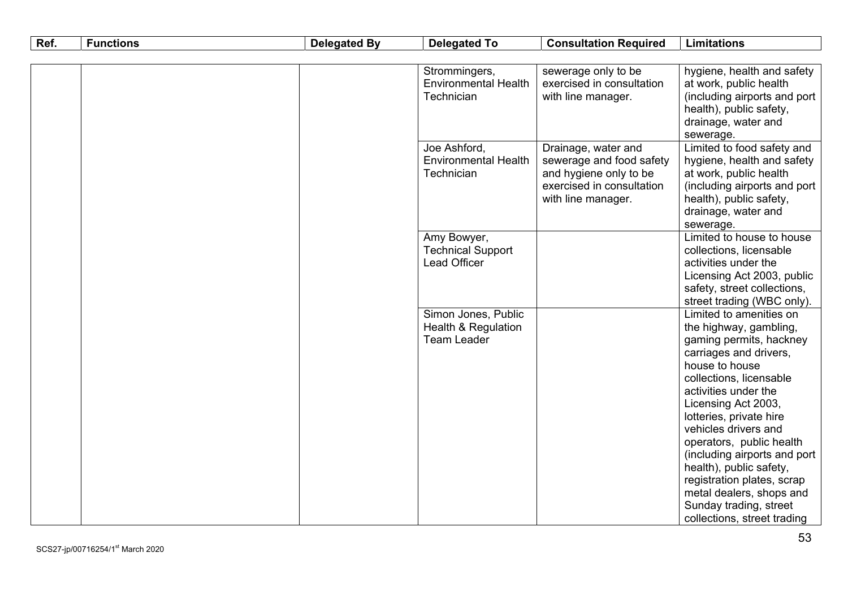| Ref. | <b>Functions</b> | <b>Delegated By</b> | <b>Delegated To</b>                                                         | <b>Consultation Required</b>                                                                                                 | <b>Limitations</b>                                                                                                                                                                                                                                        |
|------|------------------|---------------------|-----------------------------------------------------------------------------|------------------------------------------------------------------------------------------------------------------------------|-----------------------------------------------------------------------------------------------------------------------------------------------------------------------------------------------------------------------------------------------------------|
|      |                  |                     |                                                                             |                                                                                                                              |                                                                                                                                                                                                                                                           |
|      |                  |                     | Strommingers,<br><b>Environmental Health</b><br>Technician                  | sewerage only to be<br>exercised in consultation<br>with line manager.                                                       | hygiene, health and safety<br>at work, public health<br>(including airports and port<br>health), public safety,<br>drainage, water and<br>sewerage.                                                                                                       |
|      |                  |                     | Joe Ashford,<br><b>Environmental Health</b><br>Technician                   | Drainage, water and<br>sewerage and food safety<br>and hygiene only to be<br>exercised in consultation<br>with line manager. | Limited to food safety and<br>hygiene, health and safety<br>at work, public health<br>(including airports and port<br>health), public safety,<br>drainage, water and<br>sewerage.                                                                         |
|      |                  |                     | Amy Bowyer,<br><b>Technical Support</b><br>Lead Officer                     |                                                                                                                              | Limited to house to house<br>collections, licensable<br>activities under the<br>Licensing Act 2003, public<br>safety, street collections,<br>street trading (WBC only).                                                                                   |
|      |                  |                     | Simon Jones, Public<br><b>Health &amp; Regulation</b><br><b>Team Leader</b> |                                                                                                                              | Limited to amenities on<br>the highway, gambling,<br>gaming permits, hackney<br>carriages and drivers,<br>house to house<br>collections, licensable<br>activities under the<br>Licensing Act 2003,                                                        |
|      |                  |                     |                                                                             |                                                                                                                              | lotteries, private hire<br>vehicles drivers and<br>operators, public health<br>(including airports and port<br>health), public safety,<br>registration plates, scrap<br>metal dealers, shops and<br>Sunday trading, street<br>collections, street trading |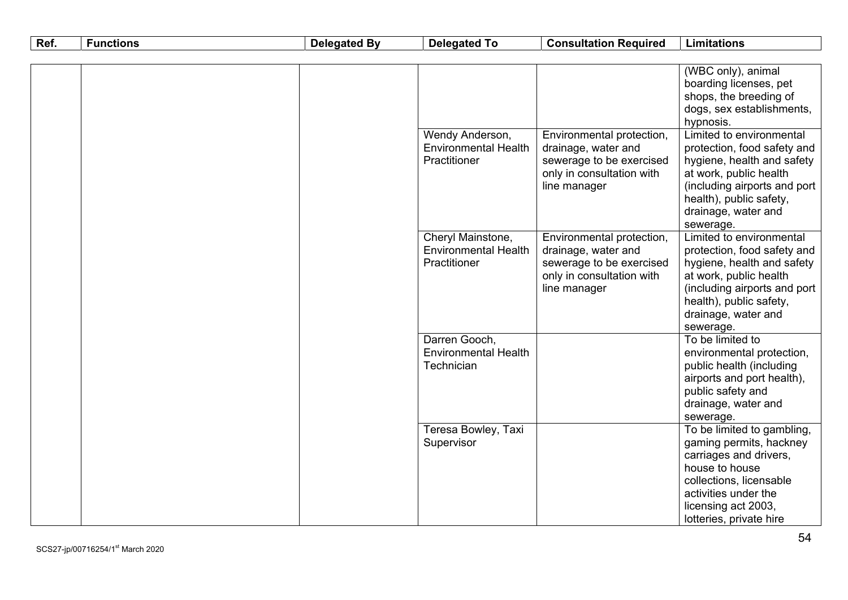| Ref. | <b>Functions</b> | <b>Delegated By</b> | <b>Delegated To</b>         | <b>Consultation Required</b>              | <b>Limitations</b>                                     |
|------|------------------|---------------------|-----------------------------|-------------------------------------------|--------------------------------------------------------|
|      |                  |                     |                             |                                           |                                                        |
|      |                  |                     |                             |                                           | (WBC only), animal                                     |
|      |                  |                     |                             |                                           | boarding licenses, pet                                 |
|      |                  |                     |                             |                                           | shops, the breeding of                                 |
|      |                  |                     |                             |                                           | dogs, sex establishments,                              |
|      |                  |                     |                             |                                           | hypnosis.                                              |
|      |                  |                     | Wendy Anderson,             | Environmental protection,                 | Limited to environmental                               |
|      |                  |                     | <b>Environmental Health</b> | drainage, water and                       | protection, food safety and                            |
|      |                  |                     | Practitioner                | sewerage to be exercised                  | hygiene, health and safety                             |
|      |                  |                     |                             | only in consultation with                 | at work, public health                                 |
|      |                  |                     |                             | line manager                              | (including airports and port                           |
|      |                  |                     |                             |                                           | health), public safety,                                |
|      |                  |                     |                             |                                           | drainage, water and                                    |
|      |                  |                     |                             |                                           | sewerage.                                              |
|      |                  |                     | Cheryl Mainstone,           | Environmental protection,                 | Limited to environmental                               |
|      |                  |                     | <b>Environmental Health</b> | drainage, water and                       | protection, food safety and                            |
|      |                  |                     | Practitioner                | sewerage to be exercised                  | hygiene, health and safety                             |
|      |                  |                     |                             | only in consultation with<br>line manager | at work, public health<br>(including airports and port |
|      |                  |                     |                             |                                           | health), public safety,                                |
|      |                  |                     |                             |                                           | drainage, water and                                    |
|      |                  |                     |                             |                                           | sewerage.                                              |
|      |                  |                     | Darren Gooch,               |                                           | To be limited to                                       |
|      |                  |                     | <b>Environmental Health</b> |                                           | environmental protection,                              |
|      |                  |                     | Technician                  |                                           | public health (including                               |
|      |                  |                     |                             |                                           | airports and port health),                             |
|      |                  |                     |                             |                                           | public safety and                                      |
|      |                  |                     |                             |                                           | drainage, water and                                    |
|      |                  |                     |                             |                                           | sewerage.                                              |
|      |                  |                     | Teresa Bowley, Taxi         |                                           | To be limited to gambling,                             |
|      |                  |                     | Supervisor                  |                                           | gaming permits, hackney                                |
|      |                  |                     |                             |                                           | carriages and drivers,                                 |
|      |                  |                     |                             |                                           | house to house                                         |
|      |                  |                     |                             |                                           | collections, licensable                                |
|      |                  |                     |                             |                                           | activities under the                                   |
|      |                  |                     |                             |                                           | licensing act 2003,                                    |
|      |                  |                     |                             |                                           | lotteries, private hire                                |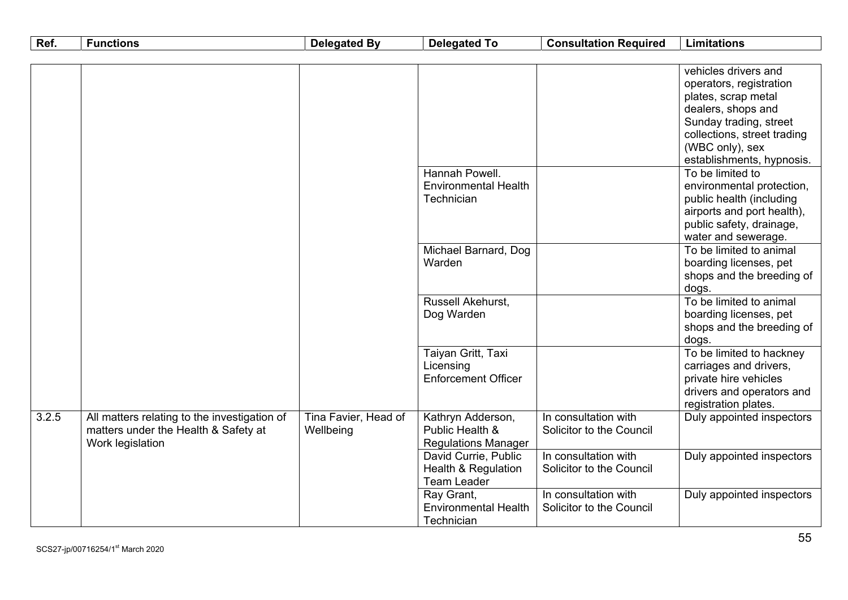| Ref.  | <b>Functions</b>                                                                     | <b>Delegated By</b>  | <b>Delegated To</b>            | <b>Consultation Required</b> | <b>Limitations</b>          |
|-------|--------------------------------------------------------------------------------------|----------------------|--------------------------------|------------------------------|-----------------------------|
|       |                                                                                      |                      |                                |                              |                             |
|       |                                                                                      |                      |                                |                              | vehicles drivers and        |
|       |                                                                                      |                      |                                |                              | operators, registration     |
|       |                                                                                      |                      |                                |                              | plates, scrap metal         |
|       |                                                                                      |                      |                                |                              | dealers, shops and          |
|       |                                                                                      |                      |                                |                              | Sunday trading, street      |
|       |                                                                                      |                      |                                |                              | collections, street trading |
|       |                                                                                      |                      |                                |                              | (WBC only), sex             |
|       |                                                                                      |                      |                                |                              | establishments, hypnosis.   |
|       |                                                                                      |                      | Hannah Powell.                 |                              | To be limited to            |
|       |                                                                                      |                      | <b>Environmental Health</b>    |                              | environmental protection,   |
|       |                                                                                      |                      | Technician                     |                              | public health (including    |
|       |                                                                                      |                      |                                |                              | airports and port health),  |
|       |                                                                                      |                      |                                |                              | public safety, drainage,    |
|       |                                                                                      |                      |                                |                              | water and sewerage.         |
|       |                                                                                      |                      | Michael Barnard, Dog           |                              | To be limited to animal     |
|       |                                                                                      |                      | Warden                         |                              | boarding licenses, pet      |
|       |                                                                                      |                      |                                |                              | shops and the breeding of   |
|       |                                                                                      |                      |                                |                              | dogs.                       |
|       |                                                                                      |                      | Russell Akehurst,              |                              | To be limited to animal     |
|       |                                                                                      |                      | Dog Warden                     |                              | boarding licenses, pet      |
|       |                                                                                      |                      |                                |                              | shops and the breeding of   |
|       |                                                                                      |                      |                                |                              | dogs.                       |
|       |                                                                                      |                      | Taiyan Gritt, Taxi             |                              | To be limited to hackney    |
|       |                                                                                      |                      | Licensing                      |                              | carriages and drivers,      |
|       |                                                                                      |                      | <b>Enforcement Officer</b>     |                              | private hire vehicles       |
|       |                                                                                      |                      |                                |                              | drivers and operators and   |
| 3.2.5 |                                                                                      | Tina Favier, Head of | Kathryn Adderson,              | In consultation with         | registration plates.        |
|       | All matters relating to the investigation of<br>matters under the Health & Safety at | Wellbeing            | Public Health &                | Solicitor to the Council     | Duly appointed inspectors   |
|       | Work legislation                                                                     |                      | <b>Regulations Manager</b>     |                              |                             |
|       |                                                                                      |                      | David Currie, Public           | In consultation with         | Duly appointed inspectors   |
|       |                                                                                      |                      | <b>Health &amp; Regulation</b> | Solicitor to the Council     |                             |
|       |                                                                                      |                      | <b>Team Leader</b>             |                              |                             |
|       |                                                                                      |                      | Ray Grant,                     | In consultation with         | Duly appointed inspectors   |
|       |                                                                                      |                      | <b>Environmental Health</b>    | Solicitor to the Council     |                             |
|       |                                                                                      |                      | Technician                     |                              |                             |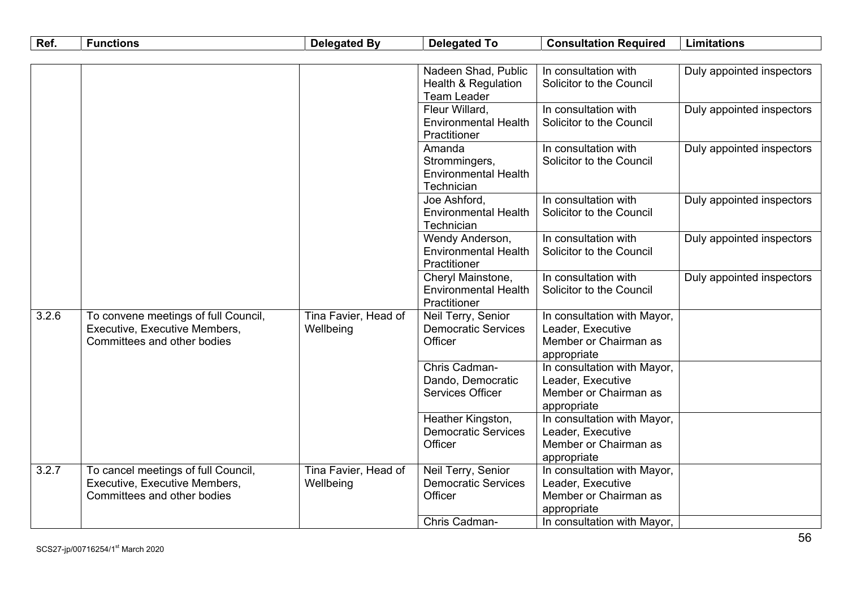| Ref.  | <b>Functions</b>                                                                                     | <b>Delegated By</b>               | <b>Delegated To</b>                                                  | <b>Consultation Required</b>                                                             | <b>Limitations</b>        |
|-------|------------------------------------------------------------------------------------------------------|-----------------------------------|----------------------------------------------------------------------|------------------------------------------------------------------------------------------|---------------------------|
|       |                                                                                                      |                                   |                                                                      |                                                                                          |                           |
|       |                                                                                                      |                                   | Nadeen Shad, Public<br>Health & Regulation<br><b>Team Leader</b>     | In consultation with<br>Solicitor to the Council                                         | Duly appointed inspectors |
|       |                                                                                                      |                                   | Fleur Willard,<br><b>Environmental Health</b><br>Practitioner        | In consultation with<br>Solicitor to the Council                                         | Duly appointed inspectors |
|       |                                                                                                      |                                   | Amanda<br>Strommingers,<br><b>Environmental Health</b><br>Technician | In consultation with<br>Solicitor to the Council                                         | Duly appointed inspectors |
|       |                                                                                                      |                                   | Joe Ashford,<br><b>Environmental Health</b><br>Technician            | In consultation with<br>Solicitor to the Council                                         | Duly appointed inspectors |
|       |                                                                                                      |                                   | Wendy Anderson,<br><b>Environmental Health</b><br>Practitioner       | In consultation with<br>Solicitor to the Council                                         | Duly appointed inspectors |
|       |                                                                                                      |                                   | Cheryl Mainstone,<br><b>Environmental Health</b><br>Practitioner     | In consultation with<br>Solicitor to the Council                                         | Duly appointed inspectors |
| 3.2.6 | To convene meetings of full Council,<br>Executive, Executive Members,<br>Committees and other bodies | Tina Favier, Head of<br>Wellbeing | Neil Terry, Senior<br><b>Democratic Services</b><br>Officer          | In consultation with Mayor,<br>Leader, Executive<br>Member or Chairman as<br>appropriate |                           |
|       |                                                                                                      |                                   | Chris Cadman-<br>Dando, Democratic<br><b>Services Officer</b>        | In consultation with Mayor,<br>Leader, Executive<br>Member or Chairman as<br>appropriate |                           |
|       |                                                                                                      |                                   | Heather Kingston,<br><b>Democratic Services</b><br>Officer           | In consultation with Mayor,<br>Leader, Executive<br>Member or Chairman as<br>appropriate |                           |
| 3.2.7 | To cancel meetings of full Council,<br>Executive, Executive Members,<br>Committees and other bodies  | Tina Favier, Head of<br>Wellbeing | Neil Terry, Senior<br><b>Democratic Services</b><br>Officer          | In consultation with Mayor,<br>Leader, Executive<br>Member or Chairman as<br>appropriate |                           |
|       |                                                                                                      |                                   | Chris Cadman-                                                        | In consultation with Mayor,                                                              |                           |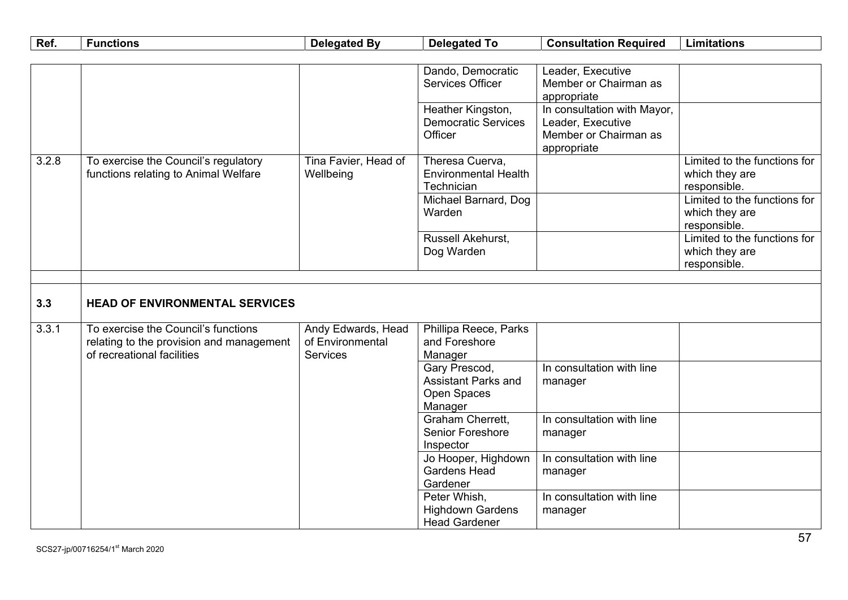| Ref.  | <b>Functions</b>                         | <b>Delegated By</b>  | <b>Delegated To</b>         | <b>Consultation Required</b> | <b>Limitations</b>           |
|-------|------------------------------------------|----------------------|-----------------------------|------------------------------|------------------------------|
|       |                                          |                      |                             |                              |                              |
|       |                                          |                      | Dando, Democratic           | Leader, Executive            |                              |
|       |                                          |                      | <b>Services Officer</b>     | Member or Chairman as        |                              |
|       |                                          |                      |                             | appropriate                  |                              |
|       |                                          |                      | Heather Kingston,           | In consultation with Mayor,  |                              |
|       |                                          |                      | <b>Democratic Services</b>  | Leader, Executive            |                              |
|       |                                          |                      | Officer                     | Member or Chairman as        |                              |
|       |                                          |                      |                             | appropriate                  |                              |
| 3.2.8 | To exercise the Council's regulatory     | Tina Favier, Head of | Theresa Cuerva,             |                              | Limited to the functions for |
|       | functions relating to Animal Welfare     | Wellbeing            | <b>Environmental Health</b> |                              | which they are               |
|       |                                          |                      | Technician                  |                              | responsible.                 |
|       |                                          |                      | Michael Barnard, Dog        |                              | Limited to the functions for |
|       |                                          |                      | Warden                      |                              | which they are               |
|       |                                          |                      |                             |                              | responsible.                 |
|       |                                          |                      | Russell Akehurst,           |                              | Limited to the functions for |
|       |                                          |                      | Dog Warden                  |                              | which they are               |
|       |                                          |                      |                             |                              | responsible.                 |
|       |                                          |                      |                             |                              |                              |
| 3.3   | <b>HEAD OF ENVIRONMENTAL SERVICES</b>    |                      |                             |                              |                              |
|       |                                          |                      |                             |                              |                              |
| 3.3.1 | To exercise the Council's functions      | Andy Edwards, Head   | Phillipa Reece, Parks       |                              |                              |
|       | relating to the provision and management | of Environmental     | and Foreshore               |                              |                              |
|       | of recreational facilities               | Services             | Manager                     |                              |                              |
|       |                                          |                      | Gary Prescod,               | In consultation with line    |                              |
|       |                                          |                      | <b>Assistant Parks and</b>  | manager                      |                              |
|       |                                          |                      | Open Spaces                 |                              |                              |
|       |                                          |                      | Manager                     |                              |                              |
|       |                                          |                      | Graham Cherrett,            | In consultation with line    |                              |
|       |                                          |                      | <b>Senior Foreshore</b>     | manager                      |                              |
|       |                                          |                      | Inspector                   |                              |                              |
|       |                                          |                      | Jo Hooper, Highdown         | In consultation with line    |                              |
|       |                                          |                      | <b>Gardens Head</b>         | manager                      |                              |
|       |                                          |                      | Gardener                    |                              |                              |
|       |                                          |                      | Peter Whish,                | In consultation with line    |                              |
|       |                                          |                      | <b>Highdown Gardens</b>     | manager                      |                              |
|       |                                          |                      | <b>Head Gardener</b>        |                              |                              |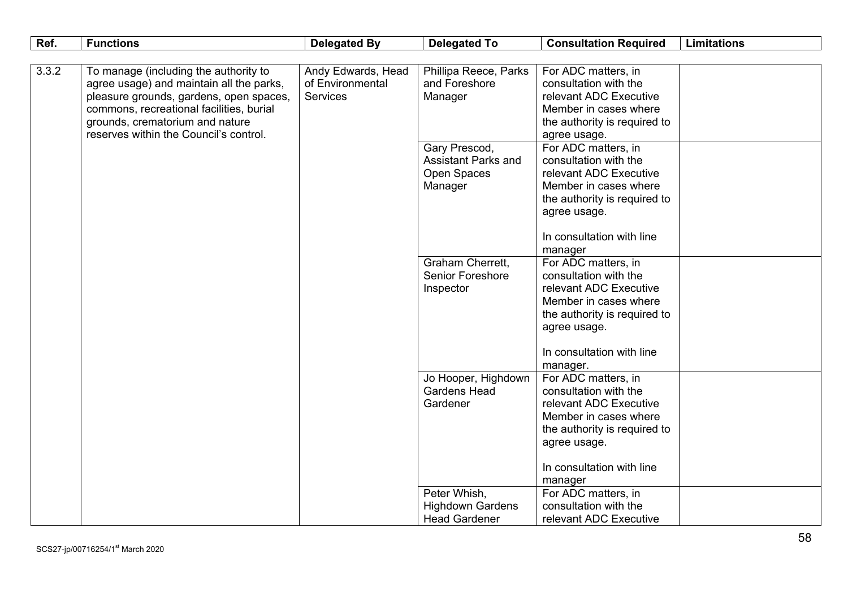| Ref.  | <b>Functions</b>                                                                                                                                                                                                                                      | <b>Delegated By</b>                                       | <b>Delegated To</b>                                                          | <b>Consultation Required</b>                                                                                                                                                                        | <b>Limitations</b> |
|-------|-------------------------------------------------------------------------------------------------------------------------------------------------------------------------------------------------------------------------------------------------------|-----------------------------------------------------------|------------------------------------------------------------------------------|-----------------------------------------------------------------------------------------------------------------------------------------------------------------------------------------------------|--------------------|
|       |                                                                                                                                                                                                                                                       |                                                           |                                                                              |                                                                                                                                                                                                     |                    |
| 3.3.2 | To manage (including the authority to<br>agree usage) and maintain all the parks,<br>pleasure grounds, gardens, open spaces,<br>commons, recreational facilities, burial<br>grounds, crematorium and nature<br>reserves within the Council's control. | Andy Edwards, Head<br>of Environmental<br><b>Services</b> | Phillipa Reece, Parks<br>and Foreshore<br>Manager                            | For ADC matters, in<br>consultation with the<br>relevant ADC Executive<br>Member in cases where<br>the authority is required to<br>agree usage.                                                     |                    |
|       |                                                                                                                                                                                                                                                       |                                                           | Gary Prescod,<br><b>Assistant Parks and</b><br><b>Open Spaces</b><br>Manager | For ADC matters, in<br>consultation with the<br>relevant ADC Executive<br>Member in cases where<br>the authority is required to<br>agree usage.                                                     |                    |
|       |                                                                                                                                                                                                                                                       |                                                           |                                                                              | In consultation with line<br>manager                                                                                                                                                                |                    |
|       |                                                                                                                                                                                                                                                       |                                                           | Graham Cherrett,<br><b>Senior Foreshore</b><br>Inspector                     | For ADC matters, in<br>consultation with the<br>relevant ADC Executive<br>Member in cases where<br>the authority is required to<br>agree usage.<br>In consultation with line                        |                    |
|       |                                                                                                                                                                                                                                                       |                                                           | Jo Hooper, Highdown<br><b>Gardens Head</b><br>Gardener                       | manager.<br>For ADC matters, in<br>consultation with the<br>relevant ADC Executive<br>Member in cases where<br>the authority is required to<br>agree usage.<br>In consultation with line<br>manager |                    |
|       |                                                                                                                                                                                                                                                       |                                                           | Peter Whish,<br><b>Highdown Gardens</b><br><b>Head Gardener</b>              | For ADC matters, in<br>consultation with the<br>relevant ADC Executive                                                                                                                              |                    |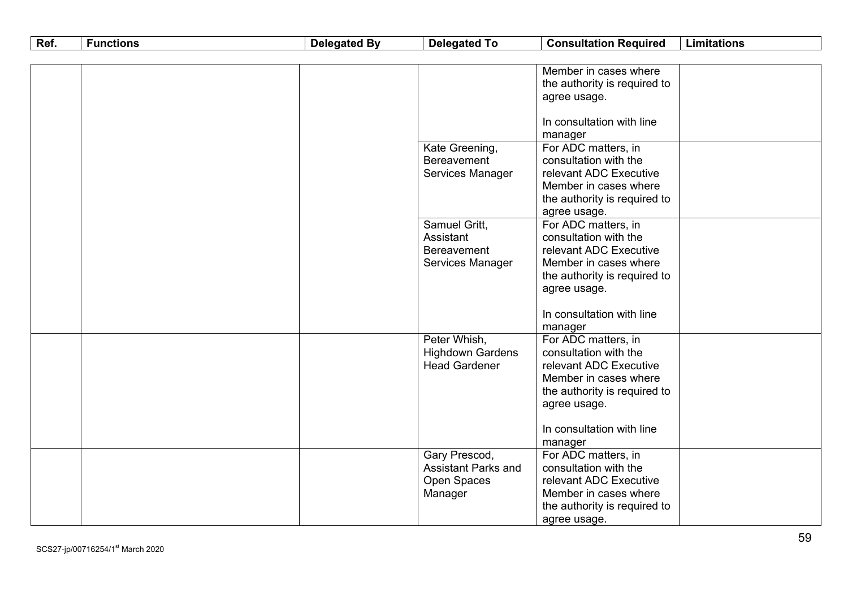| Ref. | <b>Functions</b> | <b>Delegated By</b> | <b>Delegated To</b>        | <b>Consultation Required</b><br><b>Limitations</b> |
|------|------------------|---------------------|----------------------------|----------------------------------------------------|
|      |                  |                     |                            |                                                    |
|      |                  |                     |                            | Member in cases where                              |
|      |                  |                     |                            | the authority is required to                       |
|      |                  |                     |                            | agree usage.                                       |
|      |                  |                     |                            |                                                    |
|      |                  |                     |                            | In consultation with line                          |
|      |                  |                     |                            | manager                                            |
|      |                  |                     | Kate Greening,             | For ADC matters, in                                |
|      |                  |                     | Bereavement                | consultation with the                              |
|      |                  |                     | Services Manager           | relevant ADC Executive                             |
|      |                  |                     |                            | Member in cases where                              |
|      |                  |                     |                            | the authority is required to                       |
|      |                  |                     | Samuel Gritt,              | agree usage.<br>For ADC matters, in                |
|      |                  |                     | Assistant                  | consultation with the                              |
|      |                  |                     | <b>Bereavement</b>         | relevant ADC Executive                             |
|      |                  |                     | Services Manager           | Member in cases where                              |
|      |                  |                     |                            | the authority is required to                       |
|      |                  |                     |                            | agree usage.                                       |
|      |                  |                     |                            |                                                    |
|      |                  |                     |                            | In consultation with line                          |
|      |                  |                     |                            | manager                                            |
|      |                  |                     | Peter Whish,               | For ADC matters, in                                |
|      |                  |                     | <b>Highdown Gardens</b>    | consultation with the                              |
|      |                  |                     | <b>Head Gardener</b>       | relevant ADC Executive                             |
|      |                  |                     |                            | Member in cases where                              |
|      |                  |                     |                            | the authority is required to                       |
|      |                  |                     |                            | agree usage.                                       |
|      |                  |                     |                            | In consultation with line                          |
|      |                  |                     |                            | manager                                            |
|      |                  |                     | Gary Prescod,              | For ADC matters, in                                |
|      |                  |                     | <b>Assistant Parks and</b> | consultation with the                              |
|      |                  |                     | Open Spaces                | relevant ADC Executive                             |
|      |                  |                     | Manager                    | Member in cases where                              |
|      |                  |                     |                            | the authority is required to                       |
|      |                  |                     |                            | agree usage.                                       |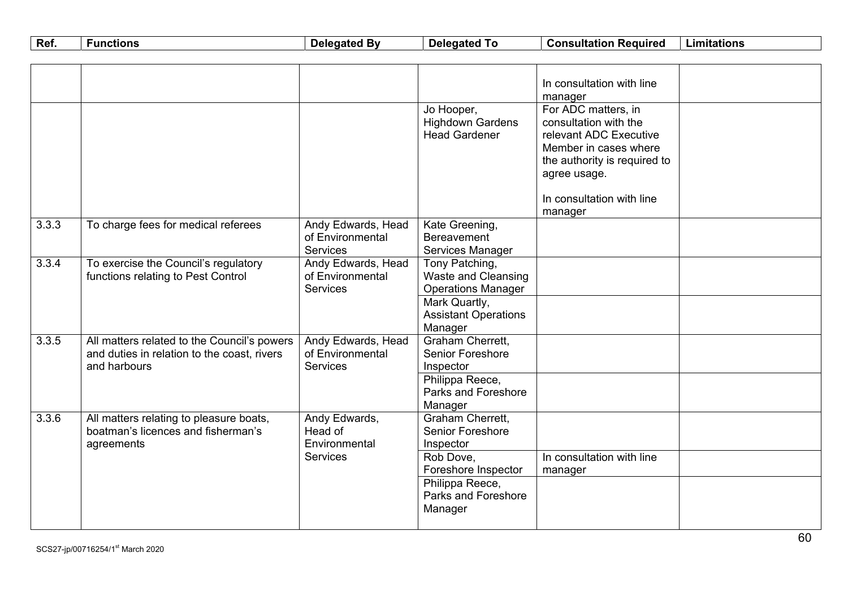| Ref.  | <b>Functions</b>                                                                                           | <b>Delegated By</b>                                       | <b>Delegated To</b>                                                                        | <b>Consultation Required</b>                                                                                                                                                            | <b>Limitations</b> |
|-------|------------------------------------------------------------------------------------------------------------|-----------------------------------------------------------|--------------------------------------------------------------------------------------------|-----------------------------------------------------------------------------------------------------------------------------------------------------------------------------------------|--------------------|
|       |                                                                                                            |                                                           |                                                                                            |                                                                                                                                                                                         |                    |
|       |                                                                                                            |                                                           |                                                                                            | In consultation with line<br>manager                                                                                                                                                    |                    |
|       |                                                                                                            |                                                           | Jo Hooper,<br><b>Highdown Gardens</b><br><b>Head Gardener</b>                              | For ADC matters, in<br>consultation with the<br>relevant ADC Executive<br>Member in cases where<br>the authority is required to<br>agree usage.<br>In consultation with line<br>manager |                    |
| 3.3.3 | To charge fees for medical referees                                                                        | Andy Edwards, Head<br>of Environmental<br><b>Services</b> | Kate Greening,<br><b>Bereavement</b><br>Services Manager                                   |                                                                                                                                                                                         |                    |
| 3.3.4 | To exercise the Council's regulatory<br>functions relating to Pest Control                                 | Andy Edwards, Head<br>of Environmental<br><b>Services</b> | Tony Patching,<br><b>Waste and Cleansing</b><br><b>Operations Manager</b><br>Mark Quartly, |                                                                                                                                                                                         |                    |
|       |                                                                                                            |                                                           | <b>Assistant Operations</b><br>Manager                                                     |                                                                                                                                                                                         |                    |
| 3.3.5 | All matters related to the Council's powers<br>and duties in relation to the coast, rivers<br>and harbours | Andy Edwards, Head<br>of Environmental<br><b>Services</b> | Graham Cherrett,<br><b>Senior Foreshore</b><br>Inspector                                   |                                                                                                                                                                                         |                    |
|       |                                                                                                            |                                                           | Philippa Reece,<br>Parks and Foreshore<br>Manager                                          |                                                                                                                                                                                         |                    |
| 3.3.6 | All matters relating to pleasure boats,<br>boatman's licences and fisherman's<br>agreements                | Andy Edwards,<br>Head of<br>Environmental                 | Graham Cherrett,<br>Senior Foreshore<br>Inspector                                          |                                                                                                                                                                                         |                    |
|       |                                                                                                            | <b>Services</b>                                           | Rob Dove,<br>Foreshore Inspector                                                           | In consultation with line<br>manager                                                                                                                                                    |                    |
|       |                                                                                                            |                                                           | Philippa Reece,<br>Parks and Foreshore<br>Manager                                          |                                                                                                                                                                                         |                    |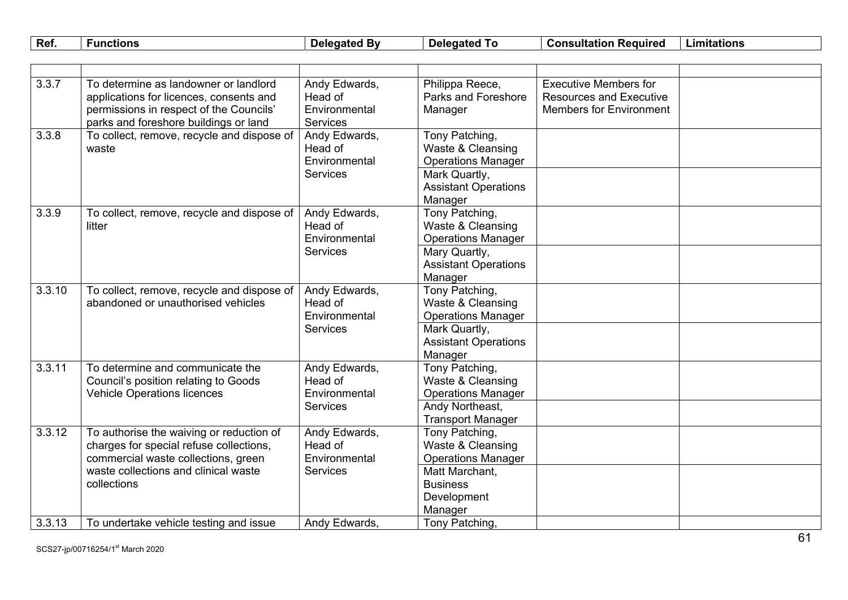| Ref.<br>$\sim$<br>nsultation<br>-<br>Delegated<br>Limitations<br>. Bv<br>∙̃unctions<br>Cons<br><b>Delegated</b><br>Reaurrec |  |
|-----------------------------------------------------------------------------------------------------------------------------|--|
|-----------------------------------------------------------------------------------------------------------------------------|--|

| 3.3.7  | To determine as landowner or landlord<br>applications for licences, consents and<br>permissions in respect of the Councils'<br>parks and foreshore buildings or land              | Andy Edwards,<br>Head of<br>Environmental<br><b>Services</b> | Philippa Reece,<br>Parks and Foreshore<br>Manager                                 | <b>Executive Members for</b><br><b>Resources and Executive</b><br><b>Members for Environment</b> |  |
|--------|-----------------------------------------------------------------------------------------------------------------------------------------------------------------------------------|--------------------------------------------------------------|-----------------------------------------------------------------------------------|--------------------------------------------------------------------------------------------------|--|
| 3.3.8  | To collect, remove, recycle and dispose of<br>waste                                                                                                                               | Andy Edwards,<br>Head of<br>Environmental<br><b>Services</b> | Tony Patching,<br>Waste & Cleansing<br><b>Operations Manager</b><br>Mark Quartly, |                                                                                                  |  |
|        |                                                                                                                                                                                   |                                                              | <b>Assistant Operations</b><br>Manager                                            |                                                                                                  |  |
| 3.3.9  | To collect, remove, recycle and dispose of<br>litter                                                                                                                              | Andy Edwards,<br>Head of<br>Environmental<br><b>Services</b> | Tony Patching,<br>Waste & Cleansing<br><b>Operations Manager</b>                  |                                                                                                  |  |
|        |                                                                                                                                                                                   |                                                              | Mary Quartly,<br><b>Assistant Operations</b><br>Manager                           |                                                                                                  |  |
| 3.3.10 | To collect, remove, recycle and dispose of<br>abandoned or unauthorised vehicles                                                                                                  | Andy Edwards,<br>Head of<br>Environmental<br><b>Services</b> | Tony Patching,<br>Waste & Cleansing<br><b>Operations Manager</b>                  |                                                                                                  |  |
|        |                                                                                                                                                                                   |                                                              | Mark Quartly,<br><b>Assistant Operations</b><br>Manager                           |                                                                                                  |  |
| 3.3.11 | To determine and communicate the<br>Council's position relating to Goods<br><b>Vehicle Operations licences</b>                                                                    | Andy Edwards,<br>Head of<br>Environmental<br><b>Services</b> | Tony Patching,<br>Waste & Cleansing<br><b>Operations Manager</b>                  |                                                                                                  |  |
|        |                                                                                                                                                                                   |                                                              | Andy Northeast,<br><b>Transport Manager</b>                                       |                                                                                                  |  |
| 3.3.12 | To authorise the waiving or reduction of<br>charges for special refuse collections,<br>commercial waste collections, green<br>waste collections and clinical waste<br>collections | Andy Edwards,<br>Head of<br>Environmental<br><b>Services</b> | Tony Patching,<br>Waste & Cleansing<br><b>Operations Manager</b>                  |                                                                                                  |  |
|        |                                                                                                                                                                                   |                                                              | Matt Marchant,<br><b>Business</b><br>Development<br>Manager                       |                                                                                                  |  |
| 3.3.13 | To undertake vehicle testing and issue                                                                                                                                            | Andy Edwards,                                                | Tony Patching,                                                                    |                                                                                                  |  |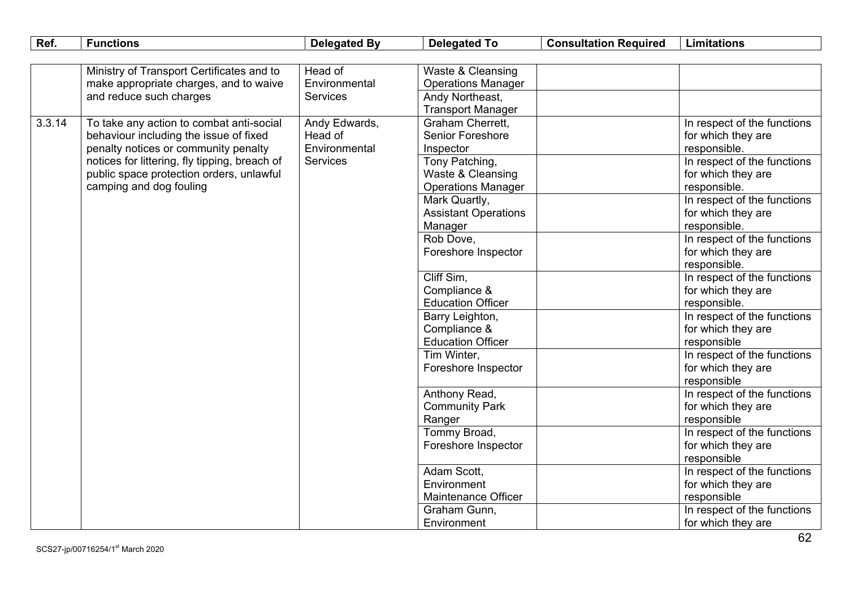| Ref.   | <b>Functions</b>                              | <b>Delegated By</b> | <b>Delegated To</b>         | <b>Consultation Required</b> | <b>Limitations</b>                |
|--------|-----------------------------------------------|---------------------|-----------------------------|------------------------------|-----------------------------------|
|        |                                               |                     |                             |                              |                                   |
|        | Ministry of Transport Certificates and to     | Head of             | Waste & Cleansing           |                              |                                   |
|        | make appropriate charges, and to waive        | Environmental       | <b>Operations Manager</b>   |                              |                                   |
|        | and reduce such charges                       | <b>Services</b>     | Andy Northeast,             |                              |                                   |
|        |                                               |                     | <b>Transport Manager</b>    |                              |                                   |
| 3.3.14 | To take any action to combat anti-social      | Andy Edwards,       | <b>Graham Cherrett.</b>     |                              | In respect of the functions       |
|        | behaviour including the issue of fixed        | Head of             | <b>Senior Foreshore</b>     |                              | for which they are                |
|        | penalty notices or community penalty          | Environmental       | Inspector                   |                              | responsible.                      |
|        | notices for littering, fly tipping, breach of | <b>Services</b>     | Tony Patching,              |                              | In respect of the functions       |
|        | public space protection orders, unlawful      |                     | Waste & Cleansing           |                              | for which they are                |
|        | camping and dog fouling                       |                     | <b>Operations Manager</b>   |                              | responsible.                      |
|        |                                               |                     | Mark Quartly,               |                              | In respect of the functions       |
|        |                                               |                     | <b>Assistant Operations</b> |                              | for which they are                |
|        |                                               |                     | Manager                     |                              | responsible.                      |
|        |                                               |                     | Rob Dove,                   |                              | In respect of the functions       |
|        |                                               |                     | Foreshore Inspector         |                              | for which they are                |
|        |                                               |                     |                             |                              | responsible.                      |
|        |                                               |                     | Cliff Sim,                  |                              | In respect of the functions       |
|        |                                               |                     | Compliance &                |                              | for which they are                |
|        |                                               |                     | <b>Education Officer</b>    |                              | responsible.                      |
|        |                                               |                     | Barry Leighton,             |                              | In respect of the functions       |
|        |                                               |                     | Compliance &                |                              | for which they are                |
|        |                                               |                     | <b>Education Officer</b>    |                              | responsible                       |
|        |                                               |                     | Tim Winter,                 |                              | In respect of the functions       |
|        |                                               |                     | Foreshore Inspector         |                              | for which they are<br>responsible |
|        |                                               |                     | Anthony Read,               |                              | In respect of the functions       |
|        |                                               |                     | <b>Community Park</b>       |                              | for which they are                |
|        |                                               |                     | Ranger                      |                              | responsible                       |
|        |                                               |                     | Tommy Broad,                |                              | In respect of the functions       |
|        |                                               |                     | Foreshore Inspector         |                              | for which they are                |
|        |                                               |                     |                             |                              | responsible                       |
|        |                                               |                     | Adam Scott,                 |                              | In respect of the functions       |
|        |                                               |                     | Environment                 |                              | for which they are                |
|        |                                               |                     | Maintenance Officer         |                              | responsible                       |
|        |                                               |                     | Graham Gunn,                |                              | In respect of the functions       |
|        |                                               |                     | Environment                 |                              | for which they are                |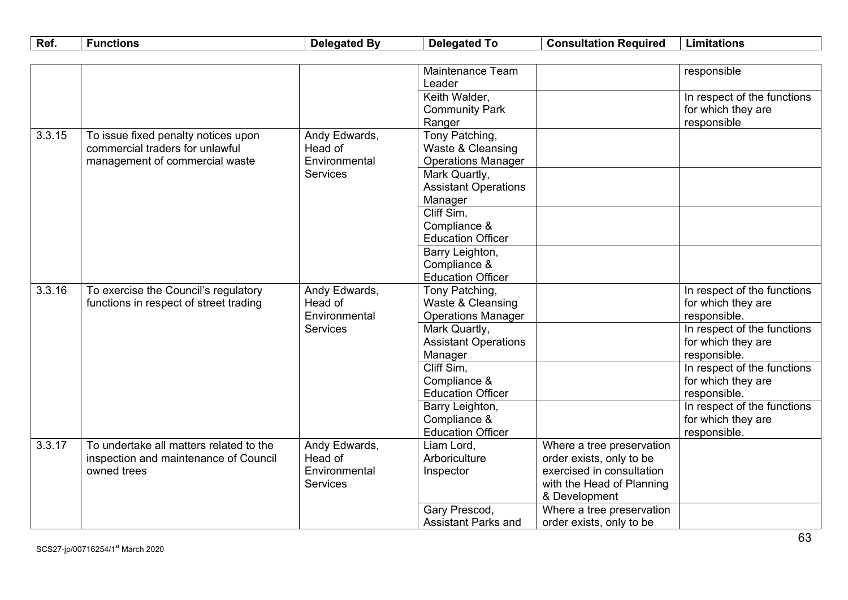| Ref.   | <b>Functions</b>                                     | <b>Delegated By</b>              | <b>Delegated To</b>                    | <b>Consultation Required</b>                          | <b>Limitations</b>          |
|--------|------------------------------------------------------|----------------------------------|----------------------------------------|-------------------------------------------------------|-----------------------------|
|        |                                                      |                                  |                                        |                                                       |                             |
|        |                                                      |                                  | <b>Maintenance Team</b>                |                                                       | responsible                 |
|        |                                                      |                                  | Leader                                 |                                                       |                             |
|        |                                                      |                                  | Keith Walder,                          |                                                       | In respect of the functions |
|        |                                                      |                                  | <b>Community Park</b>                  |                                                       | for which they are          |
|        |                                                      |                                  | Ranger                                 |                                                       | responsible                 |
| 3.3.15 | To issue fixed penalty notices upon                  | Andy Edwards,                    | Tony Patching,                         |                                                       |                             |
|        | commercial traders for unlawful                      | Head of                          | Waste & Cleansing                      |                                                       |                             |
|        | management of commercial waste                       | Environmental                    | <b>Operations Manager</b>              |                                                       |                             |
|        |                                                      | <b>Services</b>                  | Mark Quartly,                          |                                                       |                             |
|        |                                                      |                                  | <b>Assistant Operations</b>            |                                                       |                             |
|        |                                                      |                                  | Manager                                |                                                       |                             |
|        |                                                      |                                  | Cliff Sim.                             |                                                       |                             |
|        |                                                      |                                  | Compliance &                           |                                                       |                             |
|        |                                                      |                                  | <b>Education Officer</b>               |                                                       |                             |
|        |                                                      |                                  | Barry Leighton,                        |                                                       |                             |
|        |                                                      |                                  | Compliance &                           |                                                       |                             |
|        |                                                      |                                  | <b>Education Officer</b>               |                                                       |                             |
| 3.3.16 | To exercise the Council's regulatory                 | Andy Edwards,                    | Tony Patching,                         |                                                       | In respect of the functions |
|        | functions in respect of street trading               | Head of                          | Waste & Cleansing                      |                                                       | for which they are          |
|        |                                                      | Environmental<br><b>Services</b> | <b>Operations Manager</b>              |                                                       | responsible.                |
|        |                                                      |                                  | Mark Quartly,                          |                                                       | In respect of the functions |
|        |                                                      |                                  | <b>Assistant Operations</b>            |                                                       | for which they are          |
|        |                                                      |                                  | Manager                                |                                                       | responsible.                |
|        |                                                      |                                  | Cliff Sim,                             |                                                       | In respect of the functions |
|        |                                                      |                                  | Compliance &                           |                                                       | for which they are          |
|        |                                                      |                                  | <b>Education Officer</b>               |                                                       | responsible.                |
|        |                                                      |                                  | Barry Leighton,                        |                                                       | In respect of the functions |
|        |                                                      |                                  | Compliance &                           |                                                       | for which they are          |
| 3.3.17 | To undertake all matters related to the              |                                  | <b>Education Officer</b><br>Liam Lord, |                                                       | responsible.                |
|        |                                                      | Andy Edwards,<br>Head of         | Arboriculture                          | Where a tree preservation                             |                             |
|        | inspection and maintenance of Council<br>owned trees | Environmental                    |                                        | order exists, only to be<br>exercised in consultation |                             |
|        |                                                      | <b>Services</b>                  | Inspector                              |                                                       |                             |
|        |                                                      |                                  |                                        | with the Head of Planning<br>& Development            |                             |
|        |                                                      |                                  | Gary Prescod,                          | Where a tree preservation                             |                             |
|        |                                                      |                                  | <b>Assistant Parks and</b>             | order exists, only to be                              |                             |
|        |                                                      |                                  |                                        |                                                       |                             |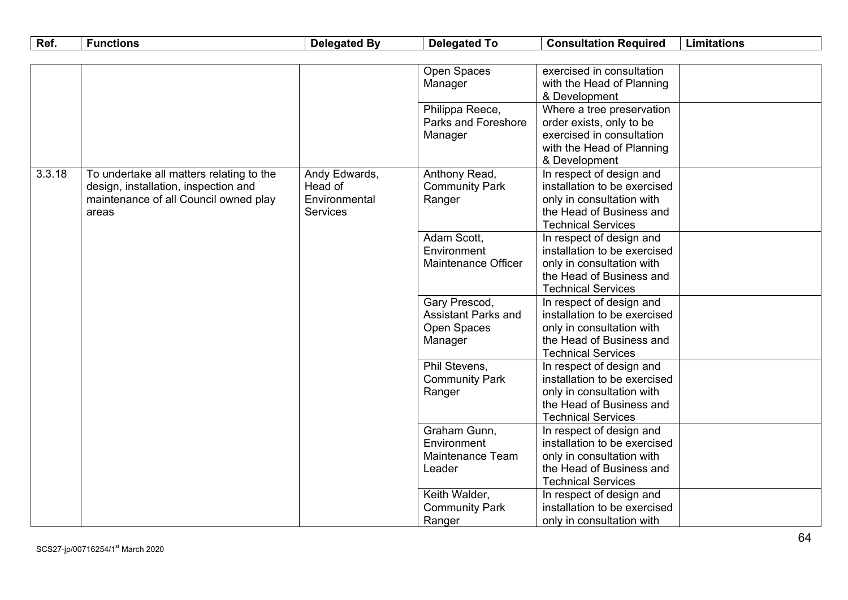| Ref.   | <b>Functions</b>                         | <b>Delegated By</b> | <b>Delegated To</b>        | <b>Consultation Required</b>                             | <b>Limitations</b> |
|--------|------------------------------------------|---------------------|----------------------------|----------------------------------------------------------|--------------------|
|        |                                          |                     |                            |                                                          |                    |
|        |                                          |                     | Open Spaces                | exercised in consultation                                |                    |
|        |                                          |                     | Manager                    | with the Head of Planning                                |                    |
|        |                                          |                     |                            | & Development                                            |                    |
|        |                                          |                     | Philippa Reece,            | Where a tree preservation                                |                    |
|        |                                          |                     | <b>Parks and Foreshore</b> | order exists, only to be                                 |                    |
|        |                                          |                     | Manager                    | exercised in consultation                                |                    |
|        |                                          |                     |                            | with the Head of Planning                                |                    |
|        |                                          |                     |                            | & Development                                            |                    |
| 3.3.18 | To undertake all matters relating to the | Andy Edwards,       | Anthony Read,              | In respect of design and                                 |                    |
|        | design, installation, inspection and     | Head of             | <b>Community Park</b>      | installation to be exercised                             |                    |
|        | maintenance of all Council owned play    | Environmental       | Ranger                     | only in consultation with                                |                    |
|        | areas                                    | <b>Services</b>     |                            | the Head of Business and                                 |                    |
|        |                                          |                     |                            | <b>Technical Services</b>                                |                    |
|        |                                          |                     | Adam Scott,<br>Environment | In respect of design and<br>installation to be exercised |                    |
|        |                                          |                     | <b>Maintenance Officer</b> | only in consultation with                                |                    |
|        |                                          |                     |                            | the Head of Business and                                 |                    |
|        |                                          |                     |                            | <b>Technical Services</b>                                |                    |
|        |                                          |                     | Gary Prescod,              | In respect of design and                                 |                    |
|        |                                          |                     | <b>Assistant Parks and</b> | installation to be exercised                             |                    |
|        |                                          |                     | Open Spaces                | only in consultation with                                |                    |
|        |                                          |                     | Manager                    | the Head of Business and                                 |                    |
|        |                                          |                     |                            | <b>Technical Services</b>                                |                    |
|        |                                          |                     | Phil Stevens,              | In respect of design and                                 |                    |
|        |                                          |                     | <b>Community Park</b>      | installation to be exercised                             |                    |
|        |                                          |                     | Ranger                     | only in consultation with                                |                    |
|        |                                          |                     |                            | the Head of Business and                                 |                    |
|        |                                          |                     |                            | <b>Technical Services</b>                                |                    |
|        |                                          |                     | Graham Gunn,               | In respect of design and                                 |                    |
|        |                                          |                     | Environment                | installation to be exercised                             |                    |
|        |                                          |                     | Maintenance Team           | only in consultation with                                |                    |
|        |                                          |                     | Leader                     | the Head of Business and                                 |                    |
|        |                                          |                     |                            | <b>Technical Services</b>                                |                    |
|        |                                          |                     | Keith Walder,              | In respect of design and                                 |                    |
|        |                                          |                     | <b>Community Park</b>      | installation to be exercised                             |                    |
|        |                                          |                     | Ranger                     | only in consultation with                                |                    |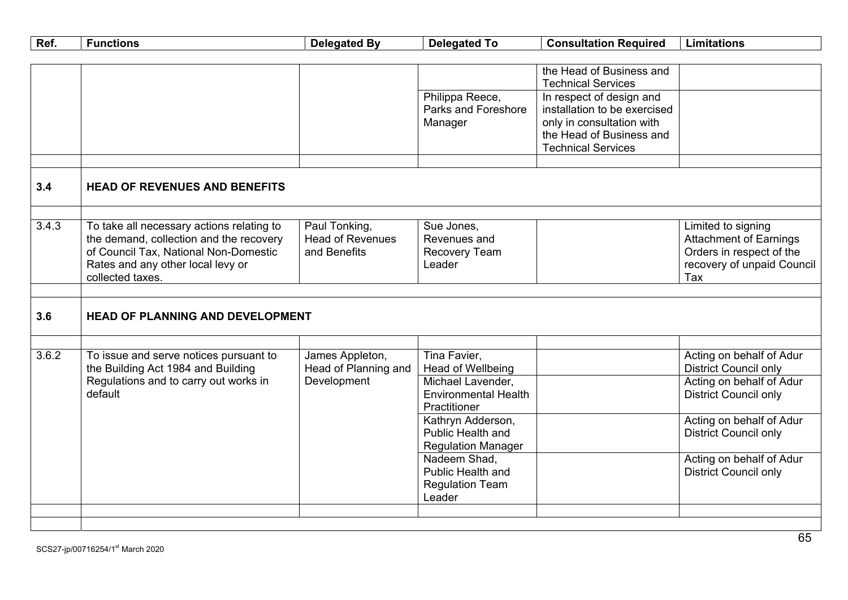| Ref.  | <b>Functions</b>                                                             | <b>Delegated By</b>                     | <b>Delegated To</b>                    | <b>Consultation Required</b>                             | <b>Limitations</b>                                       |
|-------|------------------------------------------------------------------------------|-----------------------------------------|----------------------------------------|----------------------------------------------------------|----------------------------------------------------------|
|       |                                                                              |                                         |                                        |                                                          |                                                          |
|       |                                                                              |                                         |                                        | the Head of Business and                                 |                                                          |
|       |                                                                              |                                         |                                        | <b>Technical Services</b>                                |                                                          |
|       |                                                                              |                                         | Philippa Reece,<br>Parks and Foreshore | In respect of design and<br>installation to be exercised |                                                          |
|       |                                                                              |                                         | Manager                                | only in consultation with                                |                                                          |
|       |                                                                              |                                         |                                        | the Head of Business and                                 |                                                          |
|       |                                                                              |                                         |                                        | <b>Technical Services</b>                                |                                                          |
|       |                                                                              |                                         |                                        |                                                          |                                                          |
|       |                                                                              |                                         |                                        |                                                          |                                                          |
| 3.4   | <b>HEAD OF REVENUES AND BENEFITS</b>                                         |                                         |                                        |                                                          |                                                          |
|       |                                                                              |                                         |                                        |                                                          |                                                          |
| 3.4.3 | To take all necessary actions relating to                                    | Paul Tonking,                           | Sue Jones,                             |                                                          | Limited to signing                                       |
|       | the demand, collection and the recovery                                      | <b>Head of Revenues</b>                 | Revenues and                           |                                                          | <b>Attachment of Earnings</b>                            |
|       | of Council Tax, National Non-Domestic                                        | and Benefits                            | Recovery Team                          |                                                          | Orders in respect of the                                 |
|       | Rates and any other local levy or<br>collected taxes.                        |                                         | Leader                                 |                                                          | recovery of unpaid Council<br>Tax                        |
|       |                                                                              |                                         |                                        |                                                          |                                                          |
|       |                                                                              |                                         |                                        |                                                          |                                                          |
| 3.6   | HEAD OF PLANNING AND DEVELOPMENT                                             |                                         |                                        |                                                          |                                                          |
|       |                                                                              |                                         |                                        |                                                          |                                                          |
|       |                                                                              |                                         |                                        |                                                          |                                                          |
| 3.6.2 | To issue and serve notices pursuant to<br>the Building Act 1984 and Building | James Appleton,<br>Head of Planning and | Tina Favier,<br>Head of Wellbeing      |                                                          | Acting on behalf of Adur<br><b>District Council only</b> |
|       | Regulations and to carry out works in                                        | Development                             | Michael Lavender,                      |                                                          | Acting on behalf of Adur                                 |
|       | default                                                                      |                                         | <b>Environmental Health</b>            |                                                          | <b>District Council only</b>                             |
|       |                                                                              |                                         | Practitioner                           |                                                          |                                                          |
|       |                                                                              |                                         | Kathryn Adderson,                      |                                                          | Acting on behalf of Adur                                 |
|       |                                                                              |                                         | Public Health and                      |                                                          | <b>District Council only</b>                             |
|       |                                                                              |                                         | <b>Regulation Manager</b>              |                                                          |                                                          |
|       |                                                                              |                                         | Nadeem Shad,                           |                                                          | Acting on behalf of Adur                                 |
|       |                                                                              |                                         | Public Health and                      |                                                          | <b>District Council only</b>                             |
|       |                                                                              |                                         | <b>Regulation Team</b>                 |                                                          |                                                          |
|       |                                                                              |                                         | Leader                                 |                                                          |                                                          |
|       |                                                                              |                                         |                                        |                                                          |                                                          |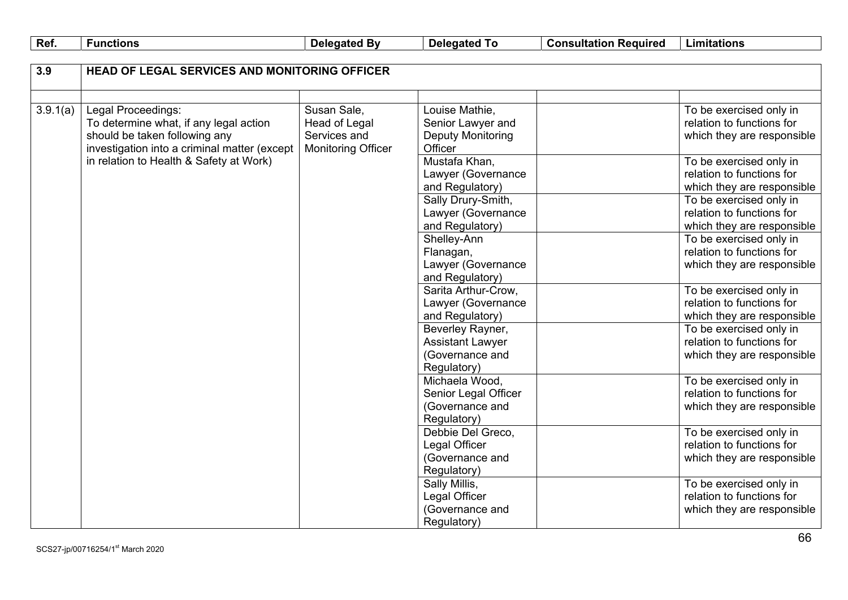| Ref. | <b>Functions</b> |
|------|------------------|
|      |                  |

**Delegated By Delegated To Consultation Required Limitations**

| 3.9      | <b>HEAD OF LEGAL SERVICES AND MONITORING OFFICER</b> |                           |                         |                            |
|----------|------------------------------------------------------|---------------------------|-------------------------|----------------------------|
|          |                                                      |                           |                         |                            |
| 3.9.1(a) | Legal Proceedings:                                   | Susan Sale,               | Louise Mathie,          | To be exercised only in    |
|          | To determine what, if any legal action               | <b>Head of Legal</b>      | Senior Lawyer and       | relation to functions for  |
|          | should be taken following any                        | Services and              | Deputy Monitoring       | which they are responsible |
|          | investigation into a criminal matter (except         | <b>Monitoring Officer</b> | Officer                 |                            |
|          | in relation to Health & Safety at Work)              |                           | Mustafa Khan,           | To be exercised only in    |
|          |                                                      |                           | Lawyer (Governance      | relation to functions for  |
|          |                                                      |                           | and Regulatory)         | which they are responsible |
|          |                                                      |                           | Sally Drury-Smith,      | To be exercised only in    |
|          |                                                      |                           | Lawyer (Governance      | relation to functions for  |
|          |                                                      |                           | and Regulatory)         | which they are responsible |
|          |                                                      |                           | Shelley-Ann             | To be exercised only in    |
|          |                                                      |                           | Flanagan,               | relation to functions for  |
|          |                                                      |                           | Lawyer (Governance      | which they are responsible |
|          |                                                      |                           | and Regulatory)         |                            |
|          |                                                      |                           | Sarita Arthur-Crow,     | To be exercised only in    |
|          |                                                      |                           | Lawyer (Governance      | relation to functions for  |
|          |                                                      |                           | and Regulatory)         | which they are responsible |
|          |                                                      |                           | Beverley Rayner,        | To be exercised only in    |
|          |                                                      |                           | <b>Assistant Lawyer</b> | relation to functions for  |
|          |                                                      |                           | (Governance and         | which they are responsible |
|          |                                                      |                           | Regulatory)             |                            |
|          |                                                      |                           | Michaela Wood,          | To be exercised only in    |
|          |                                                      |                           | Senior Legal Officer    | relation to functions for  |
|          |                                                      |                           | (Governance and         | which they are responsible |
|          |                                                      |                           | Regulatory)             |                            |
|          |                                                      |                           | Debbie Del Greco,       | To be exercised only in    |
|          |                                                      |                           | Legal Officer           | relation to functions for  |
|          |                                                      |                           | (Governance and         | which they are responsible |
|          |                                                      |                           | Regulatory)             |                            |
|          |                                                      |                           | Sally Millis,           | To be exercised only in    |
|          |                                                      |                           | Legal Officer           | relation to functions for  |
|          |                                                      |                           | (Governance and         | which they are responsible |
|          |                                                      |                           | Regulatory)             |                            |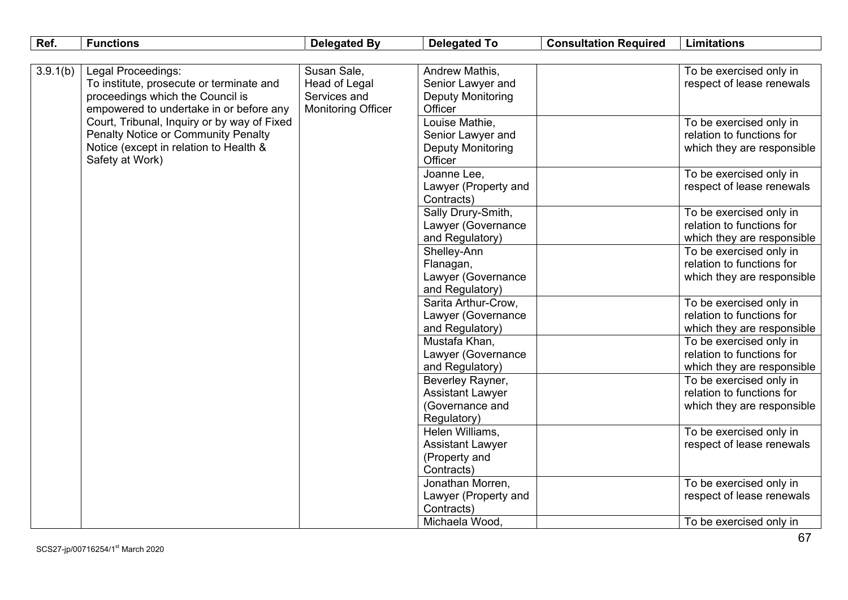| Ref.     | <b>Functions</b>                            | <b>Delegated By</b>       | <b>Delegated To</b>                    | <b>Consultation Required</b> | <b>Limitations</b>         |
|----------|---------------------------------------------|---------------------------|----------------------------------------|------------------------------|----------------------------|
|          |                                             |                           |                                        |                              |                            |
| 3.9.1(b) | Legal Proceedings:                          | Susan Sale,               | Andrew Mathis,                         |                              | To be exercised only in    |
|          | To institute, prosecute or terminate and    | Head of Legal             | Senior Lawyer and                      |                              | respect of lease renewals  |
|          | proceedings which the Council is            | Services and              | <b>Deputy Monitoring</b>               |                              |                            |
|          | empowered to undertake in or before any     | <b>Monitoring Officer</b> | Officer                                |                              |                            |
|          | Court, Tribunal, Inquiry or by way of Fixed |                           | Louise Mathie,                         |                              | To be exercised only in    |
|          | <b>Penalty Notice or Community Penalty</b>  |                           | Senior Lawyer and                      |                              | relation to functions for  |
|          | Notice (except in relation to Health &      |                           | <b>Deputy Monitoring</b>               |                              | which they are responsible |
|          | Safety at Work)                             |                           | Officer                                |                              |                            |
|          |                                             |                           | Joanne Lee,                            |                              | To be exercised only in    |
|          |                                             |                           | Lawyer (Property and                   |                              | respect of lease renewals  |
|          |                                             |                           | Contracts)                             |                              |                            |
|          |                                             |                           | Sally Drury-Smith,                     |                              | To be exercised only in    |
|          |                                             |                           | Lawyer (Governance                     |                              | relation to functions for  |
|          |                                             |                           | and Regulatory)                        |                              | which they are responsible |
|          |                                             |                           | Shelley-Ann                            |                              | To be exercised only in    |
|          |                                             |                           | Flanagan,                              |                              | relation to functions for  |
|          |                                             |                           | Lawyer (Governance                     |                              | which they are responsible |
|          |                                             |                           | and Regulatory)<br>Sarita Arthur-Crow, |                              | To be exercised only in    |
|          |                                             |                           | Lawyer (Governance                     |                              | relation to functions for  |
|          |                                             |                           | and Regulatory)                        |                              | which they are responsible |
|          |                                             |                           | Mustafa Khan,                          |                              | To be exercised only in    |
|          |                                             |                           | Lawyer (Governance                     |                              | relation to functions for  |
|          |                                             |                           | and Regulatory)                        |                              | which they are responsible |
|          |                                             |                           | Beverley Rayner,                       |                              | To be exercised only in    |
|          |                                             |                           | <b>Assistant Lawyer</b>                |                              | relation to functions for  |
|          |                                             |                           | (Governance and                        |                              | which they are responsible |
|          |                                             |                           | Regulatory)                            |                              |                            |
|          |                                             |                           | Helen Williams,                        |                              | To be exercised only in    |
|          |                                             |                           | <b>Assistant Lawyer</b>                |                              | respect of lease renewals  |
|          |                                             |                           | (Property and                          |                              |                            |
|          |                                             |                           | Contracts)                             |                              |                            |
|          |                                             |                           | Jonathan Morren,                       |                              | To be exercised only in    |
|          |                                             |                           | Lawyer (Property and                   |                              | respect of lease renewals  |
|          |                                             |                           | Contracts)                             |                              |                            |
|          |                                             |                           | Michaela Wood.                         |                              | To be exercised only in    |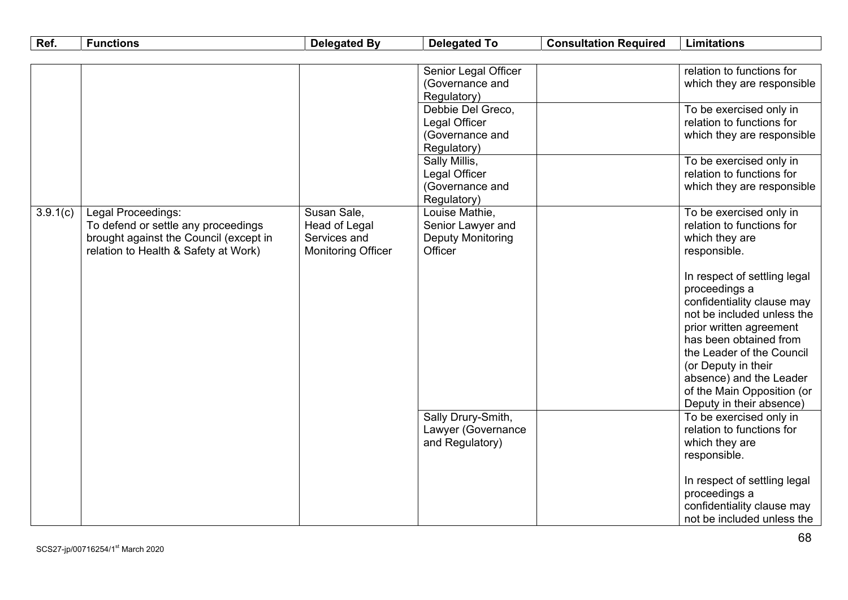| Ref.     | <b>Functions</b>                                                                                                                            | <b>Delegated By</b>                                                       | <b>Delegated To</b>                                                        | <b>Consultation Required</b> | <b>Limitations</b>                                                                                                                                                                                                                                                                                      |
|----------|---------------------------------------------------------------------------------------------------------------------------------------------|---------------------------------------------------------------------------|----------------------------------------------------------------------------|------------------------------|---------------------------------------------------------------------------------------------------------------------------------------------------------------------------------------------------------------------------------------------------------------------------------------------------------|
|          |                                                                                                                                             |                                                                           |                                                                            |                              |                                                                                                                                                                                                                                                                                                         |
|          |                                                                                                                                             |                                                                           | Senior Legal Officer<br>(Governance and<br>Regulatory)                     |                              | relation to functions for<br>which they are responsible                                                                                                                                                                                                                                                 |
|          |                                                                                                                                             |                                                                           | Debbie Del Greco,<br>Legal Officer<br>(Governance and<br>Regulatory)       |                              | To be exercised only in<br>relation to functions for<br>which they are responsible                                                                                                                                                                                                                      |
|          |                                                                                                                                             |                                                                           | Sally Millis,<br>Legal Officer<br>(Governance and<br>Regulatory)           |                              | To be exercised only in<br>relation to functions for<br>which they are responsible                                                                                                                                                                                                                      |
| 3.9.1(c) | Legal Proceedings:<br>To defend or settle any proceedings<br>brought against the Council (except in<br>relation to Health & Safety at Work) | Susan Sale,<br>Head of Legal<br>Services and<br><b>Monitoring Officer</b> | Louise Mathie,<br>Senior Lawyer and<br><b>Deputy Monitoring</b><br>Officer |                              | To be exercised only in<br>relation to functions for<br>which they are<br>responsible.                                                                                                                                                                                                                  |
|          |                                                                                                                                             |                                                                           |                                                                            |                              | In respect of settling legal<br>proceedings a<br>confidentiality clause may<br>not be included unless the<br>prior written agreement<br>has been obtained from<br>the Leader of the Council<br>(or Deputy in their<br>absence) and the Leader<br>of the Main Opposition (or<br>Deputy in their absence) |
|          |                                                                                                                                             |                                                                           | Sally Drury-Smith,<br>Lawyer (Governance<br>and Regulatory)                |                              | To be exercised only in<br>relation to functions for<br>which they are<br>responsible.                                                                                                                                                                                                                  |
|          |                                                                                                                                             |                                                                           |                                                                            |                              | In respect of settling legal<br>proceedings a<br>confidentiality clause may<br>not be included unless the                                                                                                                                                                                               |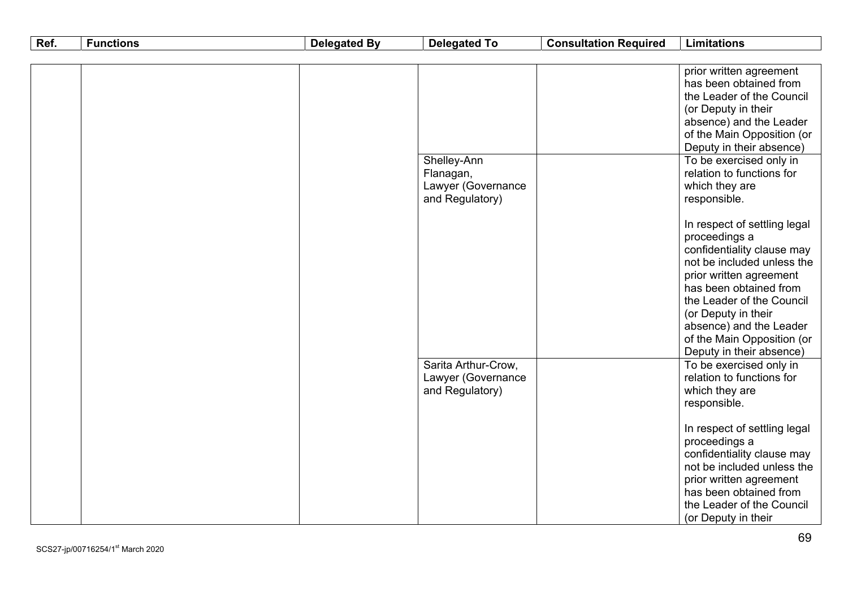| Ref. | <b>Functions</b> | <b>Delegated By</b> | <b>Delegated To</b>                                               | <b>Consultation Required</b> | <b>Limitations</b>                                                                                                                                                                                                                                                                                                                                                                                                                                                                  |
|------|------------------|---------------------|-------------------------------------------------------------------|------------------------------|-------------------------------------------------------------------------------------------------------------------------------------------------------------------------------------------------------------------------------------------------------------------------------------------------------------------------------------------------------------------------------------------------------------------------------------------------------------------------------------|
|      |                  |                     |                                                                   |                              |                                                                                                                                                                                                                                                                                                                                                                                                                                                                                     |
|      |                  |                     | Shelley-Ann<br>Flanagan,<br>Lawyer (Governance<br>and Regulatory) |                              | prior written agreement<br>has been obtained from<br>the Leader of the Council<br>(or Deputy in their<br>absence) and the Leader<br>of the Main Opposition (or<br>Deputy in their absence)<br>To be exercised only in<br>relation to functions for<br>which they are<br>responsible.<br>In respect of settling legal<br>proceedings a<br>confidentiality clause may<br>not be included unless the<br>prior written agreement<br>has been obtained from<br>the Leader of the Council |
|      |                  |                     | Sarita Arthur-Crow,<br>Lawyer (Governance<br>and Regulatory)      |                              | (or Deputy in their<br>absence) and the Leader<br>of the Main Opposition (or<br>Deputy in their absence)<br>To be exercised only in<br>relation to functions for<br>which they are<br>responsible.                                                                                                                                                                                                                                                                                  |
|      |                  |                     |                                                                   |                              | In respect of settling legal<br>proceedings a<br>confidentiality clause may<br>not be included unless the<br>prior written agreement<br>has been obtained from<br>the Leader of the Council<br>(or Deputy in their                                                                                                                                                                                                                                                                  |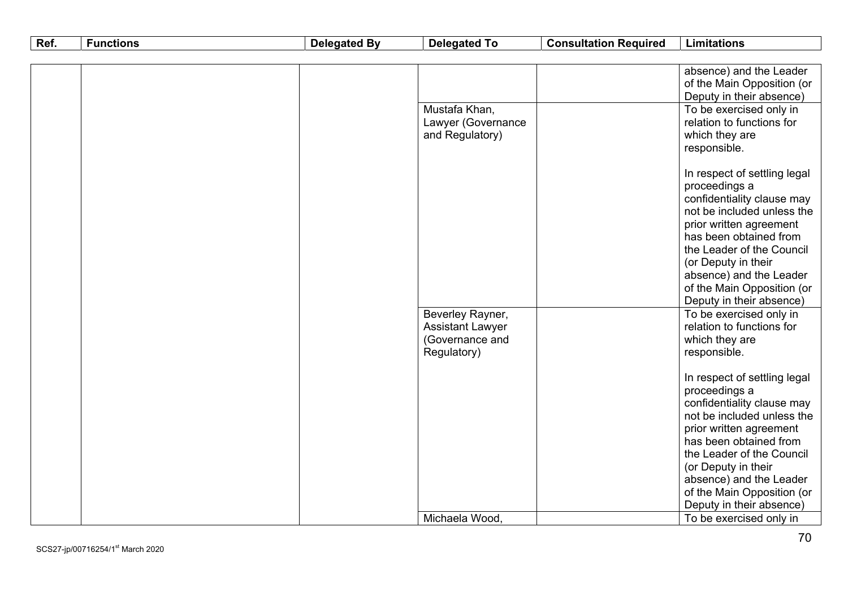| Ref. | <b>Functions</b> | <b>Delegated By</b> | <b>Delegated To</b>     | <b>Consultation Required</b> | <b>Limitations</b>           |
|------|------------------|---------------------|-------------------------|------------------------------|------------------------------|
|      |                  |                     |                         |                              |                              |
|      |                  |                     |                         |                              | absence) and the Leader      |
|      |                  |                     |                         |                              | of the Main Opposition (or   |
|      |                  |                     |                         |                              | Deputy in their absence)     |
|      |                  |                     | Mustafa Khan,           |                              | To be exercised only in      |
|      |                  |                     | Lawyer (Governance      |                              | relation to functions for    |
|      |                  |                     | and Regulatory)         |                              | which they are               |
|      |                  |                     |                         |                              | responsible.                 |
|      |                  |                     |                         |                              | In respect of settling legal |
|      |                  |                     |                         |                              | proceedings a                |
|      |                  |                     |                         |                              | confidentiality clause may   |
|      |                  |                     |                         |                              | not be included unless the   |
|      |                  |                     |                         |                              | prior written agreement      |
|      |                  |                     |                         |                              | has been obtained from       |
|      |                  |                     |                         |                              | the Leader of the Council    |
|      |                  |                     |                         |                              | (or Deputy in their          |
|      |                  |                     |                         |                              | absence) and the Leader      |
|      |                  |                     |                         |                              | of the Main Opposition (or   |
|      |                  |                     |                         |                              | Deputy in their absence)     |
|      |                  |                     | Beverley Rayner,        |                              | To be exercised only in      |
|      |                  |                     | <b>Assistant Lawyer</b> |                              | relation to functions for    |
|      |                  |                     | (Governance and         |                              | which they are               |
|      |                  |                     | Regulatory)             |                              | responsible.                 |
|      |                  |                     |                         |                              | In respect of settling legal |
|      |                  |                     |                         |                              | proceedings a                |
|      |                  |                     |                         |                              | confidentiality clause may   |
|      |                  |                     |                         |                              | not be included unless the   |
|      |                  |                     |                         |                              | prior written agreement      |
|      |                  |                     |                         |                              | has been obtained from       |
|      |                  |                     |                         |                              | the Leader of the Council    |
|      |                  |                     |                         |                              | (or Deputy in their          |
|      |                  |                     |                         |                              | absence) and the Leader      |
|      |                  |                     |                         |                              | of the Main Opposition (or   |
|      |                  |                     |                         |                              | Deputy in their absence)     |
|      |                  |                     | Michaela Wood,          |                              | To be exercised only in      |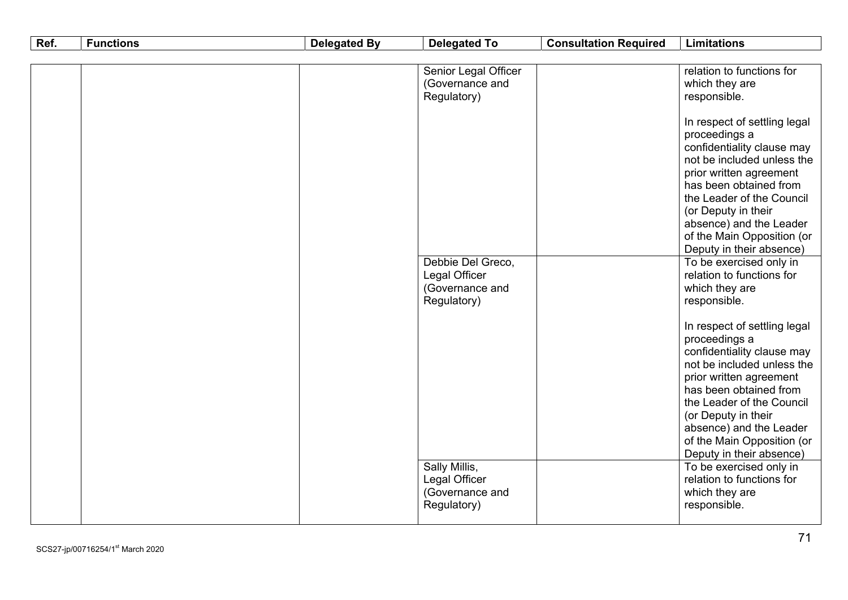| Ref. | <b>Functions</b> | <b>Delegated By</b> | <b>Delegated To</b>  | <b>Consultation Required</b> | <b>Limitations</b>                                    |
|------|------------------|---------------------|----------------------|------------------------------|-------------------------------------------------------|
|      |                  |                     |                      |                              |                                                       |
|      |                  |                     | Senior Legal Officer |                              | relation to functions for                             |
|      |                  |                     | (Governance and      |                              | which they are                                        |
|      |                  |                     | Regulatory)          |                              | responsible.                                          |
|      |                  |                     |                      |                              |                                                       |
|      |                  |                     |                      |                              | In respect of settling legal                          |
|      |                  |                     |                      |                              | proceedings a                                         |
|      |                  |                     |                      |                              | confidentiality clause may                            |
|      |                  |                     |                      |                              | not be included unless the                            |
|      |                  |                     |                      |                              | prior written agreement                               |
|      |                  |                     |                      |                              | has been obtained from                                |
|      |                  |                     |                      |                              | the Leader of the Council                             |
|      |                  |                     |                      |                              | (or Deputy in their                                   |
|      |                  |                     |                      |                              | absence) and the Leader<br>of the Main Opposition (or |
|      |                  |                     |                      |                              | Deputy in their absence)                              |
|      |                  |                     | Debbie Del Greco,    |                              | To be exercised only in                               |
|      |                  |                     | Legal Officer        |                              | relation to functions for                             |
|      |                  |                     | (Governance and      |                              | which they are                                        |
|      |                  |                     | Regulatory)          |                              | responsible.                                          |
|      |                  |                     |                      |                              |                                                       |
|      |                  |                     |                      |                              | In respect of settling legal                          |
|      |                  |                     |                      |                              | proceedings a                                         |
|      |                  |                     |                      |                              | confidentiality clause may                            |
|      |                  |                     |                      |                              | not be included unless the                            |
|      |                  |                     |                      |                              | prior written agreement                               |
|      |                  |                     |                      |                              | has been obtained from                                |
|      |                  |                     |                      |                              | the Leader of the Council                             |
|      |                  |                     |                      |                              | (or Deputy in their                                   |
|      |                  |                     |                      |                              | absence) and the Leader                               |
|      |                  |                     |                      |                              | of the Main Opposition (or                            |
|      |                  |                     |                      |                              | Deputy in their absence)                              |
|      |                  |                     | Sally Millis,        |                              | To be exercised only in                               |
|      |                  |                     | Legal Officer        |                              | relation to functions for                             |
|      |                  |                     | (Governance and      |                              | which they are                                        |
|      |                  |                     | Regulatory)          |                              | responsible.                                          |
|      |                  |                     |                      |                              |                                                       |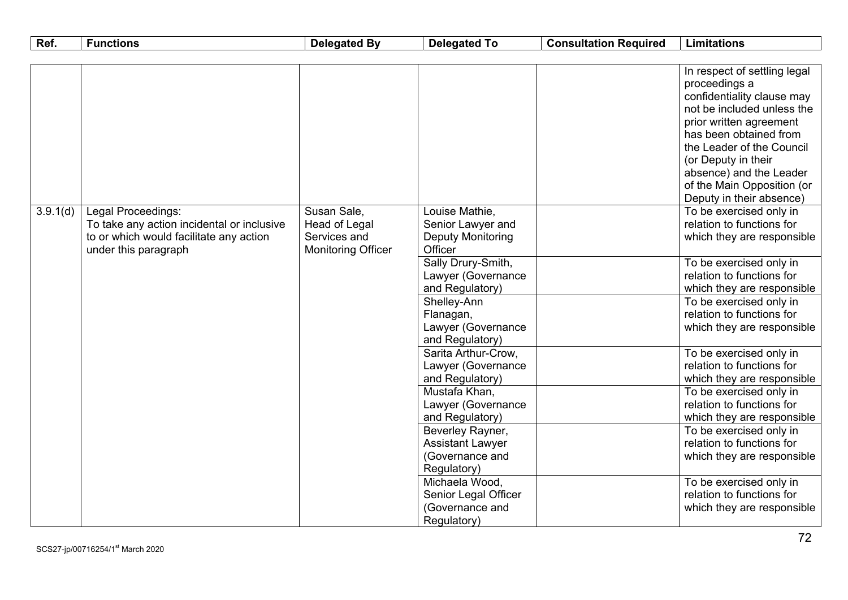| Ref.     | <b>Functions</b>                                                                                                                    | <b>Delegated By</b>                                                       | <b>Delegated To</b>                                                           | <b>Consultation Required</b> | <b>Limitations</b>                                                                                                                                                                          |
|----------|-------------------------------------------------------------------------------------------------------------------------------------|---------------------------------------------------------------------------|-------------------------------------------------------------------------------|------------------------------|---------------------------------------------------------------------------------------------------------------------------------------------------------------------------------------------|
|          |                                                                                                                                     |                                                                           |                                                                               |                              |                                                                                                                                                                                             |
|          |                                                                                                                                     |                                                                           |                                                                               |                              | In respect of settling legal<br>proceedings a<br>confidentiality clause may<br>not be included unless the<br>prior written agreement<br>has been obtained from<br>the Leader of the Council |
|          |                                                                                                                                     |                                                                           |                                                                               |                              | (or Deputy in their<br>absence) and the Leader<br>of the Main Opposition (or<br>Deputy in their absence)                                                                                    |
| 3.9.1(d) | Legal Proceedings:<br>To take any action incidental or inclusive<br>to or which would facilitate any action<br>under this paragraph | Susan Sale,<br>Head of Legal<br>Services and<br><b>Monitoring Officer</b> | Louise Mathie,<br>Senior Lawyer and<br>Deputy Monitoring<br>Officer           |                              | To be exercised only in<br>relation to functions for<br>which they are responsible                                                                                                          |
|          |                                                                                                                                     |                                                                           | Sally Drury-Smith,<br>Lawyer (Governance<br>and Regulatory)                   |                              | To be exercised only in<br>relation to functions for<br>which they are responsible                                                                                                          |
|          |                                                                                                                                     |                                                                           | Shelley-Ann<br>Flanagan,<br>Lawyer (Governance<br>and Regulatory)             |                              | To be exercised only in<br>relation to functions for<br>which they are responsible                                                                                                          |
|          |                                                                                                                                     |                                                                           | Sarita Arthur-Crow,<br>Lawyer (Governance<br>and Regulatory)                  |                              | To be exercised only in<br>relation to functions for<br>which they are responsible                                                                                                          |
|          |                                                                                                                                     |                                                                           | Mustafa Khan,<br>Lawyer (Governance<br>and Regulatory)                        |                              | To be exercised only in<br>relation to functions for<br>which they are responsible                                                                                                          |
|          |                                                                                                                                     |                                                                           | Beverley Rayner,<br><b>Assistant Lawyer</b><br>(Governance and<br>Regulatory) |                              | To be exercised only in<br>relation to functions for<br>which they are responsible                                                                                                          |
|          |                                                                                                                                     |                                                                           | Michaela Wood,<br>Senior Legal Officer<br>(Governance and<br>Regulatory)      |                              | To be exercised only in<br>relation to functions for<br>which they are responsible                                                                                                          |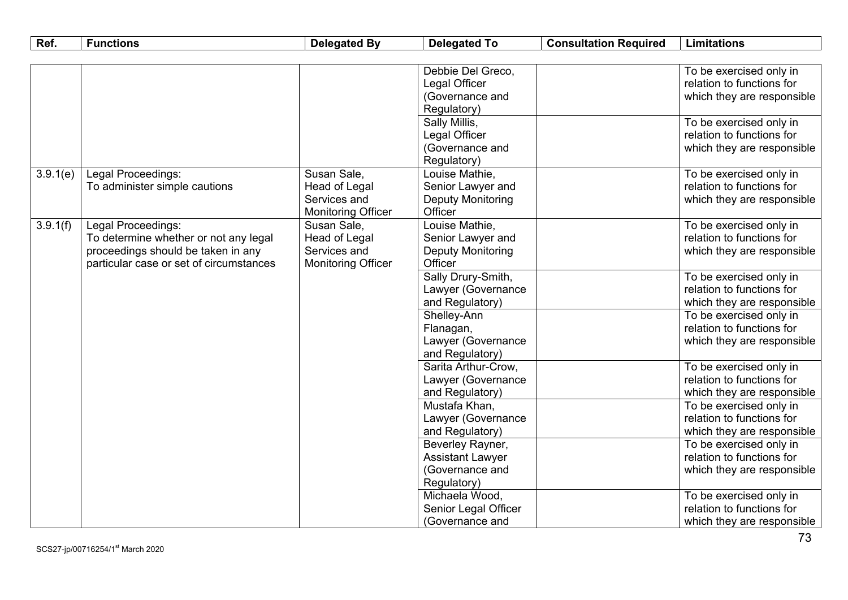| Ref.     | <b>Functions</b>                                                                                                                             | <b>Delegated By</b>                                                       | <b>Delegated To</b>                                                        | <b>Consultation Required</b> | <b>Limitations</b>                                                                 |
|----------|----------------------------------------------------------------------------------------------------------------------------------------------|---------------------------------------------------------------------------|----------------------------------------------------------------------------|------------------------------|------------------------------------------------------------------------------------|
|          |                                                                                                                                              |                                                                           |                                                                            |                              |                                                                                    |
|          |                                                                                                                                              |                                                                           | Debbie Del Greco,<br>Legal Officer<br>(Governance and<br>Regulatory)       |                              | To be exercised only in<br>relation to functions for<br>which they are responsible |
|          |                                                                                                                                              |                                                                           | Sally Millis,<br>Legal Officer<br>(Governance and<br>Regulatory)           |                              | To be exercised only in<br>relation to functions for<br>which they are responsible |
| 3.9.1(e) | Legal Proceedings:<br>To administer simple cautions                                                                                          | Susan Sale,<br>Head of Legal<br>Services and<br><b>Monitoring Officer</b> | Louise Mathie,<br>Senior Lawyer and<br><b>Deputy Monitoring</b><br>Officer |                              | To be exercised only in<br>relation to functions for<br>which they are responsible |
| 3.9.1(f) | Legal Proceedings:<br>To determine whether or not any legal<br>proceedings should be taken in any<br>particular case or set of circumstances | Susan Sale,<br>Head of Legal<br>Services and<br><b>Monitoring Officer</b> | Louise Mathie,<br>Senior Lawyer and<br><b>Deputy Monitoring</b><br>Officer |                              | To be exercised only in<br>relation to functions for<br>which they are responsible |
|          |                                                                                                                                              |                                                                           | Sally Drury-Smith,<br>Lawyer (Governance<br>and Regulatory)                |                              | To be exercised only in<br>relation to functions for<br>which they are responsible |
|          |                                                                                                                                              |                                                                           | Shelley-Ann<br>Flanagan,<br>Lawyer (Governance<br>and Regulatory)          |                              | To be exercised only in<br>relation to functions for<br>which they are responsible |
|          |                                                                                                                                              |                                                                           | Sarita Arthur-Crow,<br>Lawyer (Governance<br>and Regulatory)               |                              | To be exercised only in<br>relation to functions for<br>which they are responsible |
|          |                                                                                                                                              |                                                                           | Mustafa Khan,<br>Lawyer (Governance<br>and Regulatory)                     |                              | To be exercised only in<br>relation to functions for<br>which they are responsible |
|          |                                                                                                                                              |                                                                           | Beverley Rayner,<br><b>Assistant Lawyer</b><br>(Governance and             |                              | To be exercised only in<br>relation to functions for<br>which they are responsible |
|          |                                                                                                                                              |                                                                           | Regulatory)<br>Michaela Wood,<br>Senior Legal Officer<br>(Governance and   |                              | To be exercised only in<br>relation to functions for<br>which they are responsible |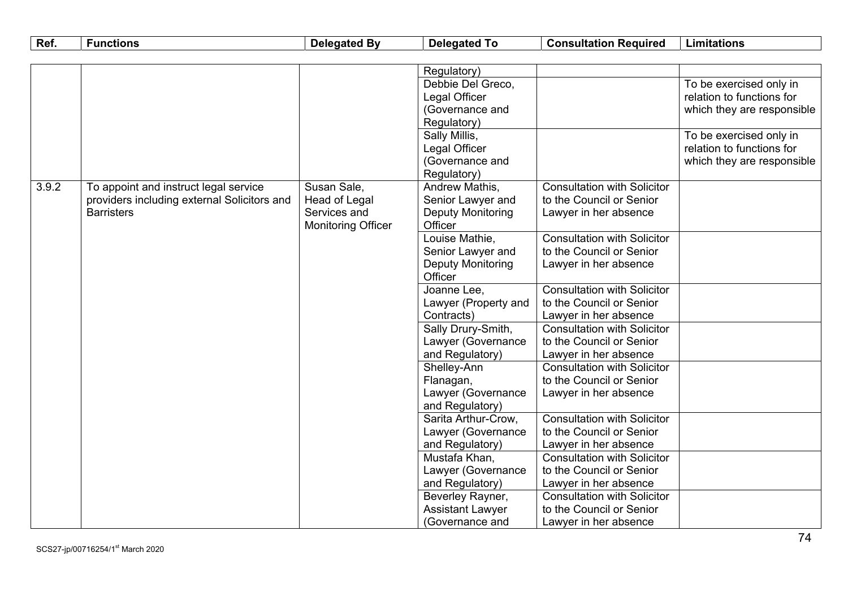| Ref.  | <b>Functions</b>                            | <b>Delegated By</b>       | <b>Delegated To</b>      | <b>Consultation Required</b>       | <b>Limitations</b>         |
|-------|---------------------------------------------|---------------------------|--------------------------|------------------------------------|----------------------------|
|       |                                             |                           |                          |                                    |                            |
|       |                                             |                           | Regulatory)              |                                    |                            |
|       |                                             |                           | Debbie Del Greco,        |                                    | To be exercised only in    |
|       |                                             |                           | Legal Officer            |                                    | relation to functions for  |
|       |                                             |                           | (Governance and          |                                    | which they are responsible |
|       |                                             |                           | Regulatory)              |                                    |                            |
|       |                                             |                           | Sally Millis,            |                                    | To be exercised only in    |
|       |                                             |                           | Legal Officer            |                                    | relation to functions for  |
|       |                                             |                           | (Governance and          |                                    | which they are responsible |
|       |                                             |                           | Regulatory)              |                                    |                            |
| 3.9.2 | To appoint and instruct legal service       | Susan Sale,               | Andrew Mathis,           | <b>Consultation with Solicitor</b> |                            |
|       | providers including external Solicitors and | Head of Legal             | Senior Lawyer and        | to the Council or Senior           |                            |
|       | <b>Barristers</b>                           | Services and              | <b>Deputy Monitoring</b> | Lawyer in her absence              |                            |
|       |                                             | <b>Monitoring Officer</b> | Officer                  |                                    |                            |
|       |                                             |                           | Louise Mathie,           | <b>Consultation with Solicitor</b> |                            |
|       |                                             |                           | Senior Lawyer and        | to the Council or Senior           |                            |
|       |                                             |                           | Deputy Monitoring        | Lawyer in her absence              |                            |
|       |                                             |                           | Officer                  |                                    |                            |
|       |                                             |                           | Joanne Lee,              | <b>Consultation with Solicitor</b> |                            |
|       |                                             |                           | Lawyer (Property and     | to the Council or Senior           |                            |
|       |                                             |                           | Contracts)               | Lawyer in her absence              |                            |
|       |                                             |                           | Sally Drury-Smith,       | <b>Consultation with Solicitor</b> |                            |
|       |                                             |                           | Lawyer (Governance       | to the Council or Senior           |                            |
|       |                                             |                           | and Regulatory)          | Lawyer in her absence              |                            |
|       |                                             |                           | Shelley-Ann              | <b>Consultation with Solicitor</b> |                            |
|       |                                             |                           | Flanagan,                | to the Council or Senior           |                            |
|       |                                             |                           | Lawyer (Governance       | Lawyer in her absence              |                            |
|       |                                             |                           | and Regulatory)          |                                    |                            |
|       |                                             |                           | Sarita Arthur-Crow,      | <b>Consultation with Solicitor</b> |                            |
|       |                                             |                           | Lawyer (Governance       | to the Council or Senior           |                            |
|       |                                             |                           | and Regulatory)          | Lawyer in her absence              |                            |
|       |                                             |                           | Mustafa Khan,            | <b>Consultation with Solicitor</b> |                            |
|       |                                             |                           | Lawyer (Governance       | to the Council or Senior           |                            |
|       |                                             |                           | and Regulatory)          | Lawyer in her absence              |                            |
|       |                                             |                           | Beverley Rayner,         | <b>Consultation with Solicitor</b> |                            |
|       |                                             |                           | <b>Assistant Lawyer</b>  | to the Council or Senior           |                            |
|       |                                             |                           | (Governance and          | Lawyer in her absence              |                            |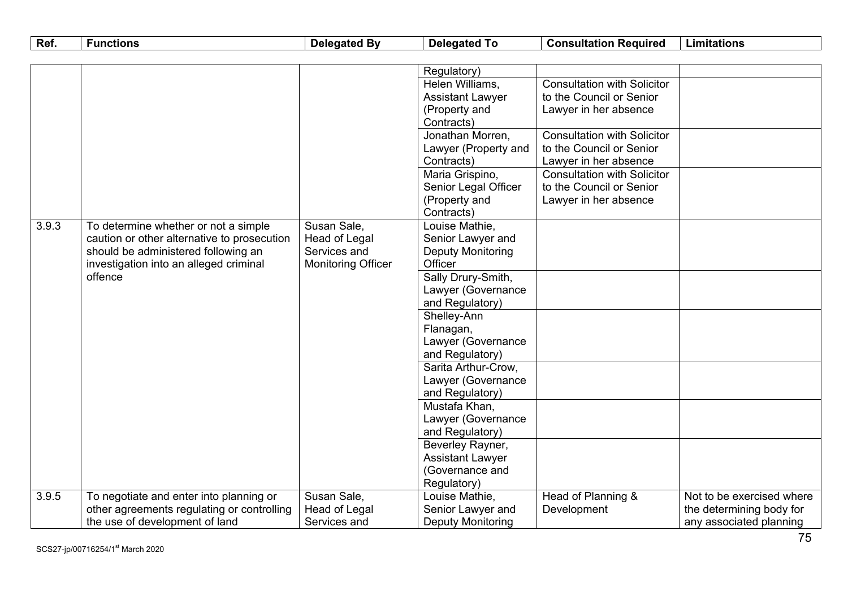| Ref.                                   | <b>Functions</b>                            | <b>Delegated By</b> | <b>Delegated To</b>      | <b>Consultation Required</b>       | <b>Limitations</b>        |
|----------------------------------------|---------------------------------------------|---------------------|--------------------------|------------------------------------|---------------------------|
|                                        |                                             |                     |                          |                                    |                           |
|                                        |                                             |                     | Regulatory)              |                                    |                           |
|                                        |                                             |                     | Helen Williams,          | <b>Consultation with Solicitor</b> |                           |
|                                        |                                             |                     | <b>Assistant Lawyer</b>  | to the Council or Senior           |                           |
|                                        |                                             |                     | (Property and            | Lawyer in her absence              |                           |
|                                        |                                             |                     | Contracts)               |                                    |                           |
|                                        |                                             |                     | Jonathan Morren,         | <b>Consultation with Solicitor</b> |                           |
|                                        |                                             |                     | Lawyer (Property and     | to the Council or Senior           |                           |
|                                        |                                             |                     | Contracts)               | Lawyer in her absence              |                           |
|                                        |                                             |                     | Maria Grispino,          | <b>Consultation with Solicitor</b> |                           |
|                                        |                                             |                     | Senior Legal Officer     | to the Council or Senior           |                           |
|                                        |                                             |                     | (Property and            | Lawyer in her absence              |                           |
|                                        |                                             |                     | Contracts)               |                                    |                           |
| 3.9.3                                  | To determine whether or not a simple        | Susan Sale,         | Louise Mathie,           |                                    |                           |
|                                        | caution or other alternative to prosecution | Head of Legal       | Senior Lawyer and        |                                    |                           |
|                                        | should be administered following an         | Services and        | <b>Deputy Monitoring</b> |                                    |                           |
| investigation into an alleged criminal | <b>Monitoring Officer</b>                   | Officer             |                          |                                    |                           |
|                                        | offence                                     |                     | Sally Drury-Smith,       |                                    |                           |
|                                        |                                             |                     | Lawyer (Governance       |                                    |                           |
|                                        |                                             |                     | and Regulatory)          |                                    |                           |
|                                        |                                             |                     | Shelley-Ann              |                                    |                           |
|                                        |                                             |                     | Flanagan,                |                                    |                           |
|                                        |                                             |                     | Lawyer (Governance       |                                    |                           |
|                                        |                                             |                     | and Regulatory)          |                                    |                           |
|                                        |                                             |                     | Sarita Arthur-Crow,      |                                    |                           |
|                                        |                                             |                     | Lawyer (Governance       |                                    |                           |
|                                        |                                             |                     | and Regulatory)          |                                    |                           |
|                                        |                                             |                     | Mustafa Khan,            |                                    |                           |
|                                        |                                             |                     | Lawyer (Governance       |                                    |                           |
|                                        |                                             |                     | and Regulatory)          |                                    |                           |
|                                        |                                             |                     | Beverley Rayner,         |                                    |                           |
|                                        |                                             |                     | <b>Assistant Lawyer</b>  |                                    |                           |
|                                        |                                             |                     | (Governance and          |                                    |                           |
|                                        |                                             |                     | Regulatory)              |                                    |                           |
| 3.9.5                                  | To negotiate and enter into planning or     | Susan Sale,         | Louise Mathie,           | Head of Planning &                 | Not to be exercised where |
|                                        | other agreements regulating or controlling  | Head of Legal       | Senior Lawyer and        | Development                        | the determining body for  |
|                                        | the use of development of land              | Services and        | <b>Deputy Monitoring</b> |                                    | any associated planning   |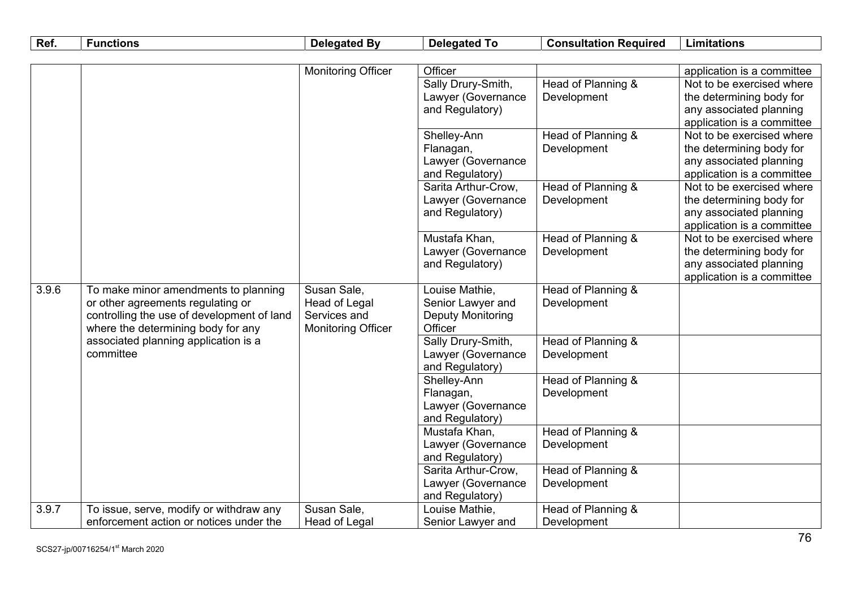| Ref.  | <b>Functions</b>                           | <b>Delegated By</b>       | <b>Delegated To</b>                   | <b>Consultation Required</b>                            | <b>Limitations</b>                                  |
|-------|--------------------------------------------|---------------------------|---------------------------------------|---------------------------------------------------------|-----------------------------------------------------|
|       |                                            |                           |                                       |                                                         |                                                     |
|       |                                            | Monitoring Officer        | Officer                               |                                                         | application is a committee                          |
|       |                                            |                           | Sally Drury-Smith,                    | Head of Planning &                                      | Not to be exercised where                           |
|       |                                            |                           | Lawyer (Governance                    | Development                                             | the determining body for                            |
|       |                                            |                           | and Regulatory)                       |                                                         | any associated planning                             |
|       |                                            |                           |                                       |                                                         | application is a committee                          |
|       |                                            |                           | Shelley-Ann                           | Head of Planning &                                      | Not to be exercised where                           |
|       |                                            |                           | Flanagan,                             | Development                                             | the determining body for                            |
|       |                                            |                           | Lawyer (Governance                    |                                                         | any associated planning                             |
|       |                                            |                           | and Regulatory)                       |                                                         | application is a committee                          |
|       |                                            |                           | Sarita Arthur-Crow.                   | Head of Planning &                                      | Not to be exercised where                           |
|       |                                            |                           | Lawyer (Governance                    | Development                                             | the determining body for                            |
|       |                                            |                           | and Regulatory)                       |                                                         | any associated planning                             |
|       |                                            |                           |                                       | application is a committee<br>Not to be exercised where |                                                     |
|       |                                            | Mustafa Khan,             | Head of Planning &                    |                                                         |                                                     |
|       |                                            |                           | Lawyer (Governance<br>and Regulatory) | Development                                             | the determining body for<br>any associated planning |
|       |                                            |                           |                                       |                                                         | application is a committee                          |
| 3.9.6 | To make minor amendments to planning       | Susan Sale,               | Louise Mathie,                        | Head of Planning &                                      |                                                     |
|       | or other agreements regulating or          | Head of Legal             | Senior Lawyer and                     | Development                                             |                                                     |
|       | controlling the use of development of land | Services and              | <b>Deputy Monitoring</b>              |                                                         |                                                     |
|       | where the determining body for any         | <b>Monitoring Officer</b> | Officer                               |                                                         |                                                     |
|       | associated planning application is a       |                           | Sally Drury-Smith,                    | Head of Planning &                                      |                                                     |
|       | committee                                  |                           | Lawyer (Governance                    | Development                                             |                                                     |
|       |                                            |                           | and Regulatory)                       |                                                         |                                                     |
|       |                                            |                           | Shelley-Ann                           | Head of Planning &                                      |                                                     |
|       |                                            |                           | Flanagan,                             | Development                                             |                                                     |
|       |                                            |                           | Lawyer (Governance                    |                                                         |                                                     |
|       |                                            |                           | and Regulatory)                       |                                                         |                                                     |
|       |                                            |                           | Mustafa Khan,                         | Head of Planning &                                      |                                                     |
|       |                                            |                           | Lawyer (Governance                    | Development                                             |                                                     |
|       |                                            |                           | and Regulatory)                       |                                                         |                                                     |
|       |                                            |                           | Sarita Arthur-Crow.                   | Head of Planning &                                      |                                                     |
|       |                                            |                           | Lawyer (Governance                    | Development                                             |                                                     |
|       |                                            |                           | and Regulatory)                       |                                                         |                                                     |
| 3.9.7 | To issue, serve, modify or withdraw any    | Susan Sale,               | Louise Mathie,                        | Head of Planning &                                      |                                                     |
|       | enforcement action or notices under the    | <b>Head of Legal</b>      | Senior Lawyer and                     | Development                                             |                                                     |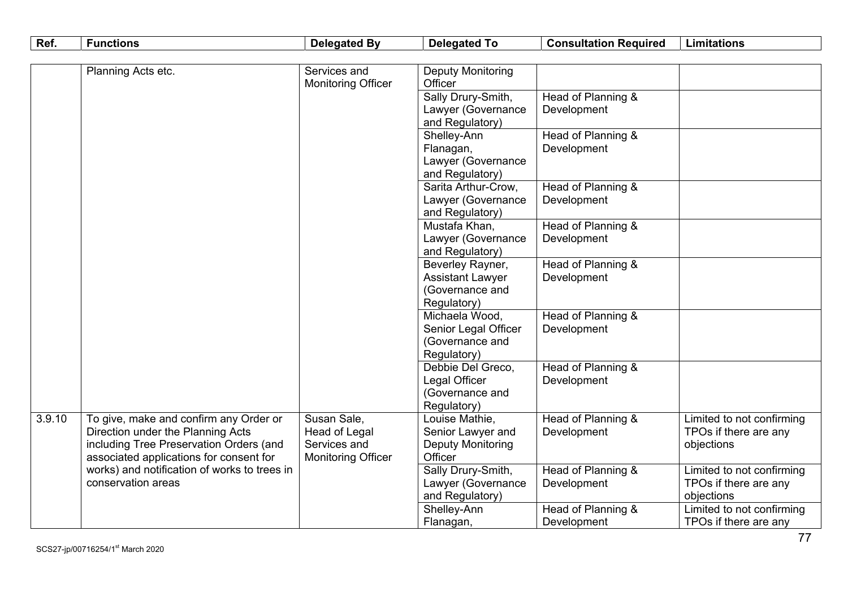| Deputy Monitoring<br>Planning Acts etc.<br>Services and                                                                                    |                                     |
|--------------------------------------------------------------------------------------------------------------------------------------------|-------------------------------------|
| Officer<br><b>Monitoring Officer</b>                                                                                                       |                                     |
| Sally Drury-Smith,<br>Head of Planning &                                                                                                   |                                     |
| Lawyer (Governance<br>Development                                                                                                          |                                     |
| and Regulatory)                                                                                                                            |                                     |
| Shelley-Ann<br>Head of Planning &                                                                                                          |                                     |
| Development<br>Flanagan,                                                                                                                   |                                     |
| Lawyer (Governance                                                                                                                         |                                     |
| and Regulatory)                                                                                                                            |                                     |
| Sarita Arthur-Crow,<br>Head of Planning &                                                                                                  |                                     |
| Development<br>Lawyer (Governance                                                                                                          |                                     |
| and Regulatory)                                                                                                                            |                                     |
| Mustafa Khan,<br>Head of Planning &                                                                                                        |                                     |
| Lawyer (Governance<br>Development                                                                                                          |                                     |
| and Regulatory)                                                                                                                            |                                     |
| Head of Planning &<br>Beverley Rayner,                                                                                                     |                                     |
| <b>Assistant Lawyer</b><br>Development                                                                                                     |                                     |
| (Governance and                                                                                                                            |                                     |
| Regulatory)                                                                                                                                |                                     |
| Michaela Wood,<br>Head of Planning &                                                                                                       |                                     |
| Development<br>Senior Legal Officer                                                                                                        |                                     |
| (Governance and                                                                                                                            |                                     |
| Regulatory)                                                                                                                                |                                     |
| Debbie Del Greco,<br>Head of Planning &                                                                                                    |                                     |
| Legal Officer<br>Development                                                                                                               |                                     |
| (Governance and                                                                                                                            |                                     |
| Regulatory)                                                                                                                                |                                     |
| Susan Sale,<br>Head of Planning &<br>3.9.10<br>To give, make and confirm any Order or<br>Louise Mathie,                                    | Limited to not confirming           |
| Senior Lawyer and<br>Direction under the Planning Acts<br>Head of Legal<br>Development<br>Services and                                     | TPOs if there are any               |
| including Tree Preservation Orders (and<br><b>Deputy Monitoring</b><br>Officer                                                             | objections                          |
| associated applications for consent for<br><b>Monitoring Officer</b><br>Head of Planning &<br>works) and notification of works to trees in |                                     |
| Sally Drury-Smith,<br>conservation areas<br>Lawyer (Governance<br>Development                                                              | Limited to not confirming           |
| and Regulatory)                                                                                                                            | TPOs if there are any<br>objections |
| Shelley-Ann<br>Head of Planning &                                                                                                          | Limited to not confirming           |
| Development<br>Flanagan,                                                                                                                   | TPOs if there are any               |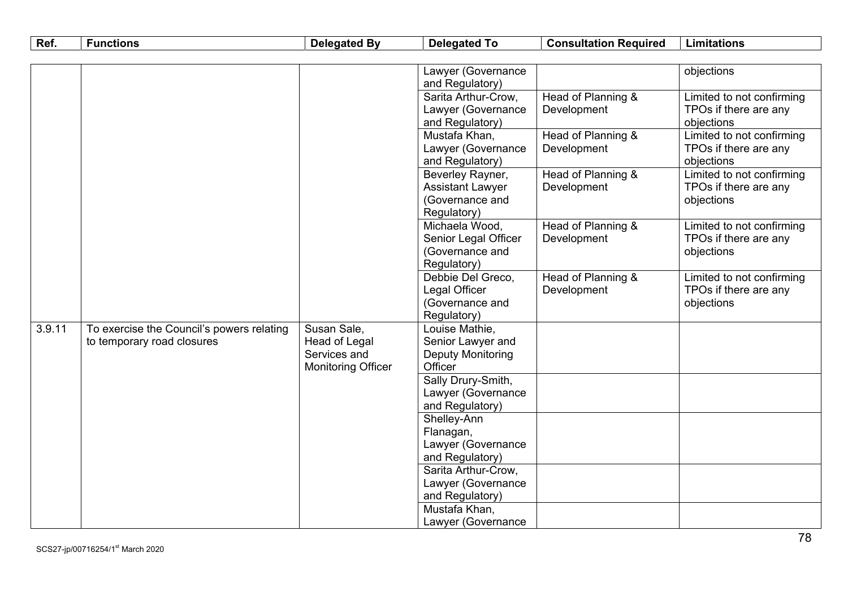| Ref.   | <b>Functions</b>                          | <b>Delegated By</b>       | <b>Delegated To</b>            | <b>Consultation Required</b> | <b>Limitations</b>        |
|--------|-------------------------------------------|---------------------------|--------------------------------|------------------------------|---------------------------|
|        |                                           |                           |                                |                              |                           |
|        |                                           |                           | Lawyer (Governance             |                              | objections                |
|        |                                           |                           | and Regulatory)                |                              |                           |
|        |                                           |                           | Sarita Arthur-Crow,            | Head of Planning &           | Limited to not confirming |
|        |                                           |                           | Lawyer (Governance             | Development                  | TPOs if there are any     |
|        |                                           |                           | and Regulatory)                |                              | objections                |
|        |                                           |                           | Mustafa Khan,                  | Head of Planning &           | Limited to not confirming |
|        |                                           |                           | Lawyer (Governance             | Development                  | TPOs if there are any     |
|        |                                           |                           | and Regulatory)                |                              | objections                |
|        |                                           |                           | Beverley Rayner,               | Head of Planning &           | Limited to not confirming |
|        |                                           |                           | <b>Assistant Lawyer</b>        | Development                  | TPOs if there are any     |
|        |                                           |                           | (Governance and                |                              | objections                |
|        |                                           |                           | Regulatory)                    |                              |                           |
|        |                                           |                           | Michaela Wood,                 | Head of Planning &           | Limited to not confirming |
|        |                                           |                           | Senior Legal Officer           | Development                  | TPOs if there are any     |
|        |                                           |                           | (Governance and<br>Regulatory) |                              | objections                |
|        |                                           |                           | Debbie Del Greco,              | Head of Planning &           | Limited to not confirming |
|        |                                           |                           | Legal Officer                  | Development                  | TPOs if there are any     |
|        |                                           |                           | (Governance and                |                              | objections                |
|        |                                           |                           | Regulatory)                    |                              |                           |
| 3.9.11 | To exercise the Council's powers relating | Susan Sale,               | Louise Mathie,                 |                              |                           |
|        | to temporary road closures                | Head of Legal             | Senior Lawyer and              |                              |                           |
|        |                                           | Services and              | Deputy Monitoring              |                              |                           |
|        |                                           | <b>Monitoring Officer</b> | Officer                        |                              |                           |
|        |                                           |                           | Sally Drury-Smith,             |                              |                           |
|        |                                           |                           | Lawyer (Governance             |                              |                           |
|        |                                           |                           | and Regulatory)                |                              |                           |
|        |                                           |                           | Shelley-Ann                    |                              |                           |
|        |                                           |                           | Flanagan,                      |                              |                           |
|        |                                           |                           | Lawyer (Governance             |                              |                           |
|        |                                           |                           | and Regulatory)                |                              |                           |
|        |                                           |                           | Sarita Arthur-Crow,            |                              |                           |
|        |                                           |                           | Lawyer (Governance             |                              |                           |
|        |                                           |                           | and Regulatory)                |                              |                           |
|        |                                           |                           | Mustafa Khan,                  |                              |                           |
|        |                                           |                           | Lawyer (Governance             |                              |                           |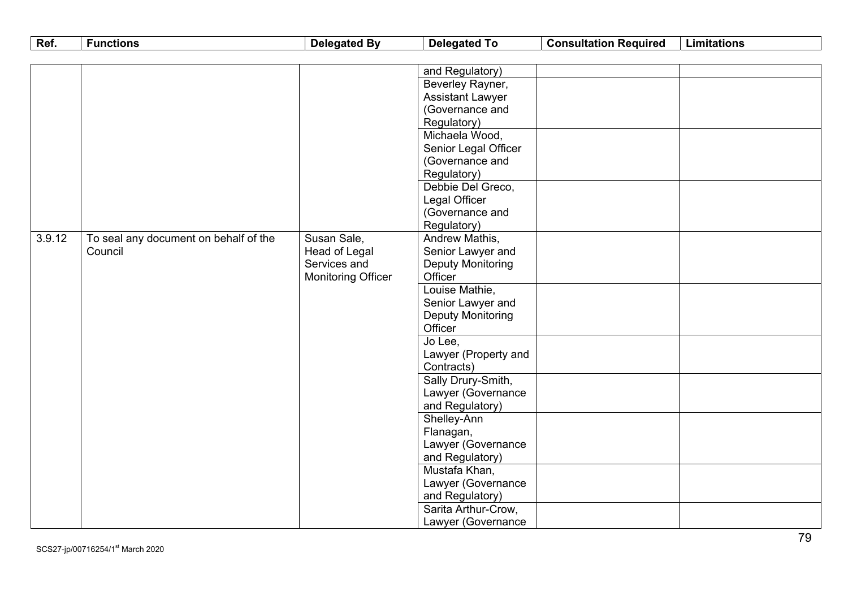| Ref.   | <b>Functions</b>                      | <b>Delegated By</b>                       | <b>Delegated To</b>      | <b>Consultation Required</b> | <b>Limitations</b> |
|--------|---------------------------------------|-------------------------------------------|--------------------------|------------------------------|--------------------|
|        |                                       |                                           |                          |                              |                    |
|        |                                       |                                           | and Regulatory)          |                              |                    |
|        |                                       |                                           | Beverley Rayner,         |                              |                    |
|        |                                       |                                           | <b>Assistant Lawyer</b>  |                              |                    |
|        |                                       |                                           | (Governance and          |                              |                    |
|        |                                       |                                           | Regulatory)              |                              |                    |
|        |                                       |                                           | Michaela Wood,           |                              |                    |
|        |                                       |                                           | Senior Legal Officer     |                              |                    |
|        |                                       |                                           | (Governance and          |                              |                    |
|        |                                       |                                           | Regulatory)              |                              |                    |
|        |                                       |                                           | Debbie Del Greco,        |                              |                    |
|        |                                       |                                           | Legal Officer            |                              |                    |
|        |                                       |                                           | (Governance and          |                              |                    |
|        |                                       |                                           | Regulatory)              |                              |                    |
| 3.9.12 | To seal any document on behalf of the | Susan Sale,                               | Andrew Mathis,           |                              |                    |
|        | Council                               | <b>Head of Legal</b>                      | Senior Lawyer and        |                              |                    |
|        |                                       | Services and<br><b>Monitoring Officer</b> | <b>Deputy Monitoring</b> |                              |                    |
|        |                                       |                                           | Officer                  |                              |                    |
|        |                                       |                                           | Louise Mathie,           |                              |                    |
|        |                                       |                                           | Senior Lawyer and        |                              |                    |
|        |                                       |                                           | <b>Deputy Monitoring</b> |                              |                    |
|        |                                       |                                           | Officer                  |                              |                    |
|        |                                       |                                           | Jo Lee,                  |                              |                    |
|        |                                       |                                           | Lawyer (Property and     |                              |                    |
|        |                                       |                                           | Contracts)               |                              |                    |
|        |                                       |                                           | Sally Drury-Smith,       |                              |                    |
|        |                                       |                                           | Lawyer (Governance       |                              |                    |
|        |                                       |                                           | and Regulatory)          |                              |                    |
|        |                                       |                                           | Shelley-Ann              |                              |                    |
|        |                                       |                                           | Flanagan,                |                              |                    |
|        |                                       |                                           | Lawyer (Governance       |                              |                    |
|        |                                       |                                           | and Regulatory)          |                              |                    |
|        |                                       |                                           | Mustafa Khan,            |                              |                    |
|        |                                       |                                           | Lawyer (Governance       |                              |                    |
|        |                                       |                                           | and Regulatory)          |                              |                    |
|        |                                       |                                           | Sarita Arthur-Crow,      |                              |                    |
|        |                                       |                                           | Lawyer (Governance       |                              |                    |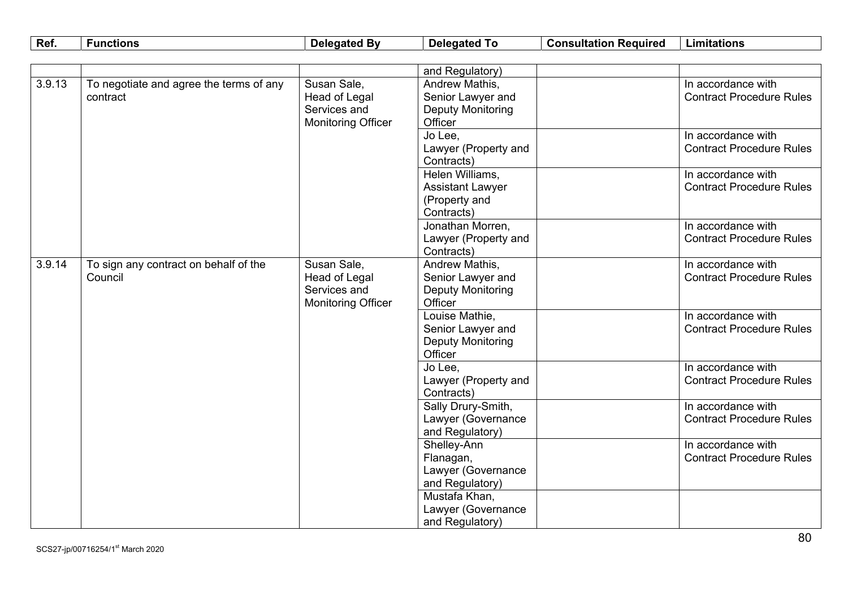| Ref.   | <b>Functions</b>                        | <b>Delegated By</b>       | <b>Delegated To</b>            | <b>Consultation Required</b> | <b>Limitations</b>              |
|--------|-----------------------------------------|---------------------------|--------------------------------|------------------------------|---------------------------------|
|        |                                         |                           |                                |                              |                                 |
|        |                                         |                           | and Regulatory)                |                              |                                 |
| 3.9.13 | To negotiate and agree the terms of any | Susan Sale,               | Andrew Mathis,                 |                              | In accordance with              |
|        | contract                                | Head of Legal             | Senior Lawyer and              |                              | <b>Contract Procedure Rules</b> |
|        |                                         | Services and              | Deputy Monitoring              |                              |                                 |
|        |                                         | <b>Monitoring Officer</b> | Officer                        |                              |                                 |
|        |                                         |                           | Jo Lee,                        |                              | In accordance with              |
|        |                                         |                           | Lawyer (Property and           |                              | <b>Contract Procedure Rules</b> |
|        |                                         |                           | Contracts)                     |                              |                                 |
|        |                                         |                           | Helen Williams,                |                              | In accordance with              |
|        |                                         |                           | <b>Assistant Lawyer</b>        |                              | <b>Contract Procedure Rules</b> |
|        |                                         |                           | (Property and                  |                              |                                 |
|        |                                         |                           | Contracts)                     |                              |                                 |
|        |                                         |                           | Jonathan Morren,               |                              | In accordance with              |
|        |                                         |                           | Lawyer (Property and           |                              | <b>Contract Procedure Rules</b> |
|        |                                         |                           | Contracts)                     |                              |                                 |
| 3.9.14 | To sign any contract on behalf of the   | Susan Sale,               | Andrew Mathis,                 |                              | In accordance with              |
|        | Council                                 | Head of Legal             | Senior Lawyer and              |                              | <b>Contract Procedure Rules</b> |
|        |                                         | Services and              | <b>Deputy Monitoring</b>       |                              |                                 |
|        |                                         | <b>Monitoring Officer</b> | Officer                        |                              |                                 |
|        |                                         |                           | Louise Mathie,                 |                              | In accordance with              |
|        |                                         |                           | Senior Lawyer and              |                              | <b>Contract Procedure Rules</b> |
|        |                                         |                           | <b>Deputy Monitoring</b>       |                              |                                 |
|        |                                         |                           | Officer                        |                              |                                 |
|        |                                         |                           | Jo Lee,                        |                              | In accordance with              |
|        |                                         |                           | Lawyer (Property and           |                              | <b>Contract Procedure Rules</b> |
|        |                                         |                           | Contracts)                     |                              |                                 |
|        |                                         |                           | Sally Drury-Smith,             |                              | In accordance with              |
|        |                                         |                           | Lawyer (Governance             |                              | <b>Contract Procedure Rules</b> |
|        |                                         |                           | and Regulatory)<br>Shelley-Ann |                              | In accordance with              |
|        |                                         |                           | Flanagan,                      |                              | <b>Contract Procedure Rules</b> |
|        |                                         |                           | Lawyer (Governance             |                              |                                 |
|        |                                         |                           | and Regulatory)                |                              |                                 |
|        |                                         |                           | Mustafa Khan,                  |                              |                                 |
|        |                                         |                           | Lawyer (Governance             |                              |                                 |
|        |                                         |                           | and Regulatory)                |                              |                                 |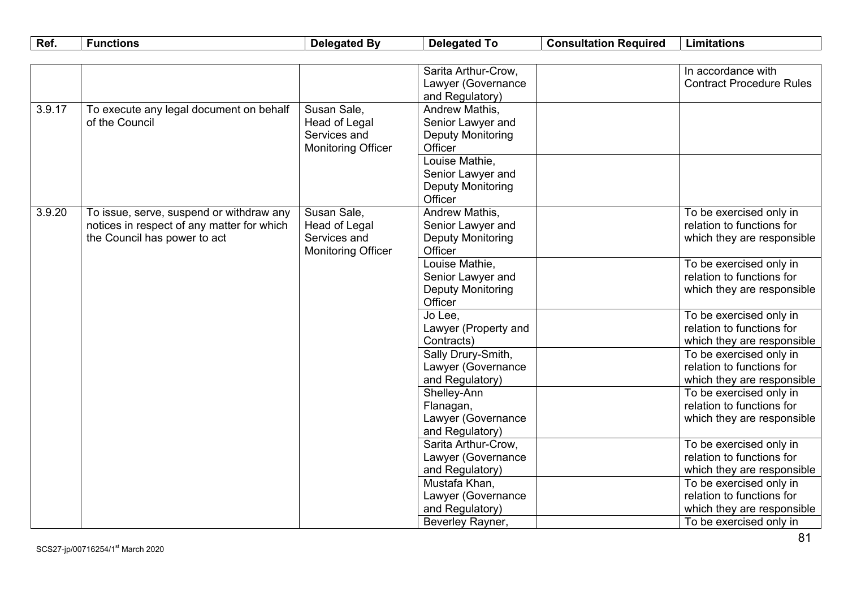| Ref.   | <b>Functions</b>                           | <b>Delegated By</b>       | <b>Delegated To</b>      | <b>Consultation Required</b> | <b>Limitations</b>                                    |
|--------|--------------------------------------------|---------------------------|--------------------------|------------------------------|-------------------------------------------------------|
|        |                                            |                           |                          |                              |                                                       |
|        |                                            |                           | Sarita Arthur-Crow,      |                              | In accordance with                                    |
|        |                                            |                           | Lawyer (Governance       |                              | <b>Contract Procedure Rules</b>                       |
|        |                                            |                           | and Regulatory)          |                              |                                                       |
| 3.9.17 | To execute any legal document on behalf    | Susan Sale,               | Andrew Mathis,           |                              |                                                       |
|        | of the Council                             | Head of Legal             | Senior Lawyer and        |                              |                                                       |
|        |                                            | Services and              | Deputy Monitoring        |                              |                                                       |
|        |                                            | <b>Monitoring Officer</b> | Officer                  |                              |                                                       |
|        |                                            |                           | Louise Mathie,           |                              |                                                       |
|        |                                            |                           | Senior Lawyer and        |                              |                                                       |
|        |                                            |                           | <b>Deputy Monitoring</b> |                              |                                                       |
|        |                                            |                           | Officer                  |                              |                                                       |
| 3.9.20 | To issue, serve, suspend or withdraw any   | Susan Sale,               | Andrew Mathis,           |                              | To be exercised only in                               |
|        | notices in respect of any matter for which | Head of Legal             | Senior Lawyer and        |                              | relation to functions for                             |
|        | the Council has power to act               | Services and              | <b>Deputy Monitoring</b> |                              | which they are responsible                            |
|        |                                            | <b>Monitoring Officer</b> | Officer                  |                              |                                                       |
|        |                                            |                           | Louise Mathie,           |                              | To be exercised only in                               |
|        |                                            |                           | Senior Lawyer and        |                              | relation to functions for                             |
|        |                                            |                           | Deputy Monitoring        |                              | which they are responsible                            |
|        |                                            |                           | Officer                  |                              |                                                       |
|        |                                            |                           | Jo Lee,                  |                              | To be exercised only in<br>relation to functions for  |
|        |                                            |                           | Lawyer (Property and     |                              |                                                       |
|        |                                            |                           | Contracts)               |                              | which they are responsible                            |
|        |                                            |                           | Sally Drury-Smith,       |                              | To be exercised only in<br>relation to functions for  |
|        |                                            |                           | Lawyer (Governance       |                              |                                                       |
|        |                                            |                           | and Regulatory)          |                              | which they are responsible<br>To be exercised only in |
|        |                                            |                           | Shelley-Ann<br>Flanagan, |                              | relation to functions for                             |
|        |                                            |                           | Lawyer (Governance       |                              | which they are responsible                            |
|        |                                            |                           | and Regulatory)          |                              |                                                       |
|        |                                            |                           | Sarita Arthur-Crow,      |                              | To be exercised only in                               |
|        |                                            |                           | Lawyer (Governance       |                              | relation to functions for                             |
|        |                                            |                           | and Regulatory)          |                              | which they are responsible                            |
|        |                                            |                           | Mustafa Khan,            |                              | To be exercised only in                               |
|        |                                            |                           | Lawyer (Governance       |                              | relation to functions for                             |
|        |                                            |                           | and Regulatory)          |                              | which they are responsible                            |
|        |                                            |                           | Beverley Rayner,         |                              | To be exercised only in                               |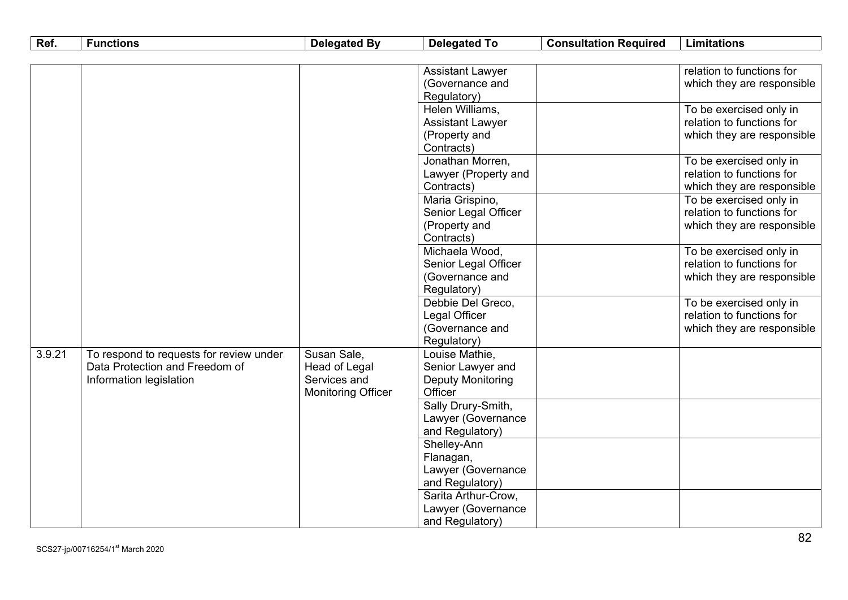| Ref.   | <b>Functions</b>                        | <b>Delegated By</b>       | <b>Delegated To</b>      | <b>Consultation Required</b> | <b>Limitations</b>         |
|--------|-----------------------------------------|---------------------------|--------------------------|------------------------------|----------------------------|
|        |                                         |                           |                          |                              |                            |
|        |                                         |                           | <b>Assistant Lawyer</b>  |                              | relation to functions for  |
|        |                                         |                           | (Governance and          |                              | which they are responsible |
|        |                                         |                           | Regulatory)              |                              |                            |
|        |                                         |                           | Helen Williams,          |                              | To be exercised only in    |
|        |                                         |                           | <b>Assistant Lawyer</b>  |                              | relation to functions for  |
|        |                                         |                           | (Property and            |                              | which they are responsible |
|        |                                         |                           | Contracts)               |                              |                            |
|        |                                         |                           | Jonathan Morren,         |                              | To be exercised only in    |
|        |                                         |                           | Lawyer (Property and     |                              | relation to functions for  |
|        |                                         |                           | Contracts)               |                              | which they are responsible |
|        |                                         |                           | Maria Grispino,          |                              | To be exercised only in    |
|        |                                         |                           | Senior Legal Officer     |                              | relation to functions for  |
|        |                                         |                           | (Property and            |                              | which they are responsible |
|        |                                         |                           | Contracts)               |                              |                            |
|        |                                         |                           | Michaela Wood,           |                              | To be exercised only in    |
|        |                                         |                           | Senior Legal Officer     |                              | relation to functions for  |
|        |                                         |                           | (Governance and          |                              | which they are responsible |
|        |                                         |                           | Regulatory)              |                              |                            |
|        |                                         |                           | Debbie Del Greco,        |                              | To be exercised only in    |
|        |                                         |                           | Legal Officer            |                              | relation to functions for  |
|        |                                         |                           | (Governance and          |                              | which they are responsible |
|        |                                         |                           | Regulatory)              |                              |                            |
| 3.9.21 | To respond to requests for review under | Susan Sale,               | Louise Mathie,           |                              |                            |
|        | Data Protection and Freedom of          | Head of Legal             | Senior Lawyer and        |                              |                            |
|        | Information legislation                 | Services and              | <b>Deputy Monitoring</b> |                              |                            |
|        |                                         | <b>Monitoring Officer</b> | Officer                  |                              |                            |
|        |                                         |                           | Sally Drury-Smith,       |                              |                            |
|        |                                         |                           | Lawyer (Governance       |                              |                            |
|        |                                         |                           | and Regulatory)          |                              |                            |
|        |                                         |                           | Shelley-Ann              |                              |                            |
|        |                                         |                           | Flanagan,                |                              |                            |
|        |                                         |                           | Lawyer (Governance       |                              |                            |
|        |                                         |                           | and Regulatory)          |                              |                            |
|        |                                         |                           | Sarita Arthur-Crow,      |                              |                            |
|        |                                         |                           | Lawyer (Governance       |                              |                            |
|        |                                         |                           | and Regulatory)          |                              |                            |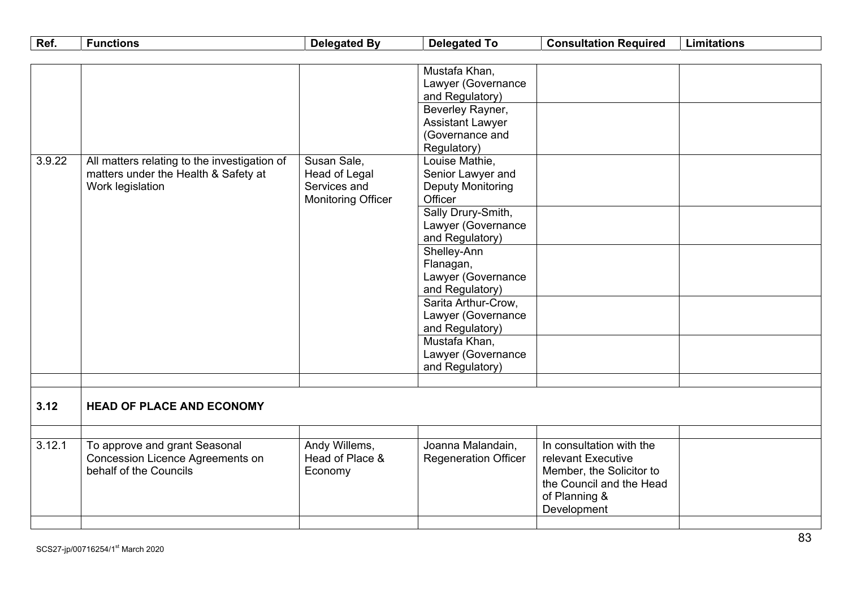| Ref.   | <b>Functions</b>                             | <b>Delegated By</b>       | <b>Delegated To</b>         | <b>Consultation Required</b> | <b>Limitations</b> |
|--------|----------------------------------------------|---------------------------|-----------------------------|------------------------------|--------------------|
|        |                                              |                           |                             |                              |                    |
|        |                                              |                           | Mustafa Khan,               |                              |                    |
|        |                                              |                           | Lawyer (Governance          |                              |                    |
|        |                                              |                           | and Regulatory)             |                              |                    |
|        |                                              |                           | Beverley Rayner,            |                              |                    |
|        |                                              |                           | <b>Assistant Lawyer</b>     |                              |                    |
|        |                                              |                           | (Governance and             |                              |                    |
|        |                                              |                           | Regulatory)                 |                              |                    |
| 3.9.22 | All matters relating to the investigation of | Susan Sale,               | Louise Mathie,              |                              |                    |
|        | matters under the Health & Safety at         | Head of Legal             | Senior Lawyer and           |                              |                    |
|        | Work legislation                             | Services and              | <b>Deputy Monitoring</b>    |                              |                    |
|        |                                              | <b>Monitoring Officer</b> | Officer                     |                              |                    |
|        |                                              |                           | Sally Drury-Smith,          |                              |                    |
|        |                                              |                           | Lawyer (Governance          |                              |                    |
|        |                                              |                           | and Regulatory)             |                              |                    |
|        |                                              |                           | Shelley-Ann                 |                              |                    |
|        |                                              |                           | Flanagan,                   |                              |                    |
|        |                                              |                           | Lawyer (Governance          |                              |                    |
|        |                                              |                           | and Regulatory)             |                              |                    |
|        |                                              |                           | Sarita Arthur-Crow,         |                              |                    |
|        |                                              |                           | Lawyer (Governance          |                              |                    |
|        |                                              |                           | and Regulatory)             |                              |                    |
|        |                                              |                           | Mustafa Khan,               |                              |                    |
|        |                                              |                           | Lawyer (Governance          |                              |                    |
|        |                                              |                           | and Regulatory)             |                              |                    |
|        |                                              |                           |                             |                              |                    |
|        |                                              |                           |                             |                              |                    |
| 3.12   | <b>HEAD OF PLACE AND ECONOMY</b>             |                           |                             |                              |                    |
|        |                                              |                           |                             |                              |                    |
|        |                                              |                           |                             |                              |                    |
| 3.12.1 | To approve and grant Seasonal                | Andy Willems,             | Joanna Malandain,           | In consultation with the     |                    |
|        | Concession Licence Agreements on             | Head of Place &           | <b>Regeneration Officer</b> | relevant Executive           |                    |
|        | behalf of the Councils                       | Economy                   |                             | Member, the Solicitor to     |                    |
|        |                                              |                           |                             | the Council and the Head     |                    |
|        |                                              |                           |                             | of Planning &                |                    |
|        |                                              |                           |                             | Development                  |                    |
|        |                                              |                           |                             |                              |                    |